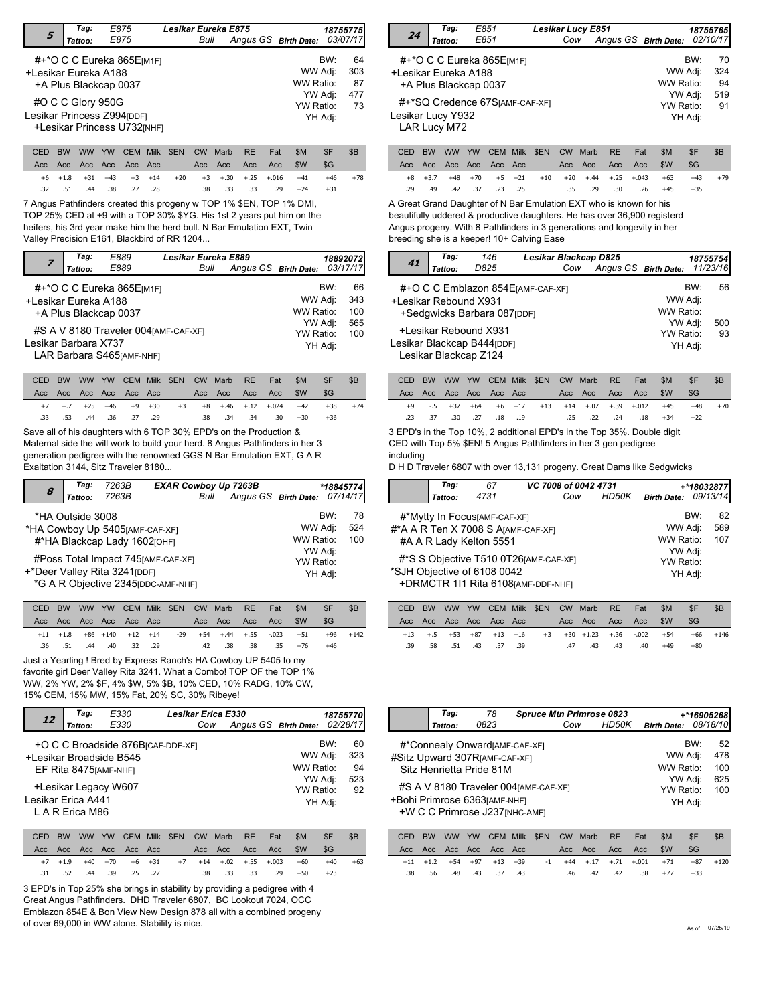|                      | Tag:              | E875                                                      | Lesikar Eureka E875 |                                 | 18755775 |                        |
|----------------------|-------------------|-----------------------------------------------------------|---------------------|---------------------------------|----------|------------------------|
| 5                    | Tattoo:           | E875                                                      | Bull                | Angus GS Birth Date:            |          | 03/07/17               |
| +Lesikar Eureka A188 |                   | #+*O C C Eureka 865E[M1F]<br>+A Plus Blackcap 0037        |                     | WW Adj:<br>WW Ratio:<br>YW Adj: | BW:      | 64<br>303<br>87<br>477 |
|                      | #O C C Glory 950G | Lesikar Princess Z994[DDF]<br>+Lesikar Princess U732[NHF] |                     | YW Ratio:<br>YH Adj:            |          | 73                     |

|  |  |  |                         | CED BW WW YW CEM Milk \$EN CW Marb RE Fat |                     | - SM | SF.                                                   | <b>SB</b> |
|--|--|--|-------------------------|-------------------------------------------|---------------------|------|-------------------------------------------------------|-----------|
|  |  |  |                         |                                           |                     |      |                                                       |           |
|  |  |  |                         |                                           |                     |      | +6 +1.8 +31 +43 +3 +14 +20 +3 +.30 +.25 +.016 +41 +46 | $+78$     |
|  |  |  | .32 .51 .44 .38 .27 .28 |                                           | .38 .33 .33 .29 +24 |      | $+31$                                                 |           |

7 Angus Pathfinders created this progeny w TOP 1% \$EN, TOP 1% DMI, TOP 25% CED at +9 with a TOP 30% \$YG. His 1st 2 years put him on the heifers, his 3rd year make him the herd bull. N Bar Emulation EXT, Twin Valley Precision E161, Blackbird of RR 1204...

|                      | Tag:    | E889                                               | Lesikar Eureka E889                   |                               |                             |         | 18892072         |
|----------------------|---------|----------------------------------------------------|---------------------------------------|-------------------------------|-----------------------------|---------|------------------|
|                      | Tattoo: | E889                                               | Bull                                  | Angus GS Birth Date: 03/17/17 |                             |         |                  |
| +Lesikar Eureka A188 |         | #+*O C C Eureka 865E[M1F]<br>+A Plus Blackcap 0037 |                                       |                               | WW Adj:<br>WW Ratio:        | BW:     | 66<br>343<br>100 |
| Lesikar Barbara X737 |         | LAR Barbara S465 [AMF-NHF]                         | #S A V 8180 Traveler 004 [AMF-CAF-XF] |                               | YW Adj:<br><b>YW Ratio:</b> | YH Adj: | 565<br>100       |

|  |  |                         |  | CED BW WW YW CEM Milk \$EN CW Marb RE Fat |                     | SM. | \$F                                                                       | S <sub>B</sub> |
|--|--|-------------------------|--|-------------------------------------------|---------------------|-----|---------------------------------------------------------------------------|----------------|
|  |  |                         |  |                                           |                     |     |                                                                           |                |
|  |  |                         |  |                                           |                     |     | $+7$ $+7$ $+25$ $+46$ $+9$ $+30$ $+3$ $+8$ $+46$ $+12$ $+024$ $+42$ $+38$ | $+74$          |
|  |  | .33 .53 .44 .36 .27 .29 |  |                                           | .38 .34 .34 .30 +30 |     | +36                                                                       |                |

Save all of his daughters with 6 TOP 30% EPD's on the Production & Maternal side the will work to build your herd. 8 Angus Pathfinders in her 3 generation pedigree with the renowned GGS N Bar Emulation EXT, G A R Exaltation 3144, Sitz Traveler 8180...

| 8 | Tag:<br>Tattoo:  | 7263B<br>7263B                                                                                              | <b>EXAR Cowboy Up 7263B</b><br>Bull | Angus GS Birth Date: |     | *18845774<br>07/14/17 |
|---|------------------|-------------------------------------------------------------------------------------------------------------|-------------------------------------|----------------------|-----|-----------------------|
|   | *HA Outside 3008 | *HA Cowboy Up 5405 [AMF-CAF-XF]<br>#*HA Blackcap Lady 1602[OHF]                                             |                                     | WW Adj:<br>WW Ratio: | BW: | 78<br>524<br>100      |
|   |                  | #Poss Total Impact 745 [AMF-CAF-XF]<br>+*Deer Valley Rita 3241 [DDF]<br>*G A R Objective 2345 [DDC-AMF-NHF] | YW Adj:<br>YW Ratio:                | YH Adj:              |     |                       |

|  |  |                         |  | CED BW WW YW CEM Milk \$EN CW Marb RE Fat |  | SM                                                                             | -\$F  | - SB       |
|--|--|-------------------------|--|-------------------------------------------|--|--------------------------------------------------------------------------------|-------|------------|
|  |  |                         |  |                                           |  |                                                                                | SG    |            |
|  |  |                         |  |                                           |  | $+11$ $+1.8$ $+86$ $+140$ $+12$ $+14$ $-29$ $+54$ $+.44$ $+.55$ $-0.023$ $+51$ |       | $+96 +142$ |
|  |  | .36 .51 .44 .40 .32 .29 |  | .42 .38 .38 .35 +76                       |  |                                                                                | $+46$ |            |

Just a Yearling ! Bred by Express Ranch's HA Cowboy UP 5405 to my favorite girl Deer Valley Rita 3241. What a Combo! TOP OF the TOP 1% WW, 2% YW, 2% \$F, 4% \$W, 5% \$B, 10% CED, 10% RADG, 10% CW, 15% CEM, 15% MW, 15% Fat, 20% SC, 30% Ribeye!

|                    | Taq:            | E330                    | <b>Lesikar Erica E330</b>                     |                      |         | 18755770 |
|--------------------|-----------------|-------------------------|-----------------------------------------------|----------------------|---------|----------|
| 12                 | Tattoo:         | E330                    | Cow                                           | Angus GS Birth Date: |         | 02/28/17 |
|                    |                 |                         | +O C C Broadside 876B <sub>ICAF-DDF-XFI</sub> |                      | BW:     | 60       |
|                    |                 | +Lesikar Broadside B545 |                                               | WW Adj:              |         | 323      |
|                    |                 | EF Rita 8475 [AMF-NHF]  |                                               | WW Ratio:            |         | 94       |
|                    |                 |                         |                                               | YW Adj:              |         | 523      |
|                    |                 | +Lesikar Legacy W607    |                                               | YW Ratio:            |         | 92       |
| Lesikar Erica A441 |                 |                         |                                               |                      | YH Adj: |          |
|                    | L A R Erica M86 |                         |                                               |                      |         |          |
|                    |                 |                         |                                               |                      |         |          |

|  |  |                         |  | CED BW WW YW CEM Milk \$EN CW Marb RE Fat                          |                 | -SM   | - SF  | - SB  |
|--|--|-------------------------|--|--------------------------------------------------------------------|-----------------|-------|-------|-------|
|  |  |                         |  |                                                                    |                 |       | - SG  |       |
|  |  |                         |  | $+7$ $+1.9$ $+40$ $+70$ $+6$ $+31$ $+7$ $+14$ $+02$ $+0.5$ $+0.03$ |                 | $+60$ | $+40$ | $+63$ |
|  |  | .31 .52 .44 .39 .25 .27 |  |                                                                    | .38 .33 .33 .29 | +50   | $+23$ |       |

3 EPD's in Top 25% she brings in stability by providing a pedigree with 4 Great Angus Pathfinders. DHD Traveler 6807, BC Lookout 7024, OCC Emblazon 854E & Bon View New Design 878 all with a combined progeny of over 69,000 in WW alone. Stability is nice.

| 24                                        | Tag:<br>Tattoo: | E851<br>E851                                                                         | <b>Lesikar Lucy E851</b><br>Cow | Angus GS Birth Date: |                                   |                           | 18755765<br>02/10/17         |
|-------------------------------------------|-----------------|--------------------------------------------------------------------------------------|---------------------------------|----------------------|-----------------------------------|---------------------------|------------------------------|
| +Lesikar Eureka A188<br>Lesikar Lucy Y932 | LAR Lucy M72    | #+*O C C Eureka 865E[M1F]<br>+A Plus Blackcap 0037<br>#+*SQ Credence 67SJAMF-CAF-XFI |                                 |                      | WW Adj:<br>WW Ratio:<br>YW Ratio: | BW:<br>YW Adj:<br>YH Adi: | 70<br>324<br>94<br>519<br>91 |

|     |  |                     |  |         |     | CED BW WW YW CEM Milk \$EN CW Marb RE Fat      | SM    | -SF   | \$B   |
|-----|--|---------------------|--|---------|-----|------------------------------------------------|-------|-------|-------|
|     |  |                     |  |         |     |                                                |       | SG-   |       |
|     |  |                     |  |         |     | +8 +3.7 +48 +70 +5 +21 +10 +20 +.44 +.25 +.043 | $+63$ | $+43$ | $+79$ |
| .29 |  | .49 .42 .37 .23 .25 |  | .35 .29 | .30 | .26                                            | +45   | $+35$ |       |

A Great Grand Daughter of N Bar Emulation EXT who is known for his beautifully uddered & productive daughters. He has over 36,900 registerd Angus progeny. With 8 Pathfinders in 3 generations and longevity in her breeding she is a keeper! 10+ Calving Ease

|                       | Tag:    | 146                                                                          | Lesikar Blackcap D825              |     |                      |                             |         | 18755754  |
|-----------------------|---------|------------------------------------------------------------------------------|------------------------------------|-----|----------------------|-----------------------------|---------|-----------|
| 41                    | Tattoo: | D825                                                                         |                                    | Cow | Angus GS Birth Date: |                             |         | 11/23/16  |
| +Lesikar Rebound X931 |         | +Sedgwicks Barbara 087[DDF]                                                  | #+O C C Emblazon 854 EJAMF-CAF-XFI |     |                      | WW Adj:<br>WW Ratio:        | BW:     | 56        |
|                       |         | +Lesikar Rebound X931<br>Lesikar Blackcap B444[DDF]<br>Lesikar Blackcap Z124 |                                    |     |                      | YW Adj:<br><b>YW Ratio:</b> | YH Adj: | 500<br>93 |

|  |  |  |  | CED BW WW YW CEM Milk \$EN CW Marb RE Fat |                                                   | - SM | -SF   | - SB  |
|--|--|--|--|-------------------------------------------|---------------------------------------------------|------|-------|-------|
|  |  |  |  |                                           |                                                   |      |       |       |
|  |  |  |  |                                           | +9 -.5 +37 +64 +6 +17 +13 +14 +.07 +.39 +.012 +45 |      | $+48$ | $+70$ |
|  |  |  |  |                                           | .23 .37 .30 .27 .18 .19 .25 .22 .24 .18           | +34  | $+22$ |       |

3 EPD's in the Top 10%, 2 additional EPD's in the Top 35%. Double digit CED with Top 5% \$EN! 5 Angus Pathfinders in her 3 gen pedigree including

D H D Traveler 6807 with over 13,131 progeny. Great Dams like Sedgwicks

| Tag:    | 67                            | VC 7008 of 0042 4731                   |     |       |                    |     | +*18032877 |
|---------|-------------------------------|----------------------------------------|-----|-------|--------------------|-----|------------|
| Tattoo: | 4731                          |                                        | Cow | HD50K | <b>Birth Date:</b> |     | 09/13/14   |
|         | #*Mytty In Focus [AMF-CAF-XF] |                                        |     |       |                    | BW: | 82         |
|         |                               | #*A A R Ten X 7008 S AJAMF-CAF-XF1     |     |       | WW Adj:            |     | 589        |
|         | #A A R Lady Kelton 5551       |                                        |     |       | WW Ratio:          |     | 107        |
|         |                               |                                        |     |       | YW Adj:            |     |            |
|         |                               | #*S S Objective T510 0T26 [AMF-CAF-XF] |     |       | YW Ratio:          |     |            |
|         | *SJH Objective of 6108 0042   |                                        |     |       | YH Adj:            |     |            |
|         |                               | +DRMCTR 1I1 Rita 6108[AMF-DDF-NHF]     |     |       |                    |     |            |

|     |  |                     |  | CED BW WW YW CEM Milk \$EN CW Marb RE Fat |                                                                              | $S$ M | SF ∍  | ∴ SB        |
|-----|--|---------------------|--|-------------------------------------------|------------------------------------------------------------------------------|-------|-------|-------------|
|     |  |                     |  |                                           | Acc Acc Acc Acc Acc Acc - Acc Acc Acc - Acc - \$W - \$G                      |       |       |             |
|     |  |                     |  |                                           | $+13$ $+5$ $+53$ $+87$ $+13$ $+16$ $+3$ $+30$ $+1.23$ $+ .36$ $- .002$ $+54$ |       |       | $+66 + 146$ |
| .39 |  | .58 .51 .43 .37 .39 |  | .47 .43 .43 .40                           |                                                                              | $+49$ | $+80$ |             |

| Tag:                                                                                                    | 78 | <b>Spruce Mtn Primrose 0823</b> |       |                                        |     | +*16905268 |
|---------------------------------------------------------------------------------------------------------|----|---------------------------------|-------|----------------------------------------|-----|------------|
| 0823<br>Tattoo:                                                                                         |    | Cow                             | HD50K | <b>Birth Date:</b>                     |     | 08/18/10   |
| #*Connealy Onward [AMF-CAF-XF]<br>#Sitz Upward 307RJAMF-CAF-XF1                                         |    |                                 |       | WW Adj:                                | BW: | 52<br>478  |
| Sitz Henrietta Pride 81M                                                                                |    |                                 |       | WW Ratio:                              |     | 100        |
| #S A V 8180 Traveler 004 [AMF-CAF-XF]<br>+Bohi Primrose 6363[AMF-NHF]<br>+W C C Primrose J237 [NHC-AMF] |    |                                 |       | YW Adj:<br><b>YW Ratio:</b><br>YH Adj: |     | 625<br>100 |

|     |  |                     |  | CED BW WW YW CEM Milk \$EN CW Marb RE Fat |                                                     | SM | SE    | - SB         |
|-----|--|---------------------|--|-------------------------------------------|-----------------------------------------------------|----|-------|--------------|
|     |  |                     |  |                                           |                                                     |    |       |              |
|     |  |                     |  |                                           | +11 +1.2 +54 +97 +13 +39 -1 +44 +.17 +.71 +.001 +71 |    |       | $+87$ $+120$ |
| .38 |  | .56 .48 .43 .37 .43 |  |                                           | -46 -42 -42 -38 -77                                 |    | $+33$ |              |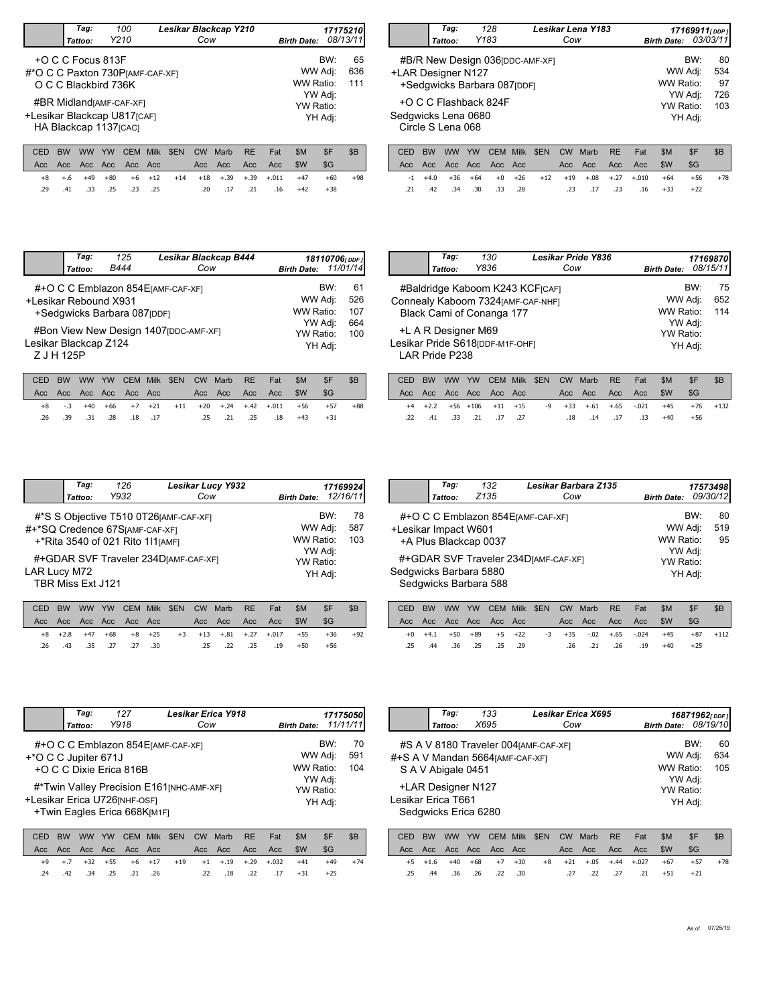|                                         | Tag:<br>Tattoo:                                  | 100<br>Y210 |             |            | Cow | Lesikar Blackcap Y210 |           |     | <b>Birth Date:</b> |                    | 17175210<br>08/13/11 |
|-----------------------------------------|--------------------------------------------------|-------------|-------------|------------|-----|-----------------------|-----------|-----|--------------------|--------------------|----------------------|
| #*O C C Paxton 730 PJAMF-CAF-XF1        | +O C C Focus 813F<br>O C C Blackbird 736K        |             |             |            |     |                       |           |     | WW Ratio:          | BW:<br>WW Adj:     | 65<br>636<br>111     |
| +Lesikar Blackcap U817 <sub>[CAF]</sub> | #BR MidlandrAMF-CAF-XF1<br>HA Blackcap 1137[CAC] |             |             |            |     |                       |           |     | <b>YW Ratio:</b>   | YW Adj:<br>YH Adj: |                      |
| CED                                     | ww<br>вw                                         | YW          | CEM<br>Milk | <b>SEN</b> | CW  | Marb                  | <b>RE</b> | Fat | \$M                | \$F                | \$B                  |

\$G

+60 +98

.20 .17 .21 .16 +42 +38

Acc Acc Acc Acc Acc - Acc Acc Acc Acc \$W

.29 .41 .33 .25 .25 .20 .17 .21 .16 .23

+8 +.6 +49 +80 +6 +12 +14 +18 +.39 +.39 +.011 +47

|                                                     | Tag:<br>Tattoo:                                        | 128<br>Y183 |      |            | Cow | Lesikar Lena Y183 |           |     | <b>Birth Date:</b> | 17169911 <sub>[DDP]</sub> | 03/03/11        |
|-----------------------------------------------------|--------------------------------------------------------|-------------|------|------------|-----|-------------------|-----------|-----|--------------------|---------------------------|-----------------|
|                                                     | #B/R New Design 036 [DDC-AMF-XF]<br>+LAR Designer N127 |             |      |            |     |                   |           |     |                    | BW:<br>WW Adj:            | 80<br>534       |
|                                                     | +Sedqwicks Barbara 087[DDF]                            |             |      |            |     |                   |           |     | WW Ratio:          |                           | 97              |
|                                                     | +O C C Flashback 824F                                  |             |      |            |     |                   |           |     | <b>YW Ratio:</b>   | YW Adj:                   | 726<br>103      |
| Sedgwicks Lena 0680<br>YH Adj:<br>Circle S Lena 068 |                                                        |             |      |            |     |                   |           |     |                    |                           |                 |
| CED                                                 | <b>BW</b><br>ww                                        | YW<br>CEM.  | Milk | <b>SEN</b> | C.W | Marh              | <b>RF</b> | Fat | \$M                | \$F                       | \$ <sub>R</sub> |

|  |  |  |  |  | CED BW WW YW CEM Milk \$EN CW Marb RE Fat \$M        | SF    | - SB |
|--|--|--|--|--|------------------------------------------------------|-------|------|
|  |  |  |  |  |                                                      |       |      |
|  |  |  |  |  | $-1$ +4.0 +36 +64 +0 +26 +12 +19 +.08 +.27 +.010 +64 | +56   | +78  |
|  |  |  |  |  | 16 +33. 23. 17. 23. 28. 18. 42. 34. 42. 42. 15.      | $+22$ |      |

|                                                              | Tag:<br>Tattoo: | 125<br>B444                  | Lesikar Blackcap B444<br>Cow                                                 | <b>Birth Date:</b>                                      | 18110706[DDF]<br>11/01/14 |                                |
|--------------------------------------------------------------|-----------------|------------------------------|------------------------------------------------------------------------------|---------------------------------------------------------|---------------------------|--------------------------------|
| +Lesikar Rebound X931<br>Lesikar Blackcap Z124<br>Z J H 125P |                 | +Sedgwicks Barbara 087 [DDF] | #+O C C Emblazon 854 EJAMF-CAF-XFI<br>#Bon View New Design 1407 [DDC-AMF-XF] | WW Adj:<br>WW Ratio:<br>YW Adj:<br>YW Ratio:<br>YH Adj: | BW:                       | 61<br>526<br>107<br>664<br>100 |

|  |  |  |  |  | CED BW WW YW CEM Milk \$EN CW Marb RE Fat \$M |                                                       | -SF   | -SB   |
|--|--|--|--|--|-----------------------------------------------|-------------------------------------------------------|-------|-------|
|  |  |  |  |  |                                               |                                                       | - SG  |       |
|  |  |  |  |  |                                               | +8 -.3 +40 +66 +7 +21 +11 +20 +.24 +.42 +.011 +56 +57 |       | $+88$ |
|  |  |  |  |  | 18. 25. 21. 25. 21. 18. 18. 28. 31. 28. 26.   | $+43$                                                 | $+31$ |       |

| Tag:                | 130                              | Lesikar Pride Y836                |                      |         | 171698701  |
|---------------------|----------------------------------|-----------------------------------|----------------------|---------|------------|
| Tattoo:             | Y836                             | Cow                               | <b>Birth Date:</b>   |         | 08/15/11   |
|                     |                                  | #Baldridge Kaboom K243 KCF[CAF]   |                      | BW:     | 75         |
|                     | Black Cami of Conanga 177        | Connealy Kaboom 7324[AMF-CAF-NHF] | WW Adj:<br>WW Ratio: |         | 652<br>114 |
| +L A R Designer M69 |                                  |                                   | YW Ratio:            | YW Adj: |            |
| LAR Pride P238      | Lesikar Pride S618 [DDF-M1F-OHF] |                                   |                      | YH Adj: |            |
|                     |                                  |                                   |                      |         |            |

|  |  |  |  | CED BW WW YW CEM Milk \$EN CW Marb RE Fat |                                                 | <b>SM</b> | -SF                                                          | -SB |
|--|--|--|--|-------------------------------------------|-------------------------------------------------|-----------|--------------------------------------------------------------|-----|
|  |  |  |  |                                           |                                                 |           | - SG                                                         |     |
|  |  |  |  |                                           |                                                 |           | +4 +2.2 +56 +106 +11 +15 -9 +33 +.61 +.65 -.021 +45 +76 +132 |     |
|  |  |  |  |                                           | 14+ 13. 17. 14. 18. 18. 27. 17. 12. 33. 41. 22. |           | $+56$                                                        |     |
|  |  |  |  |                                           |                                                 |           |                                                              |     |

|              | Tag:<br>Tattoo:   | 126<br>Y932                                                        | <b>Lesikar Lucy Y932</b><br>Cow        | <b>Birth Date:</b>              |     | 17169924<br>12/16/11 |
|--------------|-------------------|--------------------------------------------------------------------|----------------------------------------|---------------------------------|-----|----------------------|
|              |                   | #+*SQ Credence 67S[AMF-CAF-XF]<br>+*Rita 3540 of 021 Rito 1l1[AMF] | #*S S Objective T510 0T26 [AMF-CAF-XF] | WW Adj:<br>WW Ratio:            | BW: | 78<br>587<br>103     |
| LAR Lucy M72 | TBR Miss Ext J121 |                                                                    | #+GDAR SVF Traveler 234DJAMF-CAF-XFI   | YW Adj:<br>YW Ratio:<br>YH Adj: |     |                      |

|  |  |                         |  | CED BW WW YW CEM Milk \$EN CW Marb RE Fat |                                                   | -SM   |       | - SB |
|--|--|-------------------------|--|-------------------------------------------|---------------------------------------------------|-------|-------|------|
|  |  |                         |  |                                           |                                                   |       | - SG  |      |
|  |  |                         |  |                                           | +8 +2.8 +47 +68 +8 +25 +3 +13 +.81 +.27 +.017 +55 |       | $+36$ | +92  |
|  |  | .26 .43 .35 .27 .27 .30 |  |                                           | .25 .22 .25 .19                                   | $+50$ | +56   |      |

|                      | Tag:    | 132                    | Lesikar Barbara Z135                 |                    | 17573498 |          |
|----------------------|---------|------------------------|--------------------------------------|--------------------|----------|----------|
|                      | Tattoo: | Z <sub>135</sub>       | Cow                                  | <b>Birth Date:</b> |          | 09/30/12 |
|                      |         |                        | #+O C C Emblazon 854 EJAMF-CAF-XFI   |                    | BW:      | 80       |
| +Lesikar Impact W601 |         |                        |                                      | WW Adj:            |          | 519      |
|                      |         | +A Plus Blackcap 0037  |                                      | WW Ratio:          |          | 95       |
|                      |         |                        |                                      | YW Adj:            |          |          |
|                      |         |                        | #+GDAR SVF Traveler 234DJAMF-CAF-XFI | YW Ratio:          |          |          |
|                      |         | Sedgwicks Barbara 5880 |                                      | YH Adj:            |          |          |
|                      |         | Sedgwicks Barbara 588  |                                      |                    |          |          |

| CED BW WW YW CEM Milk \$EN CW Marb RE Fat         |  |                 |  |                       |  | SM <sub>3</sub> | - SF  | - SB         |
|---------------------------------------------------|--|-----------------|--|-----------------------|--|-----------------|-------|--------------|
| Acc Acc Acc Acc Acc Acc                           |  |                 |  | Acc Acc Acc Acc SW SG |  |                 |       |              |
| +0 +4.1 +50 +89 +5 +22 -3 +35 -.02 +.65 -.024 +45 |  |                 |  |                       |  |                 |       | $+87$ $+112$ |
| $.25 \quad .44$                                   |  | .36 .25 .25 .36 |  | .26 .21 .26 .19 +40   |  |                 | $+25$ |              |

|                      | Tag:<br>Tattoo: | 127<br>Y918                                                   | <b>Lesikar Erica Y918</b><br>Cow          | <b>Birth Date:</b>   |         | 17175050<br>11/11/11 |
|----------------------|-----------------|---------------------------------------------------------------|-------------------------------------------|----------------------|---------|----------------------|
| +*O C C Jupiter 671J |                 | +O C C Dixie Erica 816B                                       | #+O C C Emblazon 854 EJAMF-CAF-XFI        | WW Adj:<br>WW Ratio: | BW:     | 70<br>591<br>104     |
|                      |                 | +Lesikar Erica U726 [NHF-OSF]<br>+Twin Eagles Erica 668K[M1F] | #*Twin Valley Precision E161 [NHC-AMF-XF] | YW Adj:<br>YW Ratio: | YH Adj: |                      |

|  |  |                         |  | CED BW WW YW CEM Milk \$EN CW Marb RE Fat |                                                      | -SM |       |       |
|--|--|-------------------------|--|-------------------------------------------|------------------------------------------------------|-----|-------|-------|
|  |  |                         |  |                                           |                                                      |     | - SG  |       |
|  |  |                         |  |                                           | +9 +.7 +32 +55 +6 +17 +19 +1 +.19 +.29 +.032 +41 +49 |     |       | $+74$ |
|  |  | .24 .42 .34 .25 .21 .26 |  |                                           | .22 .18 .22 .17 +31                                  |     | $+25$ |       |

|                                  |                                                                                                                           | Tag:      |           | 133        |             |                                       |           | <b>Lesikar Erica X695</b> |           |         |                    | 16871962rppF1  |                  |
|----------------------------------|---------------------------------------------------------------------------------------------------------------------------|-----------|-----------|------------|-------------|---------------------------------------|-----------|---------------------------|-----------|---------|--------------------|----------------|------------------|
|                                  |                                                                                                                           | Tattoo:   |           | X695       |             |                                       | Cow       |                           |           |         | <b>Birth Date:</b> |                | 08/19/10         |
| #+S A V Mandan 5664 [AMF-CAF-XF] |                                                                                                                           |           |           |            |             | #S A V 8180 Traveler 004 JAMF-CAF-XFT |           |                           |           |         | WW Ratio:          | BW:<br>WW Adj: | 60<br>634<br>105 |
|                                  | S A V Abigale 0451<br>YW Adj:<br>+LAR Designer N127<br>YW Ratio:<br>Lesikar Erica T661<br>YH Adj:<br>Sedgwicks Erica 6280 |           |           |            |             |                                       |           |                           |           |         |                    |                |                  |
| CED                              | <b>BW</b>                                                                                                                 | <b>WW</b> | <b>YW</b> | <b>CEM</b> | <b>Milk</b> | \$EN                                  | <b>CW</b> | Marb                      | <b>RE</b> | Fat     | \$M                | \$F            | \$B              |
| Acc                              | Acc.                                                                                                                      | Acc.      | Acc       | Acc.       | Acc         |                                       | Acc       | Acc                       | Acc       | Acc     | \$W                | \$G            |                  |
| $+5$                             | $+1.6$                                                                                                                    | $+40$     | $+68$     | $+7$       | $+30$       | $+8$                                  | $+21$     | $+.05$                    | $+.44$    | $+.027$ | $+67$              | $+57$          | $+78$            |
| .25                              | .44                                                                                                                       | .36       | .26       | .22        | .30         |                                       | .27       | .22                       | .27       | .21     | $+51$              | $+21$          |                  |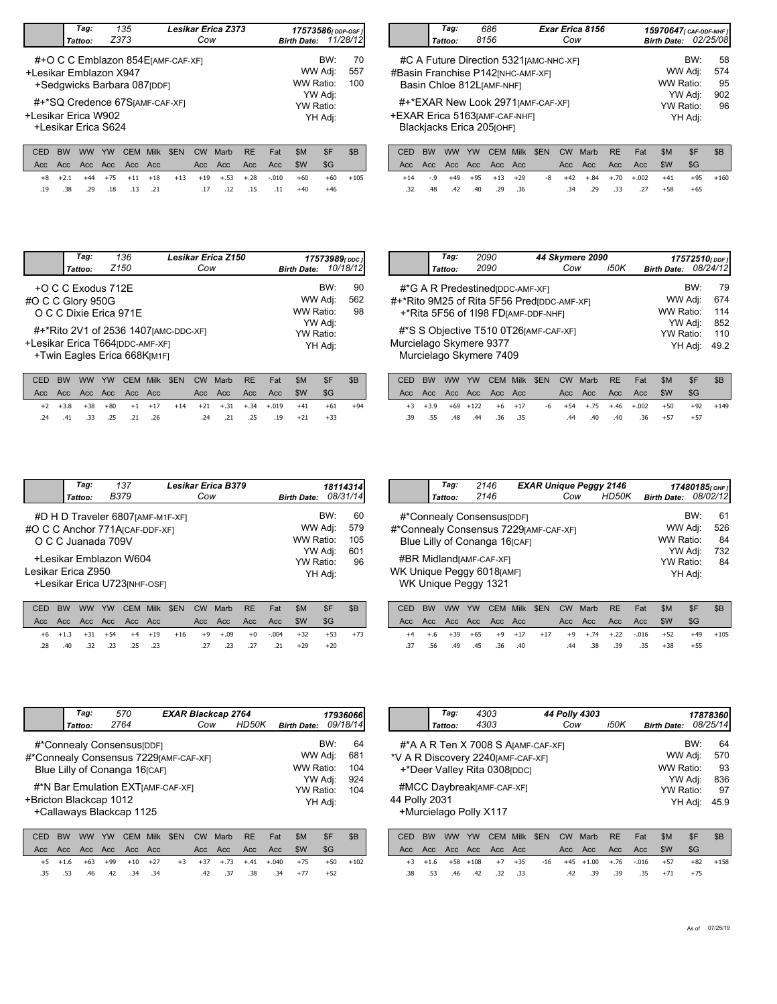|             | Taq:<br>Tattoo:                                                                            |                  | 135<br>Z373        |                                 |      | Cow               | Lesikar Erica Z373 |                  |            | <b>Birth Date:</b>    | 17573586 <sub>[DDP-OSF]</sub> | 11/28/12         |
|-------------|--------------------------------------------------------------------------------------------|------------------|--------------------|---------------------------------|------|-------------------|--------------------|------------------|------------|-----------------------|-------------------------------|------------------|
|             | #+O C C Emblazon 854 EJAMF-CAF-XF1<br>+Lesikar Emblazon X947<br>+Sedgwicks Barbara 087pDF1 |                  |                    |                                 |      |                   |                    |                  |            | WW Ratio <sup>.</sup> | BW:<br>WW Adj:                | 70<br>557<br>100 |
|             | #+*SQ Credence 67SJAMF-CAF-XFI<br>+Lesikar Erica W902<br>+Lesikar Erica S624               |                  |                    | YW Adj:<br>YW Ratio:<br>YH Adj: |      |                   |                    |                  |            |                       |                               |                  |
| CED<br>Acc. | <b>BW</b><br><b>WW</b><br>Acc<br>Acc.                                                      | <b>YW</b><br>Acc | <b>CEM</b><br>Acc. | Milk<br>- Acc                   | \$EN | <b>CW</b><br>Acc. | Marb<br>Acc        | <b>RE</b><br>Acc | Fat<br>Acc | \$M<br>\$W            | \$F<br>\$G                    | \$B              |

.19 .38 .29 .18 .21 .17 .12 .15 .11 .13

+8 +2.1 +44 +75 +11 +18 +13 +19 +.53 +.28 -.010 +60

 $.17 \t .12 \t .15 \t .11 \t +40 \t +46$ 

 $+60 +105$ 

|                                | Tag:<br>Tattoo:                                                  | 686<br>8156                                                                                                |                            | Cow     | Exar Erica 8156                 |           |     | 15970647 <sub>[CAF-DDF-NHF1</sub> ]<br><b>Birth Date:</b> |                | 02/25/08        |
|--------------------------------|------------------------------------------------------------------|------------------------------------------------------------------------------------------------------------|----------------------------|---------|---------------------------------|-----------|-----|-----------------------------------------------------------|----------------|-----------------|
|                                |                                                                  | #C A Future Direction 5321 [AMC-NHC-XF]<br>#Basin Franchise P142 [NHC-AMF-XF]<br>Basin Chloe 812LJAMF-NHF1 |                            |         |                                 |           |     | WW Ratio:                                                 | BW:<br>WW Adj: | 58<br>574<br>95 |
| +EXAR Erica 5163 [AMF-CAF-NHF] | #+*EXAR New Look 2971 [AMF-CAF-XF]<br>Blackjacks Erica 205 [OHF] |                                                                                                            |                            |         | YW Adj:<br>YW Ratio:<br>YH Adj: | 902<br>96 |     |                                                           |                |                 |
| ren.                           | <b>RW</b><br>$\mathcal{U}(\mathcal{U})$                          | $V_M$<br><b>CEM</b>                                                                                        | <b>CENI</b><br><b>Mill</b> | $C_{M}$ | Marh                            | DE        | Fot | <b>CAA</b>                                                | ¢Ε             | ¢R              |

|  |  |                                    |  | CED BW WW YW CEM Milk \$EN CW Marb RE Fat |                                             | - SM | SF -                                                   | - SB |
|--|--|------------------------------------|--|-------------------------------------------|---------------------------------------------|------|--------------------------------------------------------|------|
|  |  |                                    |  |                                           |                                             |      |                                                        |      |
|  |  | $+14$ $-9$ $+49$ $+95$ $+13$ $+29$ |  |                                           |                                             |      | $-8$ $+42$ $+0.84$ $+0.70$ $+0.002$ $+41$ $+95$ $+160$ |      |
|  |  |                                    |  |                                           | .32 .48 .42 .40 .29 .36 .34 .29 .33 .27 .58 |      | $+65$                                                  |      |
|  |  |                                    |  |                                           |                                             |      |                                                        |      |

|                   | Tag:               | 136                                                                                        | <b>Lesikar Erica Z150</b>             |                                                         |     | 17573989 (DDC)  |
|-------------------|--------------------|--------------------------------------------------------------------------------------------|---------------------------------------|---------------------------------------------------------|-----|-----------------|
|                   | Tattoo:            | Z <sub>150</sub>                                                                           | Cow                                   | <b>Birth Date:</b>                                      |     | 10/18/12        |
| #O C C Glory 950G | +O C C Exodus 712E | O C C Dixie Erica 971E<br>+Lesikar Erica T664 (DDC-AMF-XF)<br>+Twin Eagles Erica 668K[M1F] | #+*Rito 2V1 of 2536 1407 [AMC-DDC-XF] | WW Adj:<br>WW Ratio:<br>YW Adj:<br>YW Ratio:<br>YH Adj: | BW: | 90<br>562<br>98 |
|                   |                    |                                                                                            |                                       |                                                         |     |                 |

|  |  |  |  | CED BW WW YW CEM Milk \$EN CW Marb RE Fat |                                                    | \$M | -\$F  |       |
|--|--|--|--|-------------------------------------------|----------------------------------------------------|-----|-------|-------|
|  |  |  |  |                                           |                                                    |     | - SG  |       |
|  |  |  |  |                                           | +2 +3.8 +38 +80 +1 +17 +14 +21 +.31 +.34 +.019 +41 |     | $+61$ | $+94$ |
|  |  |  |  |                                           |                                                    |     | $+33$ |       |

| Tag:    | 2090                             | 44 Skymere 2090                            |      |                    |     | 17572510[DDF] |
|---------|----------------------------------|--------------------------------------------|------|--------------------|-----|---------------|
| Tattoo: | 2090                             | Cow                                        | i50K | <b>Birth Date:</b> |     | 08/24/12      |
|         | #*G A R Predestined (DDC-AMF-XF) |                                            |      |                    | BW: | 79            |
|         |                                  | #+*Rito 9M25 of Rita 5F56 Pred DDC-AMF-XFI |      | WW Adj:            |     | 674           |
|         |                                  | +*Rita 5F56 of 1198 FDIAMF-DDF-NHFI        |      | WW Ratio:          |     | 114           |
|         |                                  |                                            |      | YW Adj:            |     | 852           |
|         |                                  | #*S S Objective T510 0T26 [AMF-CAF-XF]     |      | <b>YW Ratio:</b>   |     | 110           |
|         | Murcielago Skymere 9377          |                                            |      | YH Adj:            |     | 49.2          |
|         | Murcielago Skymere 7409          |                                            |      |                    |     |               |
|         |                                  |                                            |      |                    |     |               |

|  |  |                         |  |  | CED BW WW YW CEM Milk \$EN CW Marb RE Fat | SM. | SF.                                                         | - SB |
|--|--|-------------------------|--|--|-------------------------------------------|-----|-------------------------------------------------------------|------|
|  |  |                         |  |  |                                           |     |                                                             |      |
|  |  |                         |  |  |                                           |     | +3 +3.9 +69 +122 +6 +17 -6 +54 +.75 +.46 +.002 +50 +92 +149 |      |
|  |  | .39 .55 .48 .44 .36 .35 |  |  | .44 .40 .40 .36 +57                       |     | $+57$                                                       |      |

|                    | Taq:<br>Tattoo:    | 137<br><b>B379</b>                                                                                                              | Lesikar Erica B379<br>Cow | <b>Birth Date:</b>                                      |     | 18114314<br>08/31/14          |
|--------------------|--------------------|---------------------------------------------------------------------------------------------------------------------------------|---------------------------|---------------------------------------------------------|-----|-------------------------------|
| Lesikar Erica Z950 | O C C Juanada 709V | #D H D Traveler 6807 [AMF-M1F-XF]<br>#O C C Anchor 771A [CAF-DDF-XF]<br>+Lesikar Emblazon W604<br>+Lesikar Erica U723 [NHF-OSF] |                           | WW Adj:<br>WW Ratio:<br>YW Adj:<br>YW Ratio:<br>YH Adj: | BW: | 60<br>579<br>105<br>601<br>96 |

|     |  |  |  | CED BW WW YW CEM Milk \$EN CW Marb RE Fat                                   |  | - SM | <b>SF</b> |       |
|-----|--|--|--|-----------------------------------------------------------------------------|--|------|-----------|-------|
|     |  |  |  |                                                                             |  |      | -SG       |       |
|     |  |  |  | $+6$ $+1.3$ $+31$ $+54$ $+4$ $+19$ $+16$ $+9$ $+09$ $+0$ $-004$ $+32$ $+53$ |  |      |           | $+73$ |
| .28 |  |  |  | 49 .31 .21 .23 .23 .23 .23 .23 .40 .40                                      |  |      | $+20$     |       |

|                           | Tag:                           | 2146                                   | <b>EXAR Unique Peggy 2146</b> |         |       |                    | 17480185 $_{[OHF]}$ |    |
|---------------------------|--------------------------------|----------------------------------------|-------------------------------|---------|-------|--------------------|---------------------|----|
|                           | Tattoo:                        | 2146                                   |                               | Cow     | HD50K | <b>Birth Date:</b> | 08/02/12            |    |
|                           |                                | #*Connealy Consensus [DDF]             |                               |         |       |                    | BW:                 | 61 |
|                           |                                | #*Connealy Consensus 7229 [AMF-CAF-XF] |                               | WW Adj: |       | 526                |                     |    |
|                           | Blue Lilly of Conanga 16 [CAF] |                                        | WW Ratio:                     |         | 84    |                    |                     |    |
|                           |                                |                                        | YW Adj:                       |         | 732   |                    |                     |    |
|                           |                                | #BR Midland <sub>[AMF-CAF-XF]</sub>    |                               |         |       | YW Ratio:          |                     | 84 |
| WK Unique Peggy 6018[AMF] | WK Unique Peggy 1321           | YH Adj:                                |                               |         |       |                    |                     |    |

|  |  |                         | CED BW WW YW CEM Milk \$EN CW Marb RE Fat |  |                     | - SM                                             | -SF          | -SB |
|--|--|-------------------------|-------------------------------------------|--|---------------------|--------------------------------------------------|--------------|-----|
|  |  |                         |                                           |  |                     |                                                  | -SG          |     |
|  |  |                         |                                           |  |                     | +4 +.6 +39 +65 +9 +17 +17 +9 +.74 +.22 -.016 +52 | $+49$ $+105$ |     |
|  |  | .37 .56 .49 .45 .36 .40 |                                           |  | .44 .38 .39 .35 +38 |                                                  | $+55$        |     |

|                                                        | Tag:                   | 570                                    |             | <b>EXAR Blackcap 2764</b> |           |      |           |     |                    |         | 179360661 |  |  |
|--------------------------------------------------------|------------------------|----------------------------------------|-------------|---------------------------|-----------|------|-----------|-----|--------------------|---------|-----------|--|--|
|                                                        | Tattoo:                | 2764                                   |             |                           | Cow       |      | HD50K     |     | <b>Birth Date:</b> |         | 09/18/14  |  |  |
|                                                        |                        | #*Connealy Consensus [DDF]             |             |                           |           |      |           |     |                    | BW:     | 64        |  |  |
|                                                        |                        | #*Connealy Consensus 7229 [AMF-CAF-XF] |             |                           |           |      |           |     | WW Adj:            |         | 681       |  |  |
| WW Ratio:<br>Blue Lilly of Conanga 16 <sub>[CAF]</sub> |                        |                                        |             |                           |           |      |           |     |                    |         |           |  |  |
| 924<br>YW Adj:<br>104                                  |                        |                                        |             |                           |           |      |           |     |                    |         |           |  |  |
| #*N Bar Emulation EXTIAMF-CAF-XFI<br>YW Ratio:         |                        |                                        |             |                           |           |      |           |     |                    |         |           |  |  |
| +Bricton Blackcap 1012                                 |                        |                                        |             |                           |           |      |           |     |                    | YH Adj: |           |  |  |
|                                                        |                        | +Callaways Blackcap 1125               |             |                           |           |      |           |     |                    |         |           |  |  |
|                                                        |                        |                                        |             |                           |           |      |           |     |                    |         |           |  |  |
| CED                                                    | <b>BW</b><br><b>WW</b> | <b>YW</b><br>CEM                       | <b>Milk</b> | \$EN                      | <b>CW</b> | Marb | <b>RE</b> | Fat | \$M                | \$F     | \$B       |  |  |
| Acc.                                                   | Acc Acc<br>Acc.        |                                        | Acc Acc     |                           | Acc       | Acc  | Acc       | Acc | \$W                | \$G     |           |  |  |

|  |  |  |  |  |  |                                                    | OLD DIY YYYY IYY OLIVI IVIIIN VLIY OYY IVIGID INL TOL VIVI VI VO J |          |
|--|--|--|--|--|--|----------------------------------------------------|--------------------------------------------------------------------|----------|
|  |  |  |  |  |  |                                                    |                                                                    |          |
|  |  |  |  |  |  | +5 +1.6 +63 +99 +10 +27 +3 +37 +.73 +.41 +.040 +75 |                                                                    | +50 +102 |
|  |  |  |  |  |  | .35 .53 .46 .42 .34 .34 .42 .37 .38 .34 +77 +52    |                                                                    |          |

|                                      | Taq:                               |     | 4303             |             |      |           | 44 Polly 4303 |           |     |                    |         | 17878360 |  |
|--------------------------------------|------------------------------------|-----|------------------|-------------|------|-----------|---------------|-----------|-----|--------------------|---------|----------|--|
|                                      | Tattoo:                            |     | 4303             |             |      | Cow       |               | i50K      |     | <b>Birth Date:</b> |         | 08/25/14 |  |
|                                      | #*A A R Ten X 7008 S AJAMF-CAF-XF] |     |                  |             |      |           |               |           |     |                    | BW:     | 64       |  |
|                                      | *V A R Discovery 2240 [AMF-CAF-XF] |     |                  |             |      |           |               |           |     | WW Adj:            |         | 570      |  |
|                                      | +*Deer Valley Rita 0308ppc         |     |                  |             |      |           |               |           |     | WW Ratio:          |         | 93       |  |
| YW Adj:<br>#MCC DaybreakJAMF-CAF-XFI |                                    |     |                  |             |      |           |               |           |     |                    |         |          |  |
|                                      |                                    |     | <b>YW Ratio:</b> |             | 97   |           |               |           |     |                    |         |          |  |
| 44 Polly 2031                        |                                    |     |                  |             |      |           |               |           |     |                    | YH Adj: | 45.9     |  |
| +Murcielago Polly X117               |                                    |     |                  |             |      |           |               |           |     |                    |         |          |  |
| CED                                  | BW<br>ww                           | YW  | CEM              | <b>Milk</b> | \$EN | <b>CW</b> | Marb          | <b>RE</b> | Fat | \$M                | \$F     | \$B      |  |
| Acc                                  | Acc.<br>Acc.                       | Acc | <b>Acc</b>       | Acc         |      | Acc       | Acc           | Acc       | Acc | \$W                | \$G     |          |  |

+3 +1.6 +58 +108 +7 +35 -16 +45 +1.00 +.76 -.016 +57 +82 +158

+71 +75 .38 .53 .46 .42 .33 .42 .39 .39 .35 .32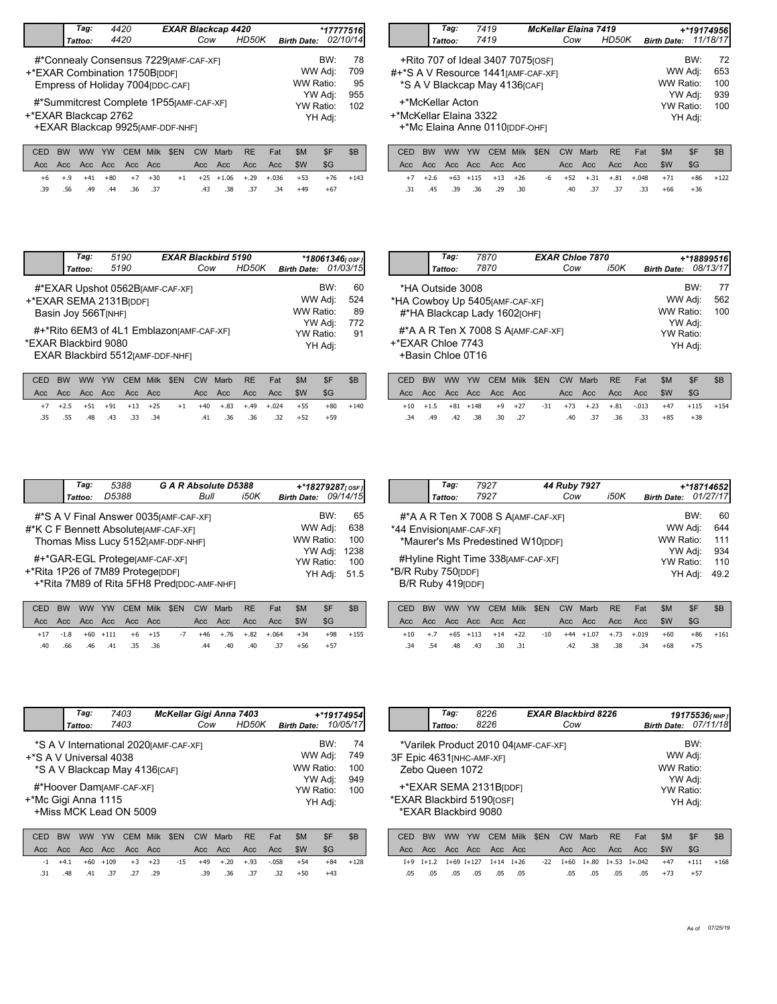|                      | Tag:                                                                         | 4420                                                                                                         |             | <b>EXAR Blackcap 4420</b> |         |            |           |     |                      |       | *17777516       |
|----------------------|------------------------------------------------------------------------------|--------------------------------------------------------------------------------------------------------------|-------------|---------------------------|---------|------------|-----------|-----|----------------------|-------|-----------------|
|                      | Tattoo:                                                                      | 4420                                                                                                         |             |                           | Cow     |            | HD50K     |     | <b>Birth Date:</b>   |       | 02/10/14        |
|                      |                                                                              | #*Connealy Consensus 7229 [AMF-CAF-XF]<br>+*EXAR Combination 1750B[DDF]<br>Empress of Holiday 7004 [DDC-CAF] |             |                           |         |            |           |     | WW Adj:<br>WW Ratio: | BW:   | 78<br>709<br>95 |
| +*EXAR Blackcap 2762 | #*Summitcrest Complete 1P55[AMF-CAF-XF]<br>+EXAR Blackcap 9925 [AMF-DDF-NHF] |                                                                                                              |             | YW Adj:<br>YW Ratio:      | YH Adj: | 955<br>102 |           |     |                      |       |                 |
| CED                  | <b>RW</b><br><b>WW</b>                                                       | YW<br>CEM.                                                                                                   | <b>Milk</b> | <b>SEN</b>                | C.W     | Marh       | <b>RF</b> | Fat | \$M                  | $S$ F | R <sub>B</sub>  |

|                        | Tag:             | 7419                                                                                                        | <b>McKellar Elaina 7419</b> |       |                    | +*19174956l        |                  |
|------------------------|------------------|-------------------------------------------------------------------------------------------------------------|-----------------------------|-------|--------------------|--------------------|------------------|
|                        | Tattoo:          | 7419                                                                                                        | Cow                         | HD50K | <b>Birth Date:</b> |                    | 11/18/17         |
|                        |                  | +Rito 707 of Ideal 3407 7075 [OSF]<br>#+*S A V Resource 1441 [AMF-CAF-XF]<br>*S A V Blackcap May 4136 [CAF] |                             |       | WW Ratio:          | BW:<br>WW Adj:     | 72<br>653<br>100 |
| +*McKellar Elaina 3322 | +*McKellar Acton | +*Mc Elaina Anne 0110 [DDF-OHF]                                                                             |                             |       | YW Ratio:          | YW Adj:<br>YH Adj: | 939<br>100       |
|                        |                  |                                                                                                             |                             |       |                    |                    |                  |

|  |  |                                    |  |  | CED BW WW YW CEM Milk \$EN CW Marb RE Fat   | - SM | -SF                                  | \$B |
|--|--|------------------------------------|--|--|---------------------------------------------|------|--------------------------------------|-----|
|  |  |                                    |  |  |                                             |      |                                      |     |
|  |  | $+6$ $+ .9$ $+41$ $+80$ $+7$ $+30$ |  |  |                                             |      | +1 +25 +1.06 +.29 +.036 +53 +76 +143 |     |
|  |  |                                    |  |  | .39 .56 .49 .44 .36 .37 .43 .38 .37 .34 +49 |      | +67                                  |     |
|  |  |                                    |  |  |                                             |      |                                      |     |

|  |  |                                      |  |  |                 | CED BW WW YW CEM Milk \$EN CW Marb RE Fat \$M \$F |                                                  | - \$B |
|--|--|--------------------------------------|--|--|-----------------|---------------------------------------------------|--------------------------------------------------|-------|
|  |  |                                      |  |  |                 |                                                   |                                                  |       |
|  |  | $+7$ $+2.6$ $+63$ $+115$ $+13$ $+26$ |  |  |                 |                                                   | $-6$ $+52$ $+31$ $+31$ $+048$ $+71$ $+86$ $+122$ |       |
|  |  | .31 .45 .39 .36 .29 .30              |  |  | .40 .37 .37 .33 | +66                                               | $+36$                                            |       |

| Tag:                                                                  | 5190                                                                         | <b>EXAR Blackbird 5190</b> |     |       | *18061346 $($ OSF $)$                        |     |                              |
|-----------------------------------------------------------------------|------------------------------------------------------------------------------|----------------------------|-----|-------|----------------------------------------------|-----|------------------------------|
| Tattoo:                                                               | 5190                                                                         |                            | Cow | HD50K | <b>Birth Date:</b>                           |     | 01/03/15                     |
| +*EXAR SEMA 2131BIDDFI<br>Basin Joy 566T[NHF]<br>*EXAR Blackbird 9080 | #*EXAR Upshot 0562BJAMF-CAF-XFI<br>#+*Rito 6EM3 of 4L1 Emblazon [AMF-CAF-XF] |                            |     |       | WW Adj:<br>WW Ratio:<br>YW Adj:<br>YW Ratio: | BW: | 60<br>524<br>89<br>772<br>91 |
|                                                                       | EXAR Blackbird 5512 [AMF-DDF-NHF]                                            |                            |     |       | YH Adj:                                      |     |                              |
|                                                                       |                                                                              |                            |     |       |                                              |     |                              |

|  |  |  |                         | CED BW WW YW CEM Milk \$EN CW Marb RE Fat |                     | – SM | -SF                                                         | -SB |
|--|--|--|-------------------------|-------------------------------------------|---------------------|------|-------------------------------------------------------------|-----|
|  |  |  |                         |                                           |                     |      | SG-                                                         |     |
|  |  |  |                         |                                           |                     |      | +7 +2.5 +51 +91 +13 +25 +1 +40 +.83 +.49 +.024 +55 +80 +140 |     |
|  |  |  | .35 .55 .48 .43 .33 .34 |                                           | .41 .36 .36 .32 +52 |      | $+59$                                                       |     |

| Tag:                                                       | 7870                                                            | <b>EXAR Chloe 7870</b>             |      |                                                         |     | +*18899516l      |
|------------------------------------------------------------|-----------------------------------------------------------------|------------------------------------|------|---------------------------------------------------------|-----|------------------|
| Tattoo:                                                    | 7870                                                            | Cow                                | i50K | <b>Birth Date:</b>                                      |     | 08/13/17         |
| *HA Outside 3008<br>+*EXAR Chloe 7743<br>+Basin Chloe 0T16 | *HA Cowboy Up 5405 [AMF-CAF-XF]<br>#*HA Blackcap Lady 1602[OHF] | #*A A R Ten X 7008 S AJAMF-CAF-XFI |      | WW Adj:<br>WW Ratio:<br>YW Adj:<br>YW Ratio:<br>YH Adj: | BW: | 77<br>562<br>100 |
|                                                            |                                                                 |                                    |      |                                                         |     |                  |

|  |                 |  |                    |  | CED BW WW YW CEM Milk \$EN CW Marb RE Fat |                 | SM.   |                                                                                         | - SB |
|--|-----------------|--|--------------------|--|-------------------------------------------|-----------------|-------|-----------------------------------------------------------------------------------------|------|
|  |                 |  |                    |  |                                           |                 |       | - SG                                                                                    |      |
|  |                 |  |                    |  |                                           |                 |       | $+10$ $+1.5$ $+81$ $+148$ $+9$ $+27$ $-31$ $+73$ $+23$ $+81$ $-013$ $+47$ $+115$ $+154$ |      |
|  | $.34 \quad .49$ |  | .42. .38. .30. .27 |  |                                           | .40 .37 .36 .33 | $+85$ | $+38$                                                                                   |      |

|                                       | Tag:                           | 5388                                       | G A R Absolute D5388                   |      |           | +*18279287 $[$ osFJ  |
|---------------------------------------|--------------------------------|--------------------------------------------|----------------------------------------|------|-----------|----------------------|
|                                       | Tattoo:                        | D5388                                      | Bull                                   | i50K |           | Birth Date: 09/14/15 |
|                                       |                                |                                            | #*S A V Final Answer 0035 [AMF-CAF-XF] |      | BW:       | 65                   |
| #*K C F Bennett Absolute [AMF-CAF-XF] |                                | WW Adj:                                    | 638                                    |      |           |                      |
|                                       |                                |                                            | Thomas Miss Lucy 5152 [AMF-DDF-NHF]    |      | WW Ratio: | 100                  |
|                                       |                                |                                            |                                        |      | YW Adj:   | 1238                 |
|                                       | #+*GAR-EGL ProtegerAMF-CAF-XF1 | <b>YW Ratio:</b>                           | 100                                    |      |           |                      |
| +*Rita 1P26 of 7M89 ProtegerDDF1      |                                | YH Adj:                                    | 51.5                                   |      |           |                      |
|                                       |                                | +*Rita 7M89 of Rita 5FH8 Pred(DDC-AMF-NHF) |                                        |      |           |                      |

|  |  |  |                         | CED BW WW YW CEM Milk \$EN CW Marb RE Fat           |  | \$M | \$F      |  |
|--|--|--|-------------------------|-----------------------------------------------------|--|-----|----------|--|
|  |  |  |                         |                                                     |  |     | - SG     |  |
|  |  |  |                         | +17 -1.8 +60 +111 +6 +15 -7 +46 +.76 +.82 +.064 +34 |  |     | +98 +155 |  |
|  |  |  | .40 .66 .46 .41 .35 .36 | .44 .40 .40 .37                                     |  | +56 | +57      |  |

| Tag:                                | 7927      | 44 Ruby 7927 |      |                    |     | +*18714652 |
|-------------------------------------|-----------|--------------|------|--------------------|-----|------------|
| Tattoo:                             | 7927      | Cow          | i50K | <b>Birth Date:</b> |     | 01/27/17   |
| #*A A R Ten X 7008 S AJAMF-CAF-XF1  |           |              |      |                    | BW: | 60         |
| *44 Envision [AMF-CAF-XF]           |           |              |      | WW Adj:            |     | 644        |
| *Maurer's Ms Predestined W10[DDF]   | WW Ratio: |              | 111  |                    |     |            |
|                                     |           |              |      | YW Adj:            |     | 934        |
| #Hyline Right Time 338 [AMF-CAF-XF] |           |              |      | <b>YW Ratio:</b>   |     | 110        |
| *B/R Ruby 750[DDF]                  |           |              |      | YH Adj:            |     | 49.2       |
| B/R Ruby 419[DDF]                   |           |              |      |                    |     |            |

|  |  |                         |  |  | CED BW WW YW CEM Milk \$EN CW Marb RE Fat             | - SM | -SF   | - SB         |
|--|--|-------------------------|--|--|-------------------------------------------------------|------|-------|--------------|
|  |  |                         |  |  |                                                       |      |       |              |
|  |  |                         |  |  | +10 +.7 +65 +113 +14 +22 -10 +44 +1.07 +.73 +.019 +60 |      |       | $+86$ $+161$ |
|  |  | .34 .54 .48 .43 .30 .31 |  |  | .42 .38 .38 .34                                       | +68  | $+75$ |              |

|                        | Tag:                                        |    | 7403 |         |      |     |      | McKellar Gigi Anna 7403 |     |                    |         | +*19174954l |  |
|------------------------|---------------------------------------------|----|------|---------|------|-----|------|-------------------------|-----|--------------------|---------|-------------|--|
|                        | Tattoo:                                     |    | 7403 |         |      | Cow |      | HD50K                   |     | <b>Birth Date:</b> |         | 10/05/17    |  |
|                        | *S A V International 2020 [AMF-CAF-XF]      |    |      |         |      |     |      |                         |     |                    | BW:     | 74          |  |
| +*S A V Universal 4038 |                                             |    |      | WW Adj: |      | 749 |      |                         |     |                    |         |             |  |
|                        | WW Ratio:<br>*S A V Blackcap May 4136 [CAF] |    |      |         |      |     |      |                         |     |                    |         |             |  |
|                        |                                             |    |      | YW Adj: | 949  |     |      |                         |     |                    |         |             |  |
|                        | #*Hoover DamjAMF-CAF-XF1                    |    |      |         |      |     |      |                         |     | YW Ratio:          |         | 100         |  |
| +*Mc Gigi Anna 1115    |                                             |    |      |         |      |     |      |                         |     |                    | YH Adj: |             |  |
| +Miss MCK Lead ON 5009 |                                             |    |      |         |      |     |      |                         |     |                    |         |             |  |
|                        |                                             |    |      |         |      |     |      |                         |     |                    |         |             |  |
| CED                    | <b>BW</b><br>ww                             | YW | CEM  | Milk    | \$EN | CW  | Marb | <b>RE</b>               | Fat | \$M                | \$F     | \$B         |  |

|  |             |  |                 |  |  |                                                                          | OLD DW WW IW OLIVINIIN OLIV OW MOND IN THE THE ONLY OF OD |            |
|--|-------------|--|-----------------|--|--|--------------------------------------------------------------------------|-----------------------------------------------------------|------------|
|  |             |  |                 |  |  |                                                                          | SG-                                                       |            |
|  |             |  |                 |  |  | $-1$ $+4.1$ $+60$ $+109$ $+3$ $+23$ $-15$ $+49$ $+20$ $+33$ $-058$ $+54$ |                                                           | $+84 +128$ |
|  | $.31$ $.48$ |  | .41 .37 .27 .29 |  |  | .39 .36 .37 .32 +50                                                      | $+43$                                                     |            |
|  |             |  |                 |  |  |                                                                          |                                                           |            |

|                                                         |                                         | Tag:<br>Tattoo: |                | 8226<br>8226                       |             |                                       | Cow       | <b>EXAR Blackbird 8226</b> |           |          | <b>Birth Date:</b>            | 19175536[NHP]                        | 07/11/18 |
|---------------------------------------------------------|-----------------------------------------|-----------------|----------------|------------------------------------|-------------|---------------------------------------|-----------|----------------------------|-----------|----------|-------------------------------|--------------------------------------|----------|
| 3F Epic 4631 [NHC-AMF-XF]<br>*EXAR Blackbird 5190 [OSF] | Zebo Queen 1072<br>*EXAR Blackbird 9080 |                 |                | +*EXAR SEMA 2131B <sub>IDDF1</sub> |             | *Varilek Product 2010 04 [AMF-CAF-XF] |           |                            |           |          | WW Ratio:<br><b>YW Ratio:</b> | BW:<br>WW Adj:<br>YW Adj:<br>YH Adj: |          |
| CED                                                     | <b>BW</b>                               | <b>WW</b>       | <b>YW</b>      | <b>CEM</b>                         | <b>Milk</b> | \$EN                                  | <b>CW</b> | Marb                       | <b>RE</b> | Fat      | \$M                           | \$F                                  | \$B      |
| Acc                                                     | Acc.                                    | Acc             | Acc            | Acc                                | Acc         |                                       | Acc       | Acc                        | Acc       | Acc      | \$W                           | \$G                                  |          |
| $I+9$                                                   | $I + 1.2$                               |                 | $I+69$ $I+127$ | $I+14$                             | $I + 26$    | $-22$                                 | $I + 60$  | $I + .80$                  | $I + .53$ | $I+.042$ | $+47$                         | $+111$                               | $+168$   |
| .05                                                     | .05                                     | .05             | .05            | .05                                | .05         |                                       | .05       | .05                        | .05       | .05      | $+73$                         | $+57$                                |          |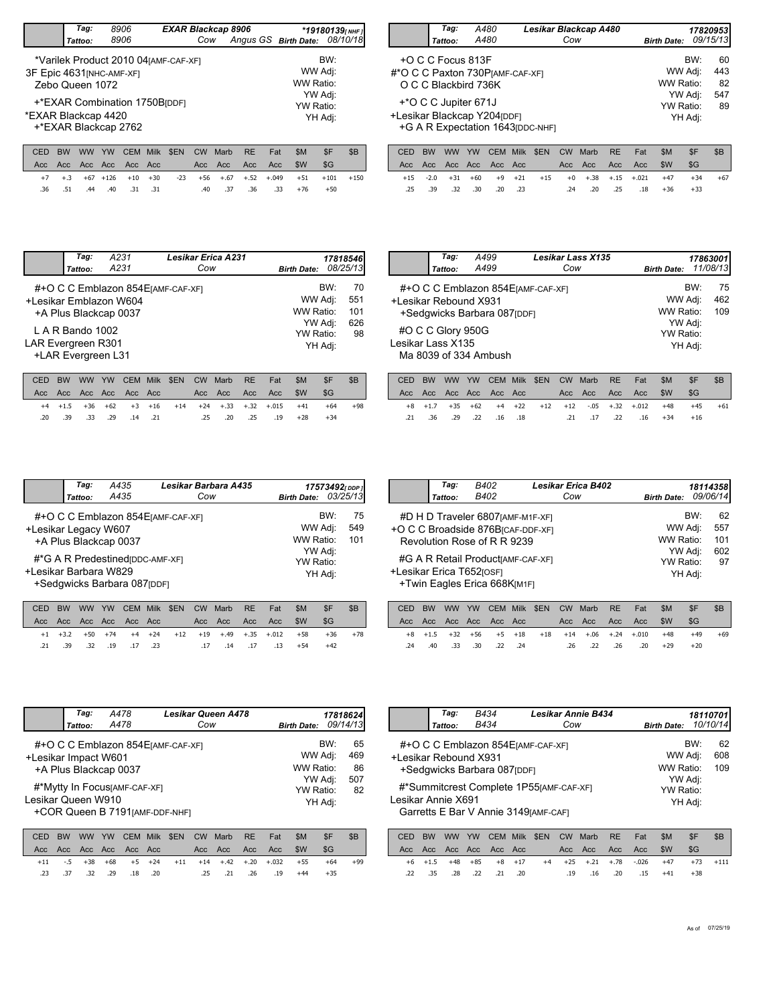|                           |                                                                         | Tag:            |           | 8906                                  |                      | <b>EXAR Blackcap 8906</b> |           |      |                               |     | $*$ 19180139 $\mu$ NHF |     |         |     |
|---------------------------|-------------------------------------------------------------------------|-----------------|-----------|---------------------------------------|----------------------|---------------------------|-----------|------|-------------------------------|-----|------------------------|-----|---------|-----|
|                           |                                                                         | Tattoo:         |           | 8906                                  |                      |                           | Cow       |      | Angus GS Birth Date: 08/10/18 |     |                        |     |         |     |
|                           |                                                                         |                 |           | *Varilek Product 2010 04 [AMF-CAF-XF] |                      |                           |           |      |                               |     |                        |     | BW:     |     |
| 3F Epic 4631 [NHC-AMF-XF] |                                                                         | Zebo Queen 1072 |           |                                       | WW Adj:<br>WW Ratio: |                           |           |      |                               |     |                        |     |         |     |
|                           |                                                                         |                 |           | YW Adj:<br>YW Ratio:                  |                      |                           |           |      |                               |     |                        |     |         |     |
|                           | +*EXAR Combination 1750B<br>*EXAR Blackcap 4420<br>+*EXAR Blackcap 2762 |                 |           |                                       |                      |                           |           |      |                               |     |                        |     | YH Adj: |     |
|                           |                                                                         |                 |           |                                       |                      |                           |           |      |                               |     |                        |     |         |     |
| CED                       | <b>BW</b>                                                               | <b>WW</b>       | <b>YW</b> | <b>CEM</b>                            | <b>Milk</b>          | \$EN                      | <b>CW</b> | Marb | <b>RE</b>                     | Fat |                        | \$M | \$F     | \$B |
| Acc                       | Acc                                                                     | Acc Acc         |           | Acc Acc                               |                      |                           | Acc       | Acc  | Acc                           | Acc |                        | \$W | \$G     |     |

|  |  |                         |  | CED BW WW YW CEM Milk \$EN CW Marb RE Fat |  | SM. | SF .                                                          | \$B |
|--|--|-------------------------|--|-------------------------------------------|--|-----|---------------------------------------------------------------|-----|
|  |  |                         |  |                                           |  |     | \$G                                                           |     |
|  |  |                         |  |                                           |  |     | +7 +.3 +67 +126 +10 +30 -23 +56 +.67 +.52 +.049 +51 +101 +150 |     |
|  |  | .36 .51 .44 .40 .31 .31 |  | .40 .37 .36 .33                           |  | +76 | $+50$                                                         |     |

| Tag:<br>Tattoo:                                                   | A480<br>A480                                                    | Lesikar Blackcap A480<br>Cow      | <b>Birth Date:</b>                                      |     | 17820953<br>09/15/13         |
|-------------------------------------------------------------------|-----------------------------------------------------------------|-----------------------------------|---------------------------------------------------------|-----|------------------------------|
| +O C C Focus 813F<br>O C C Blackbird 736K<br>+*O C C Jupiter 671J | #*O C C Paxton 730 PJAMF-CAF-XF1<br>+Lesikar Blackcap Y204[DDF] | +G A R Expectation 1643 [DDC-NHF] | WW Adj:<br>WW Ratio:<br>YW Adj:<br>YW Ratio:<br>YH Adj: | BW: | 60<br>443<br>82<br>547<br>89 |

|  |  |  |  |  | CED BW WW YW CEM Milk \$EN CW Marb RE Fat \$M \$F   |       | - SB  |
|--|--|--|--|--|-----------------------------------------------------|-------|-------|
|  |  |  |  |  |                                                     |       |       |
|  |  |  |  |  | +15 -2.0 +31 +60 +9 +21 +15 +0 +.38 +.15 +.021 +47  | $+34$ | $+67$ |
|  |  |  |  |  | 18 +36. 25. 20. 24. 24. 25. 30. 30. 30. 32. 39. 35. | $+33$ |       |

|                        | Tag:<br>Tattoo:                        | A231<br>A231                                                |             |      | Cow            | <b>Lesikar Erica A231</b> |           |          | <b>Birth Date:</b> |                    | 17818546<br>08/25/13 |
|------------------------|----------------------------------------|-------------------------------------------------------------|-------------|------|----------------|---------------------------|-----------|----------|--------------------|--------------------|----------------------|
| +Lesikar Emblazon W604 |                                        | #+O C C Emblazon 854 EJAMF-CAF-XFI<br>+A Plus Blackcap 0037 |             |      |                |                           |           |          | WW Ratio:          | BW:<br>WW Adj:     | 70<br>551<br>101     |
| LAR Evergreen R301     | L A R Bando 1002<br>+LAR Evergreen L31 |                                                             |             |      |                |                           |           |          | YW Ratio:          | YW Adj:<br>YH Adj: | 626<br>98            |
| <b>CED</b>             | <b>DIAI</b><br>$\mathbf{Y}$            | V <sub>M</sub><br>CEM                                       | <b>MAIL</b> | CENI | C <sub>1</sub> | $M$ orb                   | <b>DE</b> | $E \sim$ | <b>CAA</b>         | C                  | <b>CD</b>            |

|     |     |  |                 |  | CED BW WW YW CEM Milk \$EN CW Marb RE Fat |                     | -SM                                                | -\$F  |       |
|-----|-----|--|-----------------|--|-------------------------------------------|---------------------|----------------------------------------------------|-------|-------|
|     |     |  |                 |  |                                           |                     |                                                    | - SG  |       |
|     |     |  |                 |  |                                           |                     | +4 +1.5 +36 +62 +3 +16 +14 +24 +.33 +.32 +.015 +41 | $+64$ | $+98$ |
| .20 | .39 |  | .33 .29 .14 .21 |  |                                           | .25 .20 .25 .19 +28 |                                                    | $+34$ |       |

|                                                                                                                                                                                                                                 | Tag:<br>Tattoo: | A499<br>A499 | <b>Lesikar Lass X135</b><br>Cow | <b>Birth Date:</b> | 17863001<br>11/08/13 |                  |
|---------------------------------------------------------------------------------------------------------------------------------------------------------------------------------------------------------------------------------|-----------------|--------------|---------------------------------|--------------------|----------------------|------------------|
| BW:<br>#+O C C Emblazon 854 EJAMF-CAF-XFI<br>WW Adj:<br>+Lesikar Rebound X931<br>WW Ratio:<br>+Sedgwicks Barbara 087[DDF]<br>YW Adj:<br>#O C C Glory 950G<br>YW Ratio:<br>Lesikar Lass X135<br>YH Adj:<br>Ma 8039 of 334 Ambush |                 |              |                                 |                    |                      | 75<br>462<br>109 |

|  |  |                         |  |  |  | CED BW WW YW CEM Milk \$EN CW Marb RE Fat \$M \$F  |       | SB    |
|--|--|-------------------------|--|--|--|----------------------------------------------------|-------|-------|
|  |  |                         |  |  |  |                                                    |       |       |
|  |  |                         |  |  |  | +8 +1.7 +35 +62 +4 +22 +12 +12 -.05 +.32 +.012 +48 | $+45$ | $+61$ |
|  |  | .21 .36 .29 .22 .16 .18 |  |  |  | .21 .17 .22 .16 +34                                | $+16$ |       |

|                                               | Tag:<br>Tattoo: | A435<br>A435                                                                             | Lesikar Barbara A435<br>Cow        | Birth Date: 03/25/13                                    |     | 17573492[DDP]    |
|-----------------------------------------------|-----------------|------------------------------------------------------------------------------------------|------------------------------------|---------------------------------------------------------|-----|------------------|
| +Lesikar Legacy W607<br>+Lesikar Barbara W829 |                 | +A Plus Blackcap 0037<br>#*G A R Predestined [DDC-AMF-XF]<br>+Sedgwicks Barbara 087[DDF] | #+O C C Emblazon 854 EJAMF-CAF-XFI | WW Adj:<br>WW Ratio:<br>YW Adj:<br>YW Ratio:<br>YH Adj: | BW: | 75<br>549<br>101 |

|  |  |  |  | CED BW WW YW CEM Milk \$EN CW Marb RE Fat |                               | SM-                                                |       | \$B   |
|--|--|--|--|-------------------------------------------|-------------------------------|----------------------------------------------------|-------|-------|
|  |  |  |  |                                           |                               |                                                    | - SG  |       |
|  |  |  |  |                                           |                               | +1 +3.2 +50 +74 +4 +24 +12 +19 +.49 +.35 +.012 +58 | $+36$ | $+78$ |
|  |  |  |  |                                           | 13 +54 13. 17. 14. 17. 14. 23 |                                                    | $+42$ |       |

|                          | Tag:    | B402                         | <b>Lesikar Erica B402</b>                     |                    |         | 18114358 |
|--------------------------|---------|------------------------------|-----------------------------------------------|--------------------|---------|----------|
|                          | Tattoo: | B402                         | Cow                                           | <b>Birth Date:</b> |         | 09/06/14 |
|                          |         |                              | #D H D Traveler 6807 [AMF-M1F-XF]             |                    | BW:     | 62       |
|                          |         |                              | +O C C Broadside 876B <sub>ICAF-DDF-XFI</sub> | WW Adj:            |         | 557      |
|                          |         | Revolution Rose of R R 9239  |                                               | WW Ratio:          |         | 101      |
|                          |         |                              | #G A R Retail Product [AMF-CAF-XF]            | YW Adj:            |         | 602      |
|                          |         |                              |                                               | <b>YW Ratio:</b>   |         | 97       |
| +Lesikar Erica T652rosF1 |         | +Twin Eagles Erica 668K[M1F] |                                               |                    | YH Adj: |          |

|  |  |                         |  | CED BW WW YW CEM Milk \$EN CW Marb RE Fat      |                     | -SM | -SF   | - SB |
|--|--|-------------------------|--|------------------------------------------------|---------------------|-----|-------|------|
|  |  |                         |  |                                                |                     |     |       |      |
|  |  |                         |  | +8 +1.5 +32 +56 +5 +18 +18 +14 +.06 +.24 +.010 |                     | +48 | $+49$ | +69  |
|  |  | .24 .40 .33 .30 .22 .24 |  |                                                | .26 .22 .26 .20 +29 |     | $+20$ |      |

|                      | Tag:<br>Tattoo: | A478<br>A478                                                     | <b>Lesikar Queen A478</b><br>Cow   | <b>Birth Date:</b>              | 17818624<br>09/14/13 |                 |
|----------------------|-----------------|------------------------------------------------------------------|------------------------------------|---------------------------------|----------------------|-----------------|
| +Lesikar Impact W601 |                 | +A Plus Blackcap 0037                                            | #+O C C Emblazon 854 EJAMF-CAF-XFI | WW Adj:<br>WW Ratio:            | BW:                  | 65<br>469<br>86 |
| Lesikar Queen W910   |                 | #*Mytty In Focus [AMF-CAF-XF]<br>+COR Queen B 7191 [AMF-DDF-NHF] |                                    | YW Adj:<br>YW Ratio:<br>YH Adj: |                      | 507<br>82       |

|  |  |                         |  | CED BW WW YW CEM Milk \$EN CW Marb RE Fat |                                                      | -SM | SF.   |       |
|--|--|-------------------------|--|-------------------------------------------|------------------------------------------------------|-----|-------|-------|
|  |  |                         |  |                                           |                                                      |     | SG-   |       |
|  |  |                         |  |                                           | $+11$ -.5 +38 +68 +5 +24 +11 +14 +.42 +.20 +.032 +55 |     | $+64$ | $+99$ |
|  |  | .23 .37 .32 .29 .18 .20 |  |                                           | .25 .21 .26 .19 +44                                  |     | $+35$ |       |

|                    | Tag:                                                                             | B434                                                                                        |                    |           | <b>Lesikar Annie B434</b> |                |                  |                    |     | 18110701 |
|--------------------|----------------------------------------------------------------------------------|---------------------------------------------------------------------------------------------|--------------------|-----------|---------------------------|----------------|------------------|--------------------|-----|----------|
|                    | Tattoo:                                                                          | B434                                                                                        |                    | Cow       |                           |                |                  | <b>Birth Date:</b> |     | 10/10/14 |
|                    |                                                                                  | #+O C C Emblazon 854 EJAMF-CAF-XFI<br>+Lesikar Rebound X931<br>+Sedgwicks Barbara 087 [DDF] |                    |           | WW Ratio:                 | BW:<br>WW Adj: | 62<br>608<br>109 |                    |     |          |
| Lesikar Annie X691 | #*Summitcrest Complete 1P55[AMF-CAF-XF]<br>Garretts E Bar V Annie 3149 [AMF-CAF] |                                                                                             |                    | YW Ratio: | YW Adj:<br>YH Adj:        |                |                  |                    |     |          |
| CED                | RW<br><b>WW</b>                                                                  | YW<br>CEM                                                                                   | Milk<br><b>SEN</b> | <b>CW</b> | Marb                      | RE             | Fat              | \$M                | \$F | \$B      |

|  |  |                          |  |  |  |                        | CED BW WW YW CEM MIIK \$EN CW Marb RE Fat \$MI \$F \$BI    |  |
|--|--|--------------------------|--|--|--|------------------------|------------------------------------------------------------|--|
|  |  |                          |  |  |  |                        |                                                            |  |
|  |  |                          |  |  |  |                        | +6 +1.5 +48 +85 +8 +17 +4 +25 +.21 +.78 -.026 +47 +73 +111 |  |
|  |  | .22. .35 .28 .22 .21 .20 |  |  |  | 19 .16 .20 .15 +41 +38 |                                                            |  |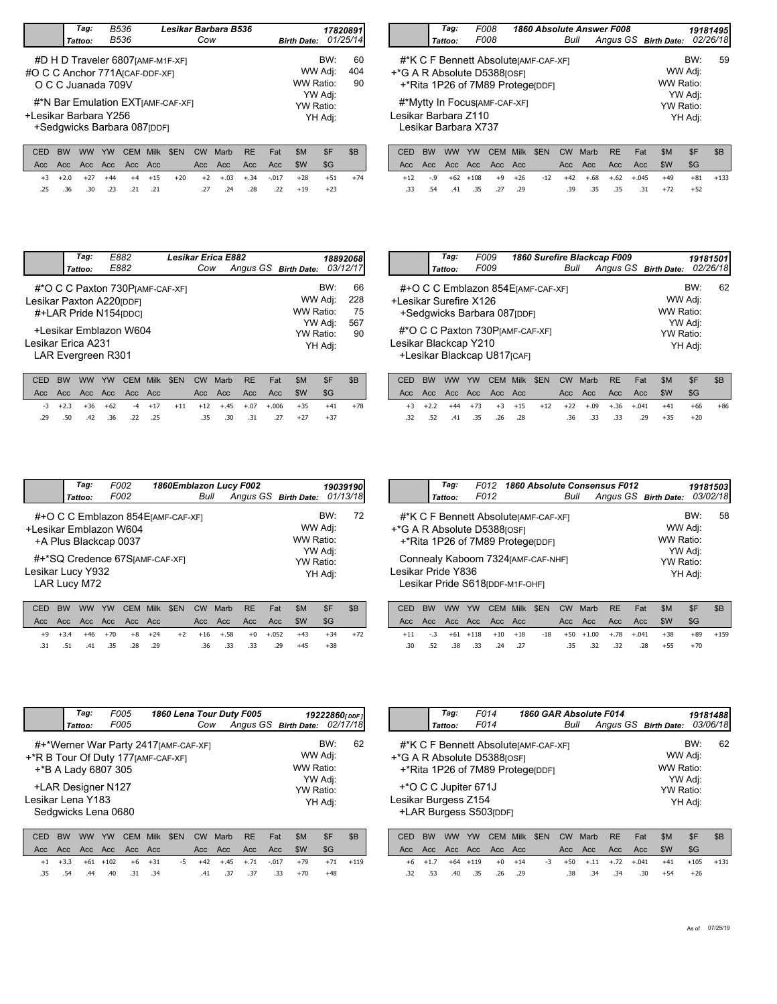|                                 | Tag:<br>Tattoo:                                                   | B536<br>B536 |             |                    | Lesikar Barbara B536 | Cow               |                 |                  |            | <b>Birth Date:</b> |            | 17820891<br>01/25/14 |
|---------------------------------|-------------------------------------------------------------------|--------------|-------------|--------------------|----------------------|-------------------|-----------------|------------------|------------|--------------------|------------|----------------------|
| #O C C Anchor 771A [CAF-DDF-XF] | #D H D Traveler 6807 [AMF-M1F-XF]<br>O C C Juanada 709V           |              |             |                    | WW Ratio:            | BW:<br>WW Adj:    | 60<br>404<br>90 |                  |            |                    |            |                      |
| +Lesikar Barbara Y256           | #*N Bar Emulation EXTIAMF-CAF-XFI<br>+Sedgwicks Barbara 087 [DDF] |              | YW Ratio:   | YW Adj:<br>YH Adi: |                      |                   |                 |                  |            |                    |            |                      |
| CED<br>Acc.                     | <b>BW</b><br><b>WW</b><br>Acc.<br>Acc.                            | YW<br>Acc    | CEM<br>Acc. | Milk<br>Acc        | \$EN                 | <b>CW</b><br>Acc. | Marb<br>Acc     | <b>RE</b><br>Acc | Fat<br>Acc | \$M<br>\$W         | \$F<br>\$G | \$B                  |

|        | Tag:                                                                         | F008                 | 1860 Absolute Answer F008  |                           |                      | 19181495                   |   |           |  |  |  |  |  |  |
|--------|------------------------------------------------------------------------------|----------------------|----------------------------|---------------------------|----------------------|----------------------------|---|-----------|--|--|--|--|--|--|
|        | Tattoo:                                                                      | F008                 |                            | Bull                      | Angus GS Birth Date: |                            |   | 02/26/18  |  |  |  |  |  |  |
|        | #*K C F Bennett AbsoluterAMF-CAF-XF1                                         |                      | BW:<br>WW Adj:             | 59                        |                      |                            |   |           |  |  |  |  |  |  |
|        | +*G A R Absolute D5388[OSF]<br>WW Ratio:<br>+*Rita 1P26 of 7M89 ProtegerDDF1 |                      |                            |                           |                      |                            |   |           |  |  |  |  |  |  |
|        | #*Mytty In FocusJAMF-CAF-XF]                                                 |                      |                            |                           |                      |                            |   |           |  |  |  |  |  |  |
|        | YW Ratio:<br>Lesikar Barbara Z110<br>YH Adj:<br>Lesikar Barbara X737         |                      |                            |                           |                      |                            |   |           |  |  |  |  |  |  |
| $\cap$ | <b>DIAL</b><br><b>IANAL</b>                                                  | CFAA<br>$\sqrt{111}$ | C <sub>CDM</sub><br>A AILL | C <sub>1</sub><br>$M$ orb | DГ                   | <b>CAA</b><br>$F_{\alpha}$ | C | <b>CD</b> |  |  |  |  |  |  |

|  |  |  |  |  | CED BW WW YW CEM Milk \$EN CW Marb RE Fat \$M \$F |                                                       | SB    |
|--|--|--|--|--|---------------------------------------------------|-------------------------------------------------------|-------|
|  |  |  |  |  |                                                   |                                                       |       |
|  |  |  |  |  |                                                   | +3 +2.0 +27 +44 +4 +15 +20 +2 +.03 +.34 -.017 +28 +51 | $+74$ |
|  |  |  |  |  | 130 .36 .30 .21 .21 .27 .24 .28 .22 +19 +23       |                                                       |       |

|         |  |  |  |  |  | CED BW WW YW CEM Milk \$EN CW Marb RE Fat \$M \$F   |            | $\overline{\phantom{a}}$ $\overline{\phantom{a}}$ $\overline{\phantom{a}}$ $\overline{\phantom{a}}$ $\overline{\phantom{a}}$ $\overline{\phantom{a}}$ $\overline{\phantom{a}}$ $\overline{\phantom{a}}$ $\overline{\phantom{a}}$ $\overline{\phantom{a}}$ $\overline{\phantom{a}}$ $\overline{\phantom{a}}$ $\overline{\phantom{a}}$ $\overline{\phantom{a}}$ $\overline{\phantom{a}}$ $\overline{\phantom{a}}$ $\overline{\phantom{a}}$ $\overline{\phantom{a}}$ $\overline{\$ |
|---------|--|--|--|--|--|-----------------------------------------------------|------------|---------------------------------------------------------------------------------------------------------------------------------------------------------------------------------------------------------------------------------------------------------------------------------------------------------------------------------------------------------------------------------------------------------------------------------------------------------------------------------|
|         |  |  |  |  |  |                                                     |            |                                                                                                                                                                                                                                                                                                                                                                                                                                                                                 |
|         |  |  |  |  |  | +12 -.9 +62 +108 +9 +26 -12 +42 +.68 +.62 +.045 +49 | $+81 +133$ |                                                                                                                                                                                                                                                                                                                                                                                                                                                                                 |
| $.33 -$ |  |  |  |  |  | .54 .41 .35 .27 .29 .39 .35 .35 .31 +72             | $+52$      |                                                                                                                                                                                                                                                                                                                                                                                                                                                                                 |
|         |  |  |  |  |  |                                                     |            |                                                                                                                                                                                                                                                                                                                                                                                                                                                                                 |

| E882<br>03/12/17<br>Angus GS Birth Date:<br>Cow<br>Tattoo:<br>BW:<br>#*O C C Paxton 730 P[AMF-CAF-XF]<br>WW Adj:<br>Lesikar Paxton A220[DDF]<br>WW Ratio:<br>#+LAR Pride N154[DDC]<br>YW Adj:<br>+Lesikar Emblazon W604<br>YW Ratio:<br>Lesikar Erica A231<br>YH Adj:<br><b>LAR Evergreen R301</b> | Tag: | E882 | <b>Lesikar Erica E882</b> |  |  | 188920681       |
|----------------------------------------------------------------------------------------------------------------------------------------------------------------------------------------------------------------------------------------------------------------------------------------------------|------|------|---------------------------|--|--|-----------------|
|                                                                                                                                                                                                                                                                                                    |      |      |                           |  |  |                 |
|                                                                                                                                                                                                                                                                                                    |      |      |                           |  |  | 66<br>228<br>75 |
|                                                                                                                                                                                                                                                                                                    |      |      |                           |  |  | 567<br>90       |

|         |     |  |                  |  | CED BW WW YW CEM Milk \$EN CW Marb RE Fat |                                                                            | SM. | - SF  | -SB   |
|---------|-----|--|------------------|--|-------------------------------------------|----------------------------------------------------------------------------|-----|-------|-------|
|         |     |  |                  |  |                                           |                                                                            |     | - SG  |       |
|         |     |  |                  |  |                                           | $-3$ $+2.3$ $+36$ $+62$ $-4$ $+17$ $+11$ $+12$ $+.45$ $+.07$ $+.006$ $+35$ |     | $+41$ | $+78$ |
| $.29 -$ | .50 |  | .42. .36 .22 .25 |  |                                           | .35 .30 .31 .27 +27                                                        |     | $+37$ |       |
|         |     |  |                  |  |                                           |                                                                            |     |       |       |

|                        | Tag:    | F009                        | 1860 Surefire Blackcap F009        |                      |                      |         | 19181501 |
|------------------------|---------|-----------------------------|------------------------------------|----------------------|----------------------|---------|----------|
|                        | Tattoo: | F009                        | Bull                               | Angus GS Birth Date: |                      |         | 02/26/18 |
| +Lesikar Surefire X126 |         | +Sedgwicks Barbara 087[DDF] | #+O C C Emblazon 854 EJAMF-CAF-XFI |                      | WW Adj:<br>WW Ratio: | BW:     | 62       |
| Lesikar Blackcap Y210  |         | +Lesikar Blackcap U817[CAF] | #*O C C Paxton 730 PJAMF-CAF-XF1   |                      | YW Adj:<br>YW Ratio: | YH Adj: |          |

|  |  |  |  |  | CED BW WW YW CEM Milk \$EN CW Marb RE Fat \$M \$F  |       | ⊪ \$B |
|--|--|--|--|--|----------------------------------------------------|-------|-------|
|  |  |  |  |  |                                                    |       |       |
|  |  |  |  |  | +3 +2.2 +44 +73 +3 +15 +12 +22 +.09 +.36 +.041 +41 | +66   | +86   |
|  |  |  |  |  | .32 .52 .41 .35 .26 .28 .33 .33 .29 +35            | $+20$ |       |
|  |  |  |  |  |                                                    |       |       |

|                   | Tag:         | F002                                            | 1860Emblazon Lucy F002             |                      |                      |                    | 19039190 |
|-------------------|--------------|-------------------------------------------------|------------------------------------|----------------------|----------------------|--------------------|----------|
|                   | Tattoo:      | F002                                            | Bull                               | Angus GS Birth Date: |                      |                    | 01/13/18 |
|                   |              | +Lesikar Emblazon W604<br>+A Plus Blackcap 0037 | #+O C C Emblazon 854 EJAMF-CAF-XFI |                      | WW Adj:<br>WW Ratio: | BW:                | 72       |
| Lesikar Lucy Y932 | LAR Lucy M72 |                                                 | #+*SQ Credence 67S[AMF-CAF-XF]     |                      | YW Ratio:            | YW Adj:<br>YH Adj: |          |

|  |  |                         |  | CED BW WW YW CEM Milk \$EN CW Marb RE Fat       |  | - SM  | -SF   | - SB  |
|--|--|-------------------------|--|-------------------------------------------------|--|-------|-------|-------|
|  |  |                         |  |                                                 |  |       | - SG  |       |
|  |  |                         |  | +9 +3.4 +46 +70 +8 +24 +2 +16 +.58 +0 +.052 +43 |  |       | $+34$ | $+72$ |
|  |  | .31 .51 .41 .35 .28 .29 |  | .36 .33 .33 .29                                 |  | $+45$ | $+38$ |       |

| Tag:<br>Tattoo:                          | F012 | F012 1860 Absolute Consensus F012                                         | Bull | Angus GS Birth Date: |                      | 19181503<br>03/02/18 |    |
|------------------------------------------|------|---------------------------------------------------------------------------|------|----------------------|----------------------|----------------------|----|
| <sup>+</sup> *G A R Absolute D5388 [OSF] |      | #*K C F Bennett Absolute [AMF-CAF-XF]<br>+*Rita 1P26 of 7M89 ProtegerDDF1 |      |                      | WW Adj:<br>WW Ratio: | BW:                  | 58 |
| Lesikar Pride Y836                       |      | Connealy Kaboom 7324 [AMF-CAF-NHF]<br>Lesikar Pride S618 [DDF-M1F-OHF]    |      |                      | YW Adj:<br>YW Ratio: | YH Adj:              |    |

|  |  |                         |  |  | CED BW WW YW CEM Milk \$EN CW Marb RE Fat | SM                                                      | $S_{\text{F}}$ | - SB       |
|--|--|-------------------------|--|--|-------------------------------------------|---------------------------------------------------------|----------------|------------|
|  |  |                         |  |  |                                           |                                                         |                |            |
|  |  |                         |  |  |                                           | $+11$ -.3 +61 +118 +10 +18 -18 +50 +1.00 +.78 +.041 +38 |                | $+89 +159$ |
|  |  | .30 .52 .38 .33 .24 .27 |  |  | .35 .32 .32 .28                           | +55                                                     | $+70$          |            |

|                   | Tag:               | <i>F005</i>                                                                                        |      |      |           |      | 1860 Lena Tour Duty F005      |            |                                 | 19222860(DDF) |
|-------------------|--------------------|----------------------------------------------------------------------------------------------------|------|------|-----------|------|-------------------------------|------------|---------------------------------|---------------|
|                   | Tattoo:            | <i>F005</i>                                                                                        |      |      | Cow       |      | Angus GS Birth Date: 02/17/18 |            |                                 |               |
|                   |                    | #+*Werner War Party 2417[AMF-CAF-XF]<br>+*R B Tour Of Duty 177 [AMF-CAF-XF]<br>+*B A Lady 6807 305 |      |      |           |      |                               |            | BW:<br>WW Adj:<br>WW Ratio:     | 62            |
| Lesikar Lena Y183 | +LAR Designer N127 | Sedgwicks Lena 0680                                                                                |      |      |           |      |                               |            | YW Adj:<br>YW Ratio:<br>YH Adj: |               |
| CED               | BW<br>ww           | YW<br><b>CEM</b>                                                                                   | Milk | \$EN | <b>CW</b> | Marb | <b>RE</b>                     | \$M<br>Fat | \$F                             | \$B           |

|  |         |  |                 |  |  |                     | UED BW WW YW UEM MIIK SEN UW MAID RE FAIL SM SF SB          |  |
|--|---------|--|-----------------|--|--|---------------------|-------------------------------------------------------------|--|
|  |         |  |                 |  |  |                     |                                                             |  |
|  |         |  |                 |  |  |                     | +1 +3.3 +61 +102 +6 +31 -5 +42 +.45 +.71 -.017 +79 +71 +119 |  |
|  | .35 .54 |  | .44 .40 .31 .34 |  |  | .41 .37 .37 .33 +70 | $+48$                                                       |  |

|                                                     |           | Tag:                 |        | F014                   |             | 1860 GAR Absolute F014                                                   |           |        |           |         |                                          |                           | 19181488 |
|-----------------------------------------------------|-----------|----------------------|--------|------------------------|-------------|--------------------------------------------------------------------------|-----------|--------|-----------|---------|------------------------------------------|---------------------------|----------|
|                                                     |           | Tattoo:              |        | F014                   |             |                                                                          | Bull      |        |           |         | Angus GS Birth Date:                     |                           | 03/06/18 |
| +*G A R Absolute D5388[OSF]<br>Lesikar Burgess Z154 |           | +*O C C Jupiter 671J |        | +LAR Burgess S503[DDF] |             | #*K C F Bennett AbsoluterAMF-CAF-XF1<br>+*Rita 1P26 of 7M89 ProtegerDDF1 |           |        |           |         | WW Adj:<br>WW Ratio:<br><b>YW Ratio:</b> | BW:<br>YW Adj:<br>YH Adj: | 62       |
| CED                                                 | <b>BW</b> | <b>WW</b>            | YW     | <b>CEM</b>             | <b>Milk</b> | \$EN                                                                     | <b>CW</b> | Marb   | <b>RE</b> | Fat     | \$M                                      | \$F                       | \$B      |
| Acc                                                 | Acc.      | Acc.                 | Acc    | Acc.                   | Acc         |                                                                          | Acc       | Acc    | Acc       | Acc     | \$W                                      | S <sub>G</sub>            |          |
| $+6$                                                | $+1.7$    | $+64$                | $+119$ | $+0$                   | $+14$       | -3                                                                       | $+50$     | $+.11$ | $+.72$    | $+.041$ | $+41$                                    | $+105$                    | $+131$   |

.32 .53 .40 .35 .29 .38 .34 .34 .30 .26

+54 +26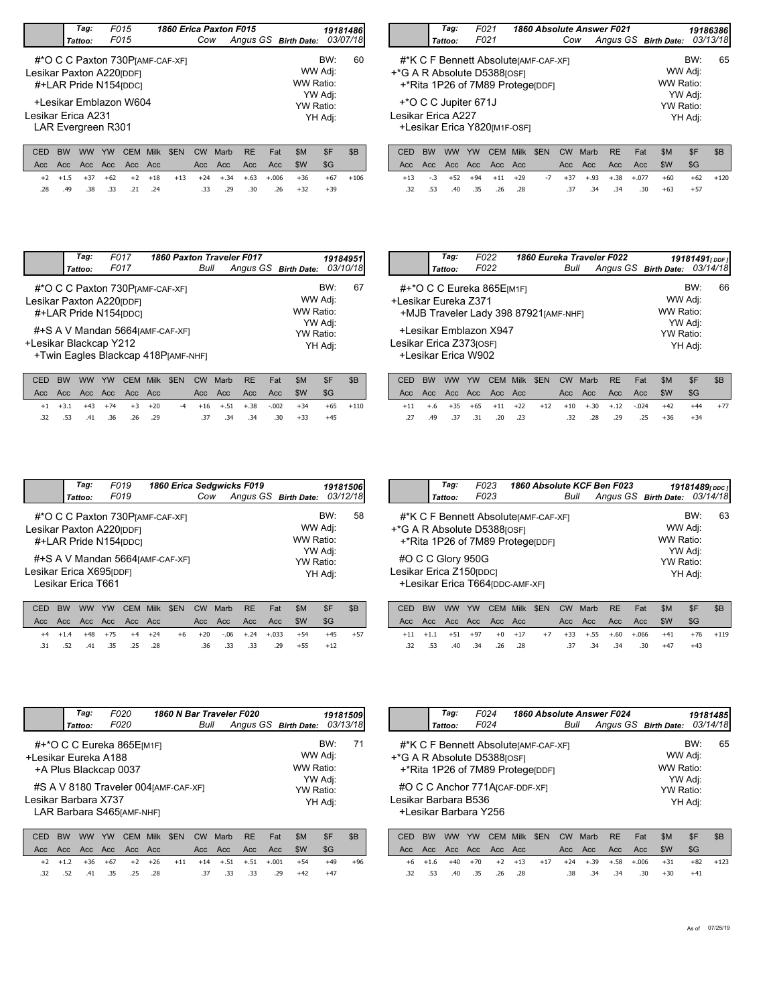|                    | Tag:                                                                                                                                                                    |     | F015 |             | 1860 Erica Paxton F015 |           |      |           |     |                      |         | 19181486 |
|--------------------|-------------------------------------------------------------------------------------------------------------------------------------------------------------------------|-----|------|-------------|------------------------|-----------|------|-----------|-----|----------------------|---------|----------|
|                    | Tattoo:                                                                                                                                                                 |     | F015 |             |                        | Cow       |      |           |     | Angus GS Birth Date: |         | 03/07/18 |
|                    | BW:<br>#*O C C Paxton 730 PJAME-CAF-XFI<br>WW Adj:<br>Lesikar Paxton A220[DDF]<br>WW Ratio:<br>#+LAR Pride N154 [DDC]<br>YW Adj:<br>+Lesikar Emblazon W604<br>YW Ratio: |     |      |             |                        |           |      |           |     |                      |         |          |
| Lesikar Erica A231 | LAR Evergreen R301                                                                                                                                                      |     |      |             |                        |           |      |           |     |                      | YH Adj: |          |
| CED                | <b>BW</b><br><b>WW</b>                                                                                                                                                  | YW  | CEM  | <b>Milk</b> | \$EN                   | <b>CW</b> | Marb | <b>RE</b> | Fat | \$M                  | \$F     | \$B      |
| Acc                | Acc.<br>Acc.                                                                                                                                                            | Acc | Acc. | Acc         |                        | Acc.      | Acc. | Acc.      | Acc | \$W                  | \$G     |          |

+2 +1.5 +37 +62 +2 +18 +13 +24 +.34 +.63 +.006 +36 +67 +106

+32 +39

+36

+1.5 +37 +62 +18 +24 +.34 +.63 +.006

.28 .49 .38 .33 .24 .33 .29 .30 .26 .21

|                    | Tag:                                                                                                                                             | F021                         |                       | 1860 Absolute Answer F021 |         |                       |                      |         | 19186386  |  |  |  |  |
|--------------------|--------------------------------------------------------------------------------------------------------------------------------------------------|------------------------------|-----------------------|---------------------------|---------|-----------------------|----------------------|---------|-----------|--|--|--|--|
|                    | Tattoo:                                                                                                                                          | F021                         |                       | Cow                       |         |                       | Angus GS Birth Date: |         | 03/13/18  |  |  |  |  |
|                    | BW:<br>#*K C F Bennett AbsoluterAMF-CAF-XF1<br>WW Adj:<br>+*G A R Absolute D5388[OSF]<br>WW Ratio:<br>+*Rita 1P26 of 7M89 Protege DDF<br>YW Adj: |                              |                       |                           |         |                       |                      |         |           |  |  |  |  |
| Lesikar Erica A227 | +*O C C Jupiter 671J                                                                                                                             | +Lesikar Erica Y820[M1F-OSF] |                       |                           |         |                       | YW Ratio:            | YH Adj: |           |  |  |  |  |
| <b>CED</b>         | <b>DIAL</b><br>$\mathbf{Y}$                                                                                                                      | V(M)<br><b>CEM</b>           | CENI<br><b>Adille</b> | C <sub>1</sub>            | $M$ orh | <b>DE</b><br>$E \sim$ | <b>CAA</b>           | ¢Ε      | <b>CD</b> |  |  |  |  |

|  |  |                         |  |             | CED BW WW YW CEM Milk \$EN CW Marb RE Fat          | SM .      | $\nabla$ SF $\simeq$ | - SB       |
|--|--|-------------------------|--|-------------|----------------------------------------------------|-----------|----------------------|------------|
|  |  |                         |  |             |                                                    |           |                      |            |
|  |  |                         |  |             | +13 -.3 +52 +94 +11 +29 -7 +37 +.93 +.38 +.077 +60 |           |                      | $+62 +120$ |
|  |  | .32 .53 .40 .35 .26 .28 |  | .37 .34 .34 |                                                    | $.30 +63$ | $+57$                |            |
|  |  |                         |  |             |                                                    |           |                      |            |

|                        | Tag:    | F017                                                                                 |      | 1860 Paxton Traveler F017 |      |      |           |                      |                                 | 19184951 |
|------------------------|---------|--------------------------------------------------------------------------------------|------|---------------------------|------|------|-----------|----------------------|---------------------------------|----------|
|                        | Tattoo: | F017                                                                                 |      |                           | Bull |      |           | Angus GS Birth Date: |                                 | 03/10/18 |
|                        |         | #*O C C Paxton 730P[AMF-CAF-XF]<br>Lesikar Paxton A220[DDF]<br>#+LAR Pride N154(DDC) |      |                           |      |      |           |                      | BW:<br>WW Adj:<br>WW Ratio:     | 67       |
| +Lesikar Blackcap Y212 |         | #+S A V Mandan 5664 [AMF-CAF-XF]<br>+Twin Eagles Blackcap 418PJAMF-NHF1              |      |                           |      |      |           |                      | YW Adj:<br>YW Ratio:<br>YH Adj: |          |
| CED<br><b>BW</b>       | ww      | CEM<br>YW                                                                            | Milk | <b>SEN</b>                | CW   | Marb | <b>RE</b> | \$M<br>Fat           | \$F                             | \$B      |

|  |  |                         |  |  |  |                     | CED BW WW YW CEM Milk \$EN CW Marb RE Fat \$M \$F \$B                                  |  |
|--|--|-------------------------|--|--|--|---------------------|----------------------------------------------------------------------------------------|--|
|  |  |                         |  |  |  |                     |                                                                                        |  |
|  |  |                         |  |  |  |                     | $+1$ $+3.1$ $+43$ $+74$ $+3$ $+20$ $-4$ $+16$ $+.51$ $+.38$ $-.002$ $+34$ $+65$ $+110$ |  |
|  |  | .32 .53 .41 .36 .26 .29 |  |  |  | .37 .34 .34 .30 +33 | +45                                                                                    |  |

|                                     | Tag:                                                                |    | F022                 |         |            |      |      | 1860 Eureka Traveler F022 |     |                               | 19181491 <sub>[DDF]</sub> |     |
|-------------------------------------|---------------------------------------------------------------------|----|----------------------|---------|------------|------|------|---------------------------|-----|-------------------------------|---------------------------|-----|
|                                     | Tattoo:                                                             |    | F022                 |         |            | Bull |      |                           |     | Angus GS Birth Date: 03/14/18 |                           |     |
| +Lesikar Eureka Z371                | #+*O C C Eureka 865E[M1F]<br>+MJB Traveler Lady 398 87921 [AMF-NHF] |    |                      |         |            |      |      |                           |     | WW Adj:<br>WW Ratio:          | <b>BW·</b>                | 66  |
| Lesikar Erica Z373 <sub>IOSF1</sub> | +Lesikar Emblazon X947<br>+Lesikar Erica W902                       |    | YW Adj:<br>YW Ratio: | YH Adj: |            |      |      |                           |     |                               |                           |     |
| <b>BW</b><br>CED.                   | <b>WW</b>                                                           | YW | CEM                  | Milk    | <b>SEN</b> | CW   | Marb | <b>RE</b>                 | Fat | \$M                           | \$F                       | \$B |

| Acc Acc Acc Acc Acc Acc - Acc Acc Acc - \$W - \$G - |  |  |  |  |  |                                                                                         |  |
|-----------------------------------------------------|--|--|--|--|--|-----------------------------------------------------------------------------------------|--|
|                                                     |  |  |  |  |  | $+11$ $+.6$ $+35$ $+65$ $+11$ $+22$ $+12$ $+10$ $+.30$ $+.12$ $-.024$ $+42$ $+44$ $+77$ |  |
|                                                     |  |  |  |  |  |                                                                                         |  |
|                                                     |  |  |  |  |  |                                                                                         |  |

|                         | Tag:               | F019                                              | 1860 Erica Sedgwicks F019        |     |                      |                      |         | 19181506 |
|-------------------------|--------------------|---------------------------------------------------|----------------------------------|-----|----------------------|----------------------|---------|----------|
|                         | Tattoo:            | F019                                              |                                  | Cow | Angus GS Birth Date: |                      |         | 03/12/18 |
|                         |                    | Lesikar Paxton A220[DDF]<br>#+LAR Pride N154[DDC] | #*O C C Paxton 730 P[AMF-CAF-XF] |     |                      | WW Adj:<br>WW Ratio: | BW:     | 58       |
| Lesikar Erica X695[DDF] | Lesikar Erica T661 |                                                   | #+S A V Mandan 5664 [AMF-CAF-XF] |     |                      | YW Adj:<br>YW Ratio: | YH Adj: |          |

|  |  |  |                         |  | CED BW WW YW CEM Milk \$EN CW Marb RE Fat | SM                                                | - SF  | - SB  |
|--|--|--|-------------------------|--|-------------------------------------------|---------------------------------------------------|-------|-------|
|  |  |  |                         |  |                                           |                                                   | - SG  |       |
|  |  |  |                         |  |                                           | +4 +1.4 +48 +75 +4 +24 +6 +20 -.06 +.24 +.033 +54 | $+45$ | $+57$ |
|  |  |  | .31 .52 .41 .35 .25 .28 |  | .36 .33 .33 .29 +55                       |                                                   | $+12$ |       |

|                                                         | Tag:              | F023 | 1860 Absolute KCF Ben F023                                                                                   |      |                                                         | 19181489[DDC] |    |
|---------------------------------------------------------|-------------------|------|--------------------------------------------------------------------------------------------------------------|------|---------------------------------------------------------|---------------|----|
|                                                         | Tattoo:           | F023 |                                                                                                              | Bull | Angus GS Birth Date: 03/14/18                           |               |    |
| +*G A R Absolute D5388[OSF]<br>Lesikar Erica Z150 [DDC] | #O C C Glory 950G |      | #*K C F Bennett Absolute [AMF-CAF-XF]<br>+*Rita 1P26 of 7M89 ProtegerDDF1<br>+Lesikar Erica T664[DDC-AMF-XF] |      | WW Adj:<br>WW Ratio:<br>YW Adj:<br>YW Ratio:<br>YH Adj: | BW:           | 63 |
|                                                         |                   |      |                                                                                                              |      |                                                         |               |    |

|  |  |                         |  | CED BW WW YW CEM Milk \$EN CW Marb RE Fat |  | SM                                                 | SF.   | - SB     |
|--|--|-------------------------|--|-------------------------------------------|--|----------------------------------------------------|-------|----------|
|  |  |                         |  |                                           |  |                                                    |       |          |
|  |  |                         |  |                                           |  | +11 +1.1 +51 +97 +0 +17 +7 +33 +.55 +.60 +.066 +41 |       | +76 +119 |
|  |  | .32 .53 .40 .34 .26 .28 |  | .37 .34 .34 .30                           |  | $+47$                                              | $+43$ |          |

|                      | Tag:                                               | F020                                                                | 1860 N Bar Traveler F020 | 19181509  |                    |         |                      |                        |    |           |
|----------------------|----------------------------------------------------|---------------------------------------------------------------------|--------------------------|-----------|--------------------|---------|----------------------|------------------------|----|-----------|
|                      | Tattoo:                                            | F020                                                                |                          |           | Bull               |         | Angus GS Birth Date: |                        |    | 03/13/18  |
| +Lesikar Eureka A188 | #+*O C C Eureka 865E[M1F]<br>+A Plus Blackcap 0037 | WW Ratio:                                                           | BW:<br>WW Adj:           | 71        |                    |         |                      |                        |    |           |
| Lesikar Barbara X737 |                                                    | #S A V 8180 Traveler 004 [AMF-CAF-XF]<br>LAR Barbara S465 [AMF-NHF] |                          | YW Ratio: | YW Adj:<br>YH Adj: |         |                      |                        |    |           |
| CED.<br><b>DIAL</b>  | $\mathbf{Y}$                                       | V(M)<br><b>CEM</b>                                                  | <b>Mille</b>             | CENI      | C <sub>1</sub>     | $M$ orb | <b>DE</b>            | <b>CAA</b><br>$E \sim$ | ¢Ε | <b>CD</b> |

|  |  |                         |  |                   | CED BW WW YW CEM Milk \$EN CW Marb RE Fat          | SM    | $-$ SF $-$ | SB.   |
|--|--|-------------------------|--|-------------------|----------------------------------------------------|-------|------------|-------|
|  |  |                         |  |                   |                                                    |       | SG-        |       |
|  |  |                         |  |                   | +2 +1.2 +36 +67 +2 +26 +11 +14 +.51 +.51 +.001 +54 |       | $+49$      | $+96$ |
|  |  | .32 .52 .41 .35 .25 .28 |  | $.37$ $.33$ $.33$ | .29                                                | $+42$ | $+47$      |       |

|                      | Tag:    | F024                        | 1860 Absolute Answer F024                                                 |      |                      |                                 |         | 19181485 |
|----------------------|---------|-----------------------------|---------------------------------------------------------------------------|------|----------------------|---------------------------------|---------|----------|
|                      | Tattoo: | F024                        |                                                                           | Bull | Angus GS Birth Date: |                                 |         | 03/14/18 |
|                      |         | +*G A R Absolute D5388[OSF] | #*K C F Bennett Absolute [AMF-CAF-XF]<br>+*Rita 1P26 of 7M89 ProtegerDDF1 |      |                      | WW Adj:<br>WW Ratio:<br>YW Adj: | BW:     | 65       |
| Lesikar Barbara B536 |         | +Lesikar Barbara Y256       | #O C C Anchor 771A [CAF-DDF-XF]                                           |      |                      | YW Ratio:                       | YH Adj: |          |

|  |  |                         |  | CED BW WW YW CEM Milk \$EN CW Marb RE Fat |                                                         | SM.        | - SF  | - SB       |
|--|--|-------------------------|--|-------------------------------------------|---------------------------------------------------------|------------|-------|------------|
|  |  |                         |  |                                           | Acc Acc Acc Acc Acc Acc - Acc Acc Acc - Acc - \$W - \$G |            |       |            |
|  |  |                         |  |                                           | +6 +1.6 +40 +70 +2 +13 +17 +24 +.39 +.58 +.006 +31      |            |       | $+82 +123$ |
|  |  | .32 .53 .40 .35 .26 .28 |  | .38 .34 .34                               |                                                         | $.30 + 30$ | $+41$ |            |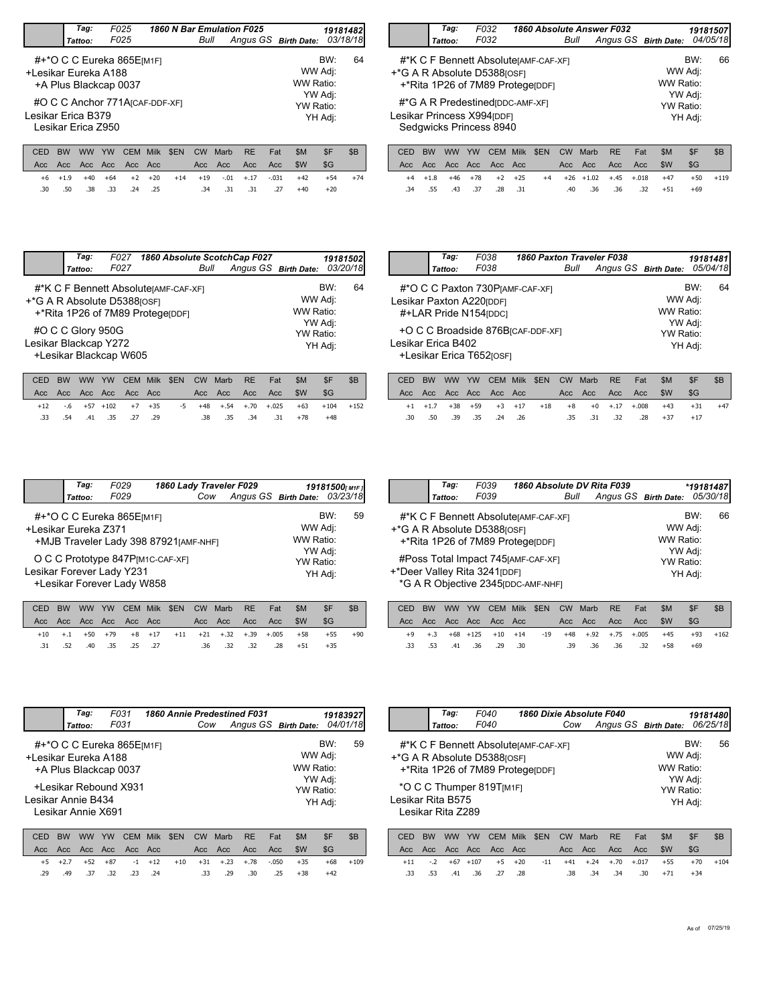|                      | Tag:                                                             |    | F025 |      |            |      |      | 1860 N Bar Emulation F025 |     |                      | 19181482           |          |
|----------------------|------------------------------------------------------------------|----|------|------|------------|------|------|---------------------------|-----|----------------------|--------------------|----------|
|                      | Tattoo:                                                          |    | F025 |      |            | Bull |      |                           |     | Angus GS Birth Date: |                    | 03/18/18 |
| +Lesikar Eureka A188 | #+*O C C Eureka 865E[M1F]<br>+A Plus Blackcap 0037               |    |      |      |            |      |      |                           |     | WW Adj:<br>WW Ratio: | BW:                | 64       |
| Lesikar Erica B379   | #O C C Anchor 771A <sub>ICAF-DDF-XF1</sub><br>Lesikar Erica Z950 |    |      |      |            |      |      |                           |     | YW Ratio:            | YW Adj:<br>YH Adj: |          |
| CED                  |                                                                  | YW | CEM  | Milk | <b>SEN</b> | CW   | Marb | <b>RE</b>                 | Fat | \$M                  | \$F                | \$B      |

\$G

+54 +74

 $\blacksquare$ 

 $.34$   $.31$   $.31$   $.27$   $+40$   $+20$ 

Acc Acc Acc Acc Acc - Acc Acc Acc Acc \$W

.30 .50 .38 .33 .25 .34 .31 .31 .27 .24

+6 +1.9 +40 +64 +2 +20 +14 +19 -.01 +.17 -.031 +42

| Tag:<br>Tattoo: | F032<br>F032                                          | 1860 Absolute Answer F032                                                | Bull | Angus GS Birth Date: |                      | 19181507 | 04/05/18 |
|-----------------|-------------------------------------------------------|--------------------------------------------------------------------------|------|----------------------|----------------------|----------|----------|
|                 | +*G A R Absolute D5388[OSF]                           | #*K C F Bennett AbsoluterAMF-CAF-XF1<br>+*Rita 1P26 of 7M89 ProtegerDDF1 |      |                      | WW Adj:<br>WW Ratio: | BW:      | 66       |
|                 | Lesikar Princess X994[DDF]<br>Sedgwicks Princess 8940 | #*G A R Predestined [DDC-AMF-XF]                                         |      |                      | YW Adj:<br>YW Ratio: | YH Adj:  |          |

|  |  |                                    |  |  | CED BW WW YW CEM Milk \$EN CW Marb RE Fat   | -SM | -SF                                  | - SB |
|--|--|------------------------------------|--|--|---------------------------------------------|-----|--------------------------------------|------|
|  |  |                                    |  |  |                                             |     |                                      |      |
|  |  | $+4$ $+1.8$ $+46$ $+78$ $+2$ $+25$ |  |  |                                             |     | +4 +26 +1.02 +.45 +.018 +47 +50 +119 |      |
|  |  |                                    |  |  | .34 .55 .43 .37 .28 .31 .40 .36 .36 .32 +51 |     | +69                                  |      |
|  |  |                                    |  |  |                                             |     |                                      |      |

|                                                     | Tag:<br>Tattoo:                                                          | F027<br>F027 |     |      |            | Bull |      | 1860 Absolute ScotchCap F027<br>Angus GS Birth Date: |     |                      |                    | 19181502<br>03/20/18 |
|-----------------------------------------------------|--------------------------------------------------------------------------|--------------|-----|------|------------|------|------|------------------------------------------------------|-----|----------------------|--------------------|----------------------|
| <sup>+</sup> *G A R Absolute D5388 <sub>[OSF]</sub> | #*K C F Bennett AbsoluterAMF-CAF-XF1<br>+*Rita 1P26 of 7M89 Protegerport |              |     |      |            |      |      |                                                      |     | WW Adj:<br>WW Ratio: | BW:                | 64                   |
| Lesikar Blackcap Y272                               | #O C C Glory 950G<br>+Lesikar Blackcap W605                              |              |     |      |            |      |      |                                                      |     | YW Ratio:            | YW Adj:<br>YH Adj: |                      |
|                                                     |                                                                          | YW           | CEM | Milk | <b>SEN</b> | CW   | Marb | <b>RE</b>                                            | Fat | \$M                  | \$F                | \$B                  |

|  |  |                         |  |  |  | CED BW WW YW CEM MIIK SEN CW MAND RE FAIL SMI SF |                                                                | - 505 |
|--|--|-------------------------|--|--|--|--------------------------------------------------|----------------------------------------------------------------|-------|
|  |  |                         |  |  |  |                                                  | SG-                                                            |       |
|  |  |                         |  |  |  |                                                  | $+12$ -.6 +57 +102 +7 +35 -5 +48 +.54 +.70 +.025 +63 +104 +152 |       |
|  |  | .33 .54 .41 .35 .27 .29 |  |  |  | .38 .35 .34 .31 +78 +48                          |                                                                |       |
|  |  |                         |  |  |  |                                                  |                                                                |       |

|                    | Tag:    | F038<br>F038             | 1860 Paxton Traveler F038                     | Bull | Angus GS Birth Date: |           |         | 19181481<br>05/04/18 |
|--------------------|---------|--------------------------|-----------------------------------------------|------|----------------------|-----------|---------|----------------------|
|                    | Tattoo: |                          |                                               |      |                      |           |         |                      |
|                    |         |                          | #*O C C Paxton 730 PJAMF-CAF-XFI              |      |                      |           | BW:     | 64                   |
|                    |         | Lesikar Paxton A220[DDF] |                                               |      |                      | WW Adj:   |         |                      |
|                    |         | #+LAR Pride N154 [DDC]   |                                               |      |                      | WW Ratio: |         |                      |
|                    |         |                          |                                               |      |                      |           | YW Adj: |                      |
|                    |         |                          | +O C C Broadside 876B <sub>ICAF-DDF-XF1</sub> |      |                      | YW Ratio: |         |                      |
| Lesikar Erica B402 |         |                          |                                               |      |                      |           | YH Adj: |                      |
|                    |         | +Lesikar Erica T652rosF1 |                                               |      |                      |           |         |                      |
|                    |         |                          |                                               |      |                      |           |         |                      |

|  |  |  |  |  | CED BW WW YW CEM Milk \$EN CW Marb RE Fat \$M |                                                                              | -SF | - SB  |
|--|--|--|--|--|-----------------------------------------------|------------------------------------------------------------------------------|-----|-------|
|  |  |  |  |  |                                               |                                                                              | SG  |       |
|  |  |  |  |  |                                               | $+1$ $+1.7$ $+38$ $+59$ $+3$ $+17$ $+18$ $+8$ $+0$ $+17$ $+0.08$ $+43$ $+31$ |     | $+47$ |
|  |  |  |  |  |                                               | .30 .50 .39 .35 .24 .26 .35 .31 .32 .28 +37 +17                              |     |       |
|  |  |  |  |  |                                               |                                                                              |     |       |

| F029<br>Tag:<br>1860 Lady Traveler F029<br>19181500[M1F]                                                                                                                                                                                                     |    |
|--------------------------------------------------------------------------------------------------------------------------------------------------------------------------------------------------------------------------------------------------------------|----|
|                                                                                                                                                                                                                                                              |    |
| Angus GS Birth Date: 03/23/18<br>F029<br>Cow<br>Tattoo:                                                                                                                                                                                                      |    |
| BW:<br>#+*O C C Eureka 865E[M1F]<br>WW Adj:<br>+Lesikar Eureka Z371<br>WW Ratio:<br>+MJB Traveler Lady 398 87921 [AMF-NHF]<br>YW Adj:<br>O C C Prototype 847P[M1C-CAF-XF]<br>YW Ratio:<br>Lesikar Forever Lady Y231<br>YH Adj:<br>+Lesikar Forever Lady W858 | 59 |

|  |  |  |                         | CED BW WW YW CEM Milk \$EN CW Marb RE Fat |  | - SM                                                                          | - SF  |       |
|--|--|--|-------------------------|-------------------------------------------|--|-------------------------------------------------------------------------------|-------|-------|
|  |  |  |                         |                                           |  |                                                                               | - SG  |       |
|  |  |  |                         |                                           |  | $+10$ $+1$ $+50$ $+79$ $+8$ $+17$ $+11$ $+21$ $+32$ $+39$ $+0.05$ $+58$ $+55$ |       | $+90$ |
|  |  |  | .31 .52 .40 .35 .25 .27 | .36 .32 .32 .28 +51                       |  |                                                                               | $+35$ |       |

| Tag:    | F039                                                        | 1860 Absolute DV Rita F039                                                                                                                              |      |                      |                                              | *19181487      |    |  |
|---------|-------------------------------------------------------------|---------------------------------------------------------------------------------------------------------------------------------------------------------|------|----------------------|----------------------------------------------|----------------|----|--|
| Tattoo: | F039                                                        |                                                                                                                                                         | Bull | Angus GS Birth Date: |                                              | 05/30/18       |    |  |
|         | +*G A R Absolute D5388[OSF]<br>+*Deer Valley Rita 3241[DDF] | #*K C F Bennett Absolute [AMF-CAF-XF]<br>+*Rita 1P26 of 7M89 ProtegerDDF1<br>#Poss Total Impact 745 [AMF-CAF-XF]<br>*G A R Objective 2345 [DDC-AMF-NHF] |      |                      | WW Adj:<br>WW Ratio:<br>YW Adj:<br>YW Ratio: | BW:<br>YH Adj: | 66 |  |

|  |  |                         |  |     |  | CED BW WW YW CEM Milk \$EN CW Marb RE Fat \$M |                                                     | SF  | - SB       |
|--|--|-------------------------|--|-----|--|-----------------------------------------------|-----------------------------------------------------|-----|------------|
|  |  |                         |  |     |  |                                               |                                                     |     |            |
|  |  |                         |  |     |  |                                               | +9 +.3 +68 +125 +10 +14 -19 +48 +.92 +.75 +.005 +45 |     | $+93 +162$ |
|  |  | .33 .53 .41 .36 .29 .30 |  | .39 |  | .36 .36 .32 +58                               |                                                     | +69 |            |

|                                            | Tag:               | F031                                                                        |             | 1860 Annie Predestined F031 |           |      |                      | 19183927   |                                                                |          |
|--------------------------------------------|--------------------|-----------------------------------------------------------------------------|-------------|-----------------------------|-----------|------|----------------------|------------|----------------------------------------------------------------|----------|
|                                            | Tattoo:            | F031                                                                        |             |                             | Cow       |      | Angus GS Birth Date: |            |                                                                | 04/01/18 |
| +Lesikar Eureka A188<br>Lesikar Annie B434 | Lesikar Annie X691 | #+*O C C Eureka 865E[M1F]<br>+A Plus Blackcap 0037<br>+Lesikar Rebound X931 |             |                             |           |      |                      |            | BW:<br>WW Adj:<br>WW Ratio:<br>YW Adj:<br>YW Ratio:<br>YH Adj: | 59       |
|                                            |                    |                                                                             |             |                             |           |      |                      |            |                                                                |          |
| <b>BW</b><br>CED                           | ww                 | YW<br>CEM                                                                   | <b>Milk</b> | \$EN                        | <b>CW</b> | Marb | <b>RE</b>            | \$M<br>Fat | \$F                                                            | \$B      |
| Acc.                                       | Acc Acc<br>Acc.    |                                                                             | Acc Acc     |                             | Acc       | Acc  | Acc                  | \$W<br>Acc | \$G                                                            |          |

| Acc Acc Acc Acc Acc Acc Acc |  |  |  |  | Acc Acc Acc Acc SW                                 | SG    |             |
|-----------------------------|--|--|--|--|----------------------------------------------------|-------|-------------|
|                             |  |  |  |  | +5 +2.7 +52 +87 -1 +12 +10 +31 +.23 +.78 -.050 +35 |       | $+68 + 109$ |
| .29 .49 .37 .32 .23 .24     |  |  |  |  | .33 .29 .30 .25 +38                                | $+42$ |             |

|                             | Tag:                                                                    | F040 |                    | 1860 Dixie Absolute F040 |           |           |                    |                      |                |          |
|-----------------------------|-------------------------------------------------------------------------|------|--------------------|--------------------------|-----------|-----------|--------------------|----------------------|----------------|----------|
|                             | Tattoo:                                                                 | F040 |                    |                          | Cow       |           |                    | Angus GS Birth Date: |                | 06/25/18 |
| +*G A R Absolute D5388[OSF] | #*K C F Bennett AbsoluterAMF-CAF-XF1<br>+*Rita 1P26 of 7M89 ProtegerppF |      |                    |                          |           |           |                    | WW Ratio:            | BW:<br>WW Adj: | 56       |
| Lesikar Rita B575           | *O C C Thumper 819T[M1F]<br>Lesikar Rita Z289                           |      |                    |                          |           | YW Ratio: | YW Adj:<br>YH Adj: |                      |                |          |
| CED                         | <b>BW</b><br><b>WW</b>                                                  | YW   | <b>CEM</b><br>Milk | \$EN                     | <b>CW</b> | Marb      | <b>RE</b>          | \$M<br>Fat           | \$F            | \$B      |
| Acc                         | Acc.<br>Acc.                                                            | Acc  | Acc.<br>- Acc      |                          | Acc       | Acc       | Acc                | \$W<br>Acc           | \$G            |          |

|  |  |                         |  |  | $+34$ |                                                                                                                                                           |
|--|--|-------------------------|--|--|-------|-----------------------------------------------------------------------------------------------------------------------------------------------------------|
|  |  | .33 .53 .41 .36 .27 .28 |  |  |       | ישם טיו יויו יויו טבויו ויוווג עבור טיו וועונט וגב ועג עוויו עו עם<br>+11 -.2 +67 +107 +5 +20 -11 +41 +.24 +.70 +.017 +55 +70 +104<br>.38 .34 .34 .30 +71 |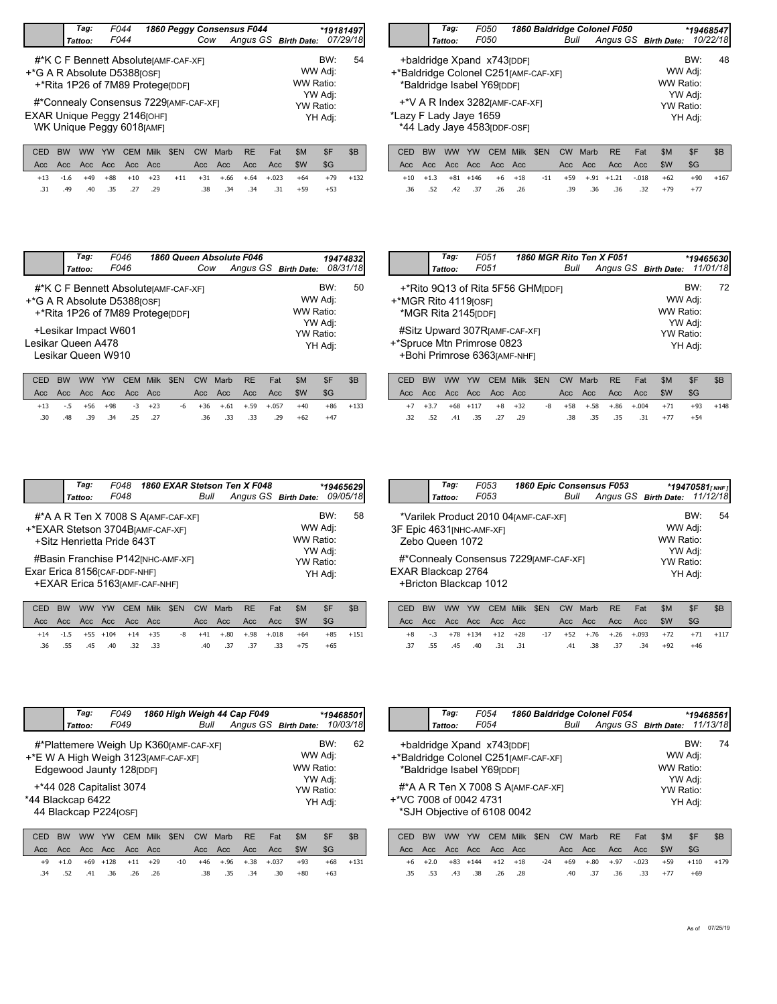|                             | Tag:                                                                     | F044         |             |                    |           |      | 1860 Peggy Consensus F044 |                      |     | *19181497 |
|-----------------------------|--------------------------------------------------------------------------|--------------|-------------|--------------------|-----------|------|---------------------------|----------------------|-----|-----------|
|                             | Tattoo:                                                                  | F044         |             |                    | Cow       |      |                           | Angus GS Birth Date: |     | 07/29/18  |
| +*G A R Absolute D5388[OSF] | #*K C F Bennett AbsoluterAMF-CAF-XF1<br>+*Rita 1P26 of 7M89 ProtegerDDF1 |              | WW Ratio:   | BW:<br>WW Adj:     | 54        |      |                           |                      |     |           |
| EXAR Unique Peggy 2146[OHF] | #*Connealy Consensus 7229 [AMF-CAF-XF]<br>WK Unique Peggy 6018[AMF]      |              | YW Ratio:   | YW Adj:<br>YH Adj: |           |      |                           |                      |     |           |
| CED                         | <b>BW</b><br><b>WW</b>                                                   | YW<br>CEM    | <b>Milk</b> | \$EN               | <b>CW</b> | Marb | <b>RE</b>                 | \$M<br>Fat           | \$F | \$B       |
| Acc                         | Acc.<br>Acc.                                                             | Acc.<br>Acc. | Acc         |                    | Acc       | Acc  | Acc                       | \$W<br>Acc           | \$G |           |

|                                                                   | Tag:                                                                 | <i>F050</i><br><i>F050</i> |             | 1860 Baldridge Colonel F050 |      |      |    |  |                      | *19468547 |          |  |
|-------------------------------------------------------------------|----------------------------------------------------------------------|----------------------------|-------------|-----------------------------|------|------|----|--|----------------------|-----------|----------|--|
|                                                                   | Tattoo:                                                              |                            |             |                             | Bull |      |    |  | Angus GS Birth Date: |           | 10/22/18 |  |
| +*Baldridge Colonel C251[AMF-CAF-XF]                              | +baldridge Xpand x743 <sub>[DDF]</sub><br>*Baldridge Isabel Y69[DDF] |                            | WW Ratio:   | BW:<br>WW Adj:              | 48   |      |    |  |                      |           |          |  |
|                                                                   | +*V A R Index 3282 [AMF-CAF-XF]                                      |                            | YW Ratio:   | YW Adj:                     |      |      |    |  |                      |           |          |  |
| *Lazy F Lady Jaye 1659<br>YH Adj:<br>*44 Lady Jaye 4583 [DDF-OSF] |                                                                      |                            |             |                             |      |      |    |  |                      |           |          |  |
| C.FD                                                              | <b>RW</b><br><b>WW</b>                                               | YW<br>C.FM.                | <b>Milk</b> | <b>SEN</b>                  | C.W  | Marh | RF |  | \$M<br>Fat           | $S$ F     | $R$ R    |  |

|  |  |  |  |  |                                             | CED BW WW YW CEM Milk \$EN CW Marb RE Fat \$M                 | SF .  | - SB |
|--|--|--|--|--|---------------------------------------------|---------------------------------------------------------------|-------|------|
|  |  |  |  |  |                                             |                                                               |       |      |
|  |  |  |  |  |                                             | +13 -1.6 +49 +88 +10 +23 +11 +31 +.66 +.64 +.023 +64 +79 +132 |       |      |
|  |  |  |  |  | .31 .49 .40 .35 .27 .29 .38 .34 .34 .31 .59 |                                                               | $+53$ |      |

|  |  |  |  |  | CED BW WW YW CEM Milk \$EN CW Marb RE Fat \$M \$F                              |       | SB <sup>1</sup> |
|--|--|--|--|--|--------------------------------------------------------------------------------|-------|-----------------|
|  |  |  |  |  |                                                                                |       |                 |
|  |  |  |  |  | $+10$ $+1.3$ $+81$ $+146$ $+6$ $+18$ $-11$ $+59$ $+.91$ $+1.21$ $-0.018$ $+62$ |       | $+90 +167$      |
|  |  |  |  |  | .36 .32 .42 .37 .26 .39 .36 .36 .32 .79                                        | $+77$ |                 |

|                    | Tag:               | F046                                                                                                     |      |           |                |           | 1860 Queen Absolute F046 |                      |     | 19474832 |
|--------------------|--------------------|----------------------------------------------------------------------------------------------------------|------|-----------|----------------|-----------|--------------------------|----------------------|-----|----------|
|                    | Tattoo:            | F046                                                                                                     |      |           | Cow            |           |                          | Angus GS Birth Date: |     | 08/31/18 |
|                    |                    | #*K C F Bennett Absolute [AMF-CAF-XF]<br>+*G A R Absolute D5388[OSF]<br>+*Rita 1P26 of 7M89 Protegerport |      | WW Ratio: | BW:<br>WW Adj: | 50        |                          |                      |     |          |
| Lesikar Queen A478 | Lesikar Queen W910 | +Lesikar Impact W601                                                                                     |      |           |                | YW Ratio: | YW Adj:<br>YH Adj:       |                      |     |          |
| CED                | вw<br><b>WW</b>    | <b>CEM</b><br>YW                                                                                         | Milk | \$EN      | CW             | Marb      | <b>RE</b>                | \$M<br>Fat           | \$F | \$B      |

|  |             |                                   |  |  | CED BW WW YW CEM Milk \$EN CW Marb RE Fat \$M |       | SF .  | - SB       |
|--|-------------|-----------------------------------|--|--|-----------------------------------------------|-------|-------|------------|
|  |             |                                   |  |  |                                               |       |       |            |
|  |             | $+13$ $-5$ $+56$ $+98$ $-3$ $+23$ |  |  | -6 +36 +.61 +.59 +.057 +40                    |       |       | $+86 +133$ |
|  | .30 .48 .39 | .34 .25 .27                       |  |  | .36 .33 .33 .29                               | $+62$ | $+47$ |            |

|                       | Tag:                 | F051                                                                                        |      | 1860 MGR Rito Ten X F051 |      |      |           |     |                      | *19465630 |          |
|-----------------------|----------------------|---------------------------------------------------------------------------------------------|------|--------------------------|------|------|-----------|-----|----------------------|-----------|----------|
|                       | Tattoo:              | F051                                                                                        |      |                          | Bull |      |           |     | Angus GS Birth Date: |           | 11/01/18 |
| +*MGR Rito 4119 [OSF] | *MGR Rita 2145 [DDF] | +*Rito 9Q13 of Rita 5F56 GHM[DDF]                                                           |      |                          |      |      |           |     | WW Adj:<br>WW Ratio: | BW:       | 72.      |
|                       |                      | #Sitz Upward 307RIAMF-CAF-XFI<br>+*Spruce Mtn Primrose 0823<br>+Bohi Primrose 6363[AMF-NHF] |      |                          |      |      |           |     | YW Adj:<br>YW Ratio: | YH Adj:   |          |
| CED<br><b>BW</b>      | <b>WW</b>            | YW<br>CEM.                                                                                  | Milk | <b>SEN</b>               | CW   | Marh | <b>RF</b> | Fat | \$M                  | \$F       | \$B      |

|  |  |                         |  | CED BW WW YW CEM Milk \$EN CW Marb RE Fat |                     | -SM | -SF                                                         |  |
|--|--|-------------------------|--|-------------------------------------------|---------------------|-----|-------------------------------------------------------------|--|
|  |  |                         |  |                                           |                     |     | - SG                                                        |  |
|  |  |                         |  |                                           |                     |     | +7 +3.7 +68 +117 +8 +32 -8 +58 +.58 +.86 +.004 +71 +93 +148 |  |
|  |  | .32 .52 .41 .35 .27 .29 |  |                                           | .38 .35 .35 .31 +77 |     | $+54$                                                       |  |
|  |  |                         |  |                                           |                     |     |                                                             |  |

|                               | Tag:                       | F048 | 1860 EXAR Stetson Ten X F048                                                                                                                   |                      |                                              |                | *19465629 |
|-------------------------------|----------------------------|------|------------------------------------------------------------------------------------------------------------------------------------------------|----------------------|----------------------------------------------|----------------|-----------|
|                               | Tattoo:                    | F048 | Bull                                                                                                                                           | Angus GS Birth Date: |                                              |                | 09/05/18  |
| Exar Erica 8156 [CAF-DDF-NHF] | +Sitz Henrietta Pride 643T |      | #*A A R Ten X 7008 S AJAMF-CAF-XF1<br>+*EXAR Stetson 3704BJAMF-CAF-XF1<br>#Basin Franchise P142 [NHC-AMF-XF]<br>+EXAR Erica 5163 [AMF-CAF-NHF] |                      | WW Adj:<br>WW Ratio:<br>YW Adj:<br>YW Ratio: | BW:<br>YH Adj: | 58        |
|                               |                            |      |                                                                                                                                                |                      |                                              |                |           |

|  |  |                         |  | CED BW WW YW CEM Milk \$EN CW Marb RE Fat |                     | -SM                                                  |       | - SB       |
|--|--|-------------------------|--|-------------------------------------------|---------------------|------------------------------------------------------|-------|------------|
|  |  |                         |  |                                           |                     |                                                      |       |            |
|  |  |                         |  |                                           |                     | +14 -1.5 +55 +104 +14 +35 -8 +41 +.80 +.98 +.018 +64 |       | $+85 +151$ |
|  |  | .36 .55 .45 .40 .32 .33 |  |                                           | .40 .37 .37 .33 +75 |                                                      | $+65$ |            |

|                    | Tag:            | F053                                   | 1860 Epic Consensus F053              |                                                                      |     |    |
|--------------------|-----------------|----------------------------------------|---------------------------------------|----------------------------------------------------------------------|-----|----|
|                    | Tattoo:         | F053                                   | Bull                                  | Sus F053 *19470581 <sub>[NHF]</sub><br>Angus GS Birth Date: 11/12/18 |     |    |
|                    |                 | 3F Epic 4631 [NHC-AMF-XF]              | *Varilek Product 2010 04 [AMF-CAF-XF] | WW Adj:                                                              | BW: | 54 |
|                    | Zebo Queen 1072 |                                        |                                       | WW Ratio:                                                            |     |    |
|                    |                 | #*Connealy Consensus 7229 [AMF-CAF-XF] | YW Adj:<br>YW Ratio:                  |                                                                      |     |    |
| EXAR Blackcap 2764 |                 | +Bricton Blackcap 1012                 |                                       | YH Adj:                                                              |     |    |

|  |  |  |                         | CED BW WW YW CEM Milk \$EN CW Marb RE Fat |  | SM | SF ∍                                                         | - SB |
|--|--|--|-------------------------|-------------------------------------------|--|----|--------------------------------------------------------------|------|
|  |  |  |                         |                                           |  |    |                                                              |      |
|  |  |  |                         |                                           |  |    | +8 -.3 +78 +134 +12 +28 -17 +52 +.76 +.26 +.093 +72 +71 +117 |      |
|  |  |  | .37 .55 .45 .40 .31 .31 | .41 .38 .37 .34 +92                       |  |    | $+46$                                                        |      |

|                   | Tag:                   | F049                                                                                                        |      |      |           |      | 1860 High Weigh 44 Cap F049 |            |                                 | *19468501 |     |
|-------------------|------------------------|-------------------------------------------------------------------------------------------------------------|------|------|-----------|------|-----------------------------|------------|---------------------------------|-----------|-----|
|                   | Tattoo:                | F049                                                                                                        |      |      | Bull      |      | Angus GS Birth Date:        |            |                                 | 10/03/18  |     |
|                   |                        | #*Plattemere Weigh Up K360 [AMF-CAF-XF]<br>+*E W A High Weigh 3123 [AMF-CAF-XF]<br>Edgewood Jaunty 128(DDF) |      |      |           |      |                             |            | BW:<br>WW Adj:<br>WW Ratio:     |           | 62  |
| *44 Blackcap 6422 |                        | +*44 028 Capitalist 3074<br>44 Blackcap P224[OSF]                                                           |      |      |           |      |                             |            | YW Adj:<br>YW Ratio:<br>YH Adj: |           |     |
| CED               | <b>BW</b><br><b>WW</b> | <b>CEM</b><br>YW                                                                                            | Milk | \$EN | <b>CW</b> | Marb | <b>RE</b>                   | \$M<br>Fat | \$F                             |           | \$B |

| Acc Acc Acc Acc Acc Acc |                         |  |  |  |  | Acc Acc Acc Acc \$W \$G                              |       |              |
|-------------------------|-------------------------|--|--|--|--|------------------------------------------------------|-------|--------------|
|                         |                         |  |  |  |  | +9 +1.0 +69 +128 +11 +29 -10 +46 +.96 +.38 +.037 +93 |       | $+68$ $+131$ |
|                         | .34 .52 .41 .36 .26 .26 |  |  |  |  | .38 .35 .34 .30 +80                                  | $+63$ |              |

|                                       | Tag:                                                                                                                      | F054          |                       | 1860 Baldridge Colonel F054 |      |                  |             |                  |            |                      |                                 | *19468561 |
|---------------------------------------|---------------------------------------------------------------------------------------------------------------------------|---------------|-----------------------|-----------------------------|------|------------------|-------------|------------------|------------|----------------------|---------------------------------|-----------|
|                                       | Tattoo:                                                                                                                   | F054          |                       |                             |      | Bull             |             |                  |            | Angus GS Birth Date: |                                 | 11/13/18  |
| +*Baldridge Colonel C251 [AMF-CAF-XF] | +baldridge Xpand x743 [DDF]                                                                                               |               | WW Adj:<br>WW Ratio:  | BW:                         | 74   |                  |             |                  |            |                      |                                 |           |
|                                       | *Baldridge Isabel Y69rDDF1<br>#*A A R Ten X 7008 S AJAMF-CAF-XFI<br>+*VC 7008 of 0042 4731<br>*SJH Objective of 6108 0042 |               |                       |                             |      |                  |             |                  |            |                      | YW Adj:<br>YW Ratio:<br>YH Adj: |           |
| CED<br>Acc.                           | <b>BW</b><br><b>WW</b><br>Acc.                                                                                            | YW<br>Acc Acc | <b>CEM</b><br>Acc Acc | Milk                        | \$EN | <b>CW</b><br>Acc | Marb<br>Acc | <b>RE</b><br>Acc | Fat<br>Acc | \$M<br>\$W           | \$F<br>\$G                      | \$B       |

+6 +2.0 +83 +144 +12 +18 -24 +69 +.80 +.97 -.023 +59 +110 +179

.35 .53 .43 .38 .28 .40 .37 .36 .33 .26

.40 .37 .36 .33 +77 +69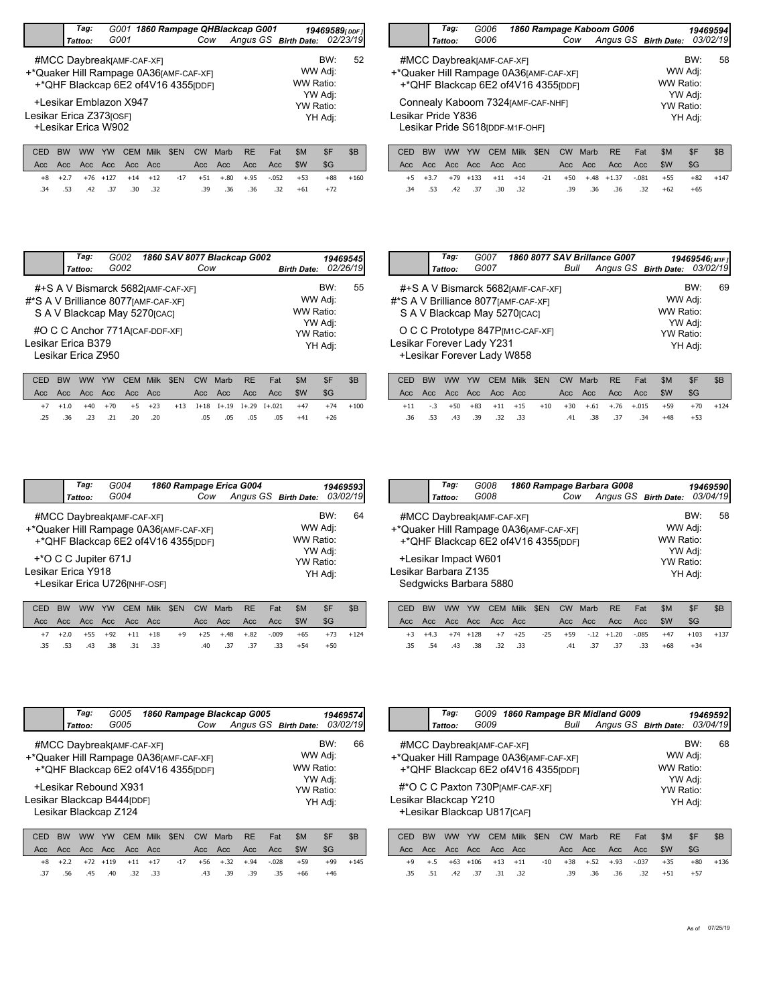|             | Tag:                                                                                                        |                      |                             |            |                   |             | G001 1860 Rampage QHBlackcap G001 |                           | 19469589 <sub>[DDF1</sub> ]            |          |
|-------------|-------------------------------------------------------------------------------------------------------------|----------------------|-----------------------------|------------|-------------------|-------------|-----------------------------------|---------------------------|----------------------------------------|----------|
|             | Tattoo:                                                                                                     | G001                 |                             |            | Cow               |             | Angus GS Birth Date:              |                           |                                        | 02/23/19 |
|             | #MCC DaybreakJAMF-CAF-XF]<br>+*Quaker Hill Rampage 0A36[AMF-CAF-XF]<br>+*QHF Blackcap 6E2 of4V16 4355 [DDF] |                      |                             |            |                   |             |                                   |                           | BW:<br>WW Adj:<br>WW Ratio:            | 52       |
|             | +Lesikar Emblazon X947<br>Lesikar Erica Z373 <sub>IOSF1</sub><br>+Lesikar Erica W902                        |                      |                             |            |                   |             |                                   |                           | YW Adj:<br><b>YW Ratio:</b><br>YH Adj: |          |
| CED<br>Acc. | <b>BW</b><br><b>WW</b><br>Acc.                                                                              | YW<br>Acc Acc<br>Acc | <b>CEM</b><br>Milk<br>- Acc | <b>SEN</b> | <b>CW</b><br>Acc. | Marb<br>Acc | <b>RE</b><br>Acc.                 | \$M<br>Fat<br>\$W<br>Acc. | \$F<br>\$G                             | \$B      |

 $.39$   $.36$   $.36$   $.32$   $+61$   $+72$ 

+88 +160

+8 +2.7 +76 +127 +14 +12 -17 +51 +.80 +.95 -.052 +53

.34 .53 .42 .37 .32 .39 .36 .36 .32 .30

|                                                                                              | Tag:                                                              | G006    | 1860 Rampage Kaboom G006 |                      |    | 19469594 |          |
|----------------------------------------------------------------------------------------------|-------------------------------------------------------------------|---------|--------------------------|----------------------|----|----------|----------|
|                                                                                              | Tattoo:                                                           | G006    | Cow                      | Angus GS Birth Date: |    |          | 03/02/19 |
| +*Quaker Hill Rampage 0A36[AMF-CAF-XF]                                                       | #MCC DaybreakJAMF-CAF-XF1<br>+*QHF Blackcap 6E2 of4V16 4355 (DDF) |         | WW Adj:<br>WW Ratio:     | BW:                  | 58 |          |          |
| Connealy Kaboom 7324 [AMF-CAF-NHF]<br>Lesikar Pride Y836<br>Lesikar Pride S618 [DDF-M1F-OHF] | YW Adj:<br>YW Ratio:                                              | YH Adj: |                          |                      |    |          |          |
|                                                                                              |                                                                   |         |                          |                      |    |          |          |

|  |  |  |  |  | CED BW WW YW CEM Milk \$EN CW Marb RE Fat \$M \$F |       |                                                                | SB |
|--|--|--|--|--|---------------------------------------------------|-------|----------------------------------------------------------------|----|
|  |  |  |  |  |                                                   |       |                                                                |    |
|  |  |  |  |  |                                                   |       | +5 +3.7 +79 +133 +11 +14 -21 +50 +.48 +1.37 -.081 +55 +82 +147 |    |
|  |  |  |  |  | .34 .53 .42 .37 .30 .32 .39 .36 .36 .32           | $+62$ | $+65$                                                          |    |

|                                      | Tag:<br>Tattoo:                                                  | G002<br>G002                                                       |             |            | Cow                |      | 1860 SAV 8077 Blackcap G002 |     | <b>Birth Date:</b>   | 19469545 | 02/26/19 |
|--------------------------------------|------------------------------------------------------------------|--------------------------------------------------------------------|-------------|------------|--------------------|------|-----------------------------|-----|----------------------|----------|----------|
| #*S A V Brilliance 8077 [AMF-CAF-XF] |                                                                  | #+S A V Bismarck 5682[AMF-CAF-XF]<br>S A V Blackcap May 5270 [CAC] |             |            |                    |      |                             |     | WW Adj:<br>WW Ratio: | BW:      | 55       |
| Lesikar Erica B379                   | #O C C Anchor 771A <sub>ICAF-DDF-XF1</sub><br>Lesikar Erica Z950 |                                                                    |             | YW Ratio:  | YW Adj:<br>YH Adj: |      |                             |     |                      |          |          |
| <b>RW</b><br>C.ED.                   | <b>WW</b>                                                        | YW<br>CEM.                                                         | <b>Milk</b> | <b>SEN</b> | C.W                | Marh | RF                          | Fat | \$M                  | \$F      | $R$ R    |

|  |  |                         | CED BW WW YW CEM Milk \$EN CW Marb RE Fat |  |                 | -SM   | -\$F                                                       |        |
|--|--|-------------------------|-------------------------------------------|--|-----------------|-------|------------------------------------------------------------|--------|
|  |  |                         |                                           |  |                 |       | - SG                                                       |        |
|  |  |                         |                                           |  |                 |       | +7 +1.0 +40 +70 +5 +23 +13 I+18 I+.19 I+.29 I+.021 +47 +74 | $+100$ |
|  |  | .20 .20 .21 .23 .36 .25 |                                           |  | .05 .05 .05 .05 | $+41$ | $+26$                                                      |        |

|                           | Tag:                          | G007 |                                                                           |      | 1860 8077 SAV Brillance G007 |                                 | 19469546 <sub>[M1F]</sub> |    |
|---------------------------|-------------------------------|------|---------------------------------------------------------------------------|------|------------------------------|---------------------------------|---------------------------|----|
|                           | Tattoo:                       | G007 |                                                                           | Bull |                              | Angus GS Birth Date: 03/02/19   |                           |    |
|                           | S A V Blackcap May 5270 [CAC] |      | #+S A V Bismarck 5682[AMF-CAF-XF]<br>#*S A V Brilliance 8077 [AMF-CAF-XF] |      |                              | WW Adj:<br>WW Ratio:<br>YW Adj: | BW:                       | 69 |
| Lesikar Forever Lady Y231 | +Lesikar Forever Lady W858    |      | O C C Prototype 847P[M1C-CAF-XF]                                          |      |                              | YW Ratio:<br>YH Adj:            |                           |    |

|  |  |                         |  |  | CED BW WW YW CEM Milk \$EN CW Marb RE Fat \$M |                         | - SF                                                           | - SB |
|--|--|-------------------------|--|--|-----------------------------------------------|-------------------------|----------------------------------------------------------------|------|
|  |  |                         |  |  |                                               |                         |                                                                |      |
|  |  |                         |  |  |                                               |                         | $+11$ -.3 +50 +83 +11 +15 +10 +30 +.61 +.76 +.015 +59 +70 +124 |      |
|  |  | .36 .53 .43 .39 .32 .33 |  |  |                                               | .41 .38 .37 .34 +48 +53 |                                                                |      |
|  |  |                         |  |  |                                               |                         |                                                                |      |

|                    | Tag:                 | G004                                                       | 1860 Rampage Erica G004                                                        |                               |                                   | 194695931                 |    |
|--------------------|----------------------|------------------------------------------------------------|--------------------------------------------------------------------------------|-------------------------------|-----------------------------------|---------------------------|----|
|                    | Tattoo:              | G004                                                       | Cow                                                                            | Angus GS Birth Date: 03/02/19 |                                   |                           |    |
| Lesikar Erica Y918 | +*O C C Jupiter 671J | #MCC Daybreak[AMF-CAF-XF]<br>+Lesikar Erica U726 [NHF-OSF] | +*Quaker Hill Rampage 0A36[AMF-CAF-XF]<br>+*QHF Blackcap 6E2 of4V16 4355 (DDF) |                               | WW Adj:<br>WW Ratio:<br>YW Ratio: | BW:<br>YW Adj:<br>YH Adj: | 64 |

|  |  |                         |  | CED BW WW YW CEM Milk \$EN CW Marb RE Fat |  | -SM   | <b>SF</b>                                                   | -SB |
|--|--|-------------------------|--|-------------------------------------------|--|-------|-------------------------------------------------------------|-----|
|  |  |                         |  |                                           |  |       | -SG                                                         |     |
|  |  |                         |  |                                           |  |       | +7 +2.0 +55 +92 +11 +18 +9 +25 +.48 +.82 -.009 +65 +73 +124 |     |
|  |  | .35 .53 .43 .38 .31 .33 |  | .40 .37 .37 .33                           |  | $+54$ | $+50$                                                       |     |

|                      | Tag:                 | G008                                                | 1860 Rampage Barbara G008                                                      |     |                      |                                              |                | 19469590 |
|----------------------|----------------------|-----------------------------------------------------|--------------------------------------------------------------------------------|-----|----------------------|----------------------------------------------|----------------|----------|
|                      | Tattoo:              | G008                                                |                                                                                | Cow | Angus GS Birth Date: |                                              |                | 03/04/19 |
| Lesikar Barbara Z135 | +Lesikar Impact W601 | #MCC DaybreakJAMF-CAF-XF1<br>Sedgwicks Barbara 5880 | +*Quaker Hill Rampage 0A36[AMF-CAF-XF]<br>+*QHF Blackcap 6E2 of4V16 4355 [DDF] |     |                      | WW Adj:<br>WW Ratio:<br>YW Adj:<br>YW Ratio: | BW:<br>YH Adj: | 58       |
|                      |                      |                                                     |                                                                                |     |                      |                                              |                |          |

|  |  |                         |  |  | CED BW WW YW CEM Milk \$EN CW Marb RE Fat | SM    | SF                                                             | ∴ \$B |
|--|--|-------------------------|--|--|-------------------------------------------|-------|----------------------------------------------------------------|-------|
|  |  |                         |  |  |                                           |       |                                                                |       |
|  |  |                         |  |  |                                           |       | +3 +4.3 +74 +128 +7 +25 -25 +59 -.12 +1.20 -.085 +47 +103 +137 |       |
|  |  | .35 .54 .43 .38 .32 .33 |  |  | .41 .37 .37 .33                           | $+68$ | $+34$                                                          |       |

|                                                                                                     | Tag:                                                                                                                                                    | G005      |             |      |           |      | 1860 Rampage Blackcap G005 |            |     | 19469574 |  |  |  |  |
|-----------------------------------------------------------------------------------------------------|---------------------------------------------------------------------------------------------------------------------------------------------------------|-----------|-------------|------|-----------|------|----------------------------|------------|-----|----------|--|--|--|--|
|                                                                                                     | Tattoo:                                                                                                                                                 | G005      |             |      | Cow       |      | Angus GS Birth Date:       |            |     | 03/02/19 |  |  |  |  |
|                                                                                                     | BW:<br>#MCC DaybreakJAMF-CAF-XF1<br>WW Adj:<br>+*Quaker Hill Rampage 0A36 [AMF-CAF-XF]<br>+*QHF Blackcap 6E2 of4V16 4355 [DDF]<br>+Lesikar Rebound X931 |           |             |      |           |      |                            |            |     |          |  |  |  |  |
| WW Ratio:<br>YW Adj:<br>YW Ratio:<br>Lesikar Blackcap B444[DDF]<br>YH Adj:<br>Lesikar Blackcap Z124 |                                                                                                                                                         |           |             |      |           |      |                            |            |     |          |  |  |  |  |
| CED                                                                                                 | WW                                                                                                                                                      | YW<br>CEM | <b>Milk</b> | \$EN | <b>CW</b> | Marb | <b>RE</b>                  | \$M<br>Fat | \$F | \$B      |  |  |  |  |

|  |  |  |                     |  |     |             |       | - 305 I                                                                                                 |
|--|--|--|---------------------|--|-----|-------------|-------|---------------------------------------------------------------------------------------------------------|
|  |  |  |                     |  |     |             |       |                                                                                                         |
|  |  |  |                     |  |     |             |       | $+99 +145$                                                                                              |
|  |  |  |                     |  | .35 | +66         | $+46$ |                                                                                                         |
|  |  |  | .56 .45 .40 .32 .33 |  |     | .43 .39 .39 |       | CED BW WW YW CEM MIIK SEN CW MATD RE FAIL SM SF<br>+8 +2.2 +72 +119 +11 +17 -17 +56 +.32 +.94 -.028 +59 |

|                       | Tag:    | G009                                                                                                                    |      |           |                    |      | 1860 Rampage BR Midland G009 |                      |                | 19469592 |
|-----------------------|---------|-------------------------------------------------------------------------------------------------------------------------|------|-----------|--------------------|------|------------------------------|----------------------|----------------|----------|
|                       | Tattoo: | G009                                                                                                                    |      |           | Bull               |      |                              | Angus GS Birth Date: |                | 03/04/19 |
|                       |         | #MCC Daybreak <sub>[AMF-CAF-XF]</sub><br>+*Quaker Hill Rampage 0A36[AMF-CAF-XF]<br>+*QHF Blackcap 6E2 of4V16 4355 [DDF] |      |           |                    |      |                              | WW Ratio:            | BW:<br>WW Adj: | 68       |
| Lesikar Blackcap Y210 |         | #*O C C Paxton 730 PJAMF-CAF-XF1<br>+Lesikar Blackcap U817[CAF]                                                         |      | YW Ratio: | YW Adj:<br>YH Adj: |      |                              |                      |                |          |
| C.ED                  | WW      | YW<br>CEM                                                                                                               | Milk | \$FN      | CW                 | Marb | <b>RE</b>                    | \$M<br>Fat           | \$F            | \$B      |

|  |  |                     |  |  |                                                     | CED BW WW YW CEM MIIK SEN CW MAND RE FAIL SM SF SB |          |
|--|--|---------------------|--|--|-----------------------------------------------------|----------------------------------------------------|----------|
|  |  |                     |  |  |                                                     |                                                    |          |
|  |  |                     |  |  | +9 +.5 +63 +106 +13 +11 -10 +38 +.52 +.93 -.037 +35 |                                                    | +80 +136 |
|  |  | .51 .42 .37 .31 .32 |  |  | .39 .36 .36 .32 +51 +57                             |                                                    |          |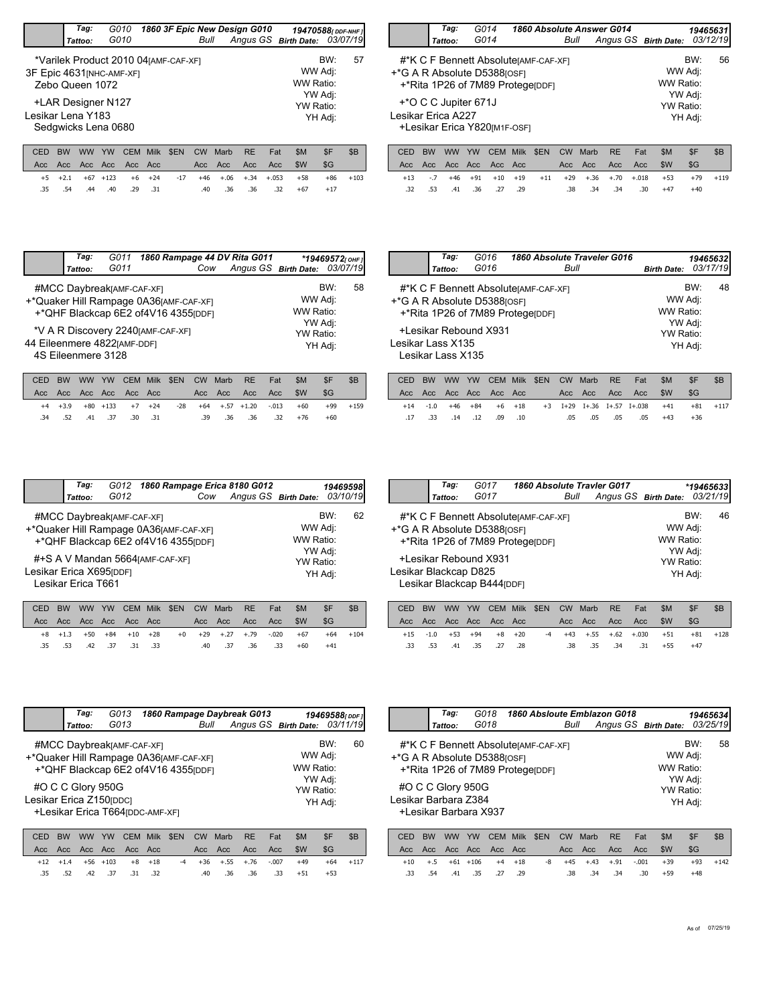|                           |                   | Tag:                                      |    | G010                  |             |                                       |                  |             | 1860 3F Epic New Design G010 |            | 19470588 [ DDF-NHF ]          |                    |     |
|---------------------------|-------------------|-------------------------------------------|----|-----------------------|-------------|---------------------------------------|------------------|-------------|------------------------------|------------|-------------------------------|--------------------|-----|
|                           |                   | Tattoo:                                   |    | G010                  |             |                                       | Bull             |             |                              |            | Angus GS Birth Date: 03/07/19 |                    |     |
| 3F Epic 4631 [NHC-AMF-XF] |                   | Zebo Queen 1072                           |    |                       |             | *Varilek Product 2010 04 [AMF-CAF-XF] |                  |             |                              |            | WW Adj:<br>WW Ratio:          | BW:                | 57  |
| Lesikar Lena Y183         |                   | +LAR Designer N127<br>Sedgwicks Lena 0680 |    |                       |             |                                       |                  |             |                              |            | YW Ratio:                     | YW Adj:<br>YH Adj: |     |
| CED<br>Acc.               | <b>BW</b><br>Acc. | ww<br>Acc Acc                             | YW | <b>CEM</b><br>Acc Acc | <b>Milk</b> | \$EN                                  | <b>CW</b><br>Acc | Marb<br>Acc | <b>RE</b><br>Acc             | Fat<br>Acc | \$M<br>\$W                    | \$F<br>\$G         | \$B |

+5 +2.1 +67 +123 +6 +24 -17 +46 +.06 +.34 +.053 +58 +86 +103

32. 36. 36. 40. 40. 31 .40 .36 .32

.40 .36 .36 .32 +67 +17

a.

|                    | Tag:                       | G014                                                                                                     | 1860 Absolute Answer G014                                                  |      | 19465631      |                      |                           |                                 |               |
|--------------------|----------------------------|----------------------------------------------------------------------------------------------------------|----------------------------------------------------------------------------|------|---------------|----------------------|---------------------------|---------------------------------|---------------|
|                    | Tattoo:                    | G014                                                                                                     |                                                                            |      | Bull          | Angus GS Birth Date: |                           |                                 | 03/12/19      |
|                    |                            | #*K C F Bennett Absolute [AMF-CAF-XF]<br>+*G A R Absolute D5388[OSF]<br>+*Rita 1P26 of 7M89 ProtegerDDF1 |                                                                            |      |               |                      |                           | BW:<br>WW Adj:<br>WW Ratio:     | 56            |
| Lesikar Erica A227 | +*O C C Jupiter 671J       | +Lesikar Erica Y820[M1F-OSF]                                                                             |                                                                            |      |               |                      |                           | YW Adj:<br>YW Ratio:<br>YH Adj: |               |
| $\sim$ $\sim$      | DIAI<br><b><i>MARI</i></b> | $\lambda$                                                                                                | $\bigcap_{n=1}^{\infty}$ $\bigcap_{n=1}^{\infty}$ $\bigcap_{n=1}^{\infty}$ | ATN1 | $OMI = M = M$ | <sub>DE</sub>        | C <sub>B</sub><br>$F - 1$ | $\triangle$ $\Gamma$            | $\triangle$ n |

|  |  |  |  |  | CED BW WW YW CEM Milk \$EN CW Marb RE Fat \$M \$F   |       | ⊪ \$B      |
|--|--|--|--|--|-----------------------------------------------------|-------|------------|
|  |  |  |  |  |                                                     |       |            |
|  |  |  |  |  | +13 -.7 +46 +91 +10 +19 +11 +29 +.36 +.70 +.018 +53 |       | $+79 +119$ |
|  |  |  |  |  | .32 .53 .41 .36 .27 .29 .38 .34 .34 .30 +47         | $+40$ |            |
|  |  |  |  |  |                                                     |       |            |

|                                                                                                                 | Tag:    | G011<br>G011                          |      |            | Cow |      | 1860 Rampage 44 DV Rita G011<br>Angus GS Birth Date: 03/07/19 |     |                      | *19469572 $[OHF]$ |     |  |  |
|-----------------------------------------------------------------------------------------------------------------|---------|---------------------------------------|------|------------|-----|------|---------------------------------------------------------------|-----|----------------------|-------------------|-----|--|--|
|                                                                                                                 | Tattoo: |                                       |      |            |     |      |                                                               |     |                      |                   |     |  |  |
| +*Quaker Hill Rampage 0A36[AMF-CAF-XF]                                                                          |         | #MCC Daybreak <sub>[AMF-CAF-XF]</sub> |      |            |     |      |                                                               |     | WW Adj:              | BW:               | 58  |  |  |
|                                                                                                                 |         | +*QHF Blackcap 6E2 of4V16 4355 [DDF]  |      |            |     |      |                                                               |     | WW Ratio:<br>YW Adj: |                   |     |  |  |
|                                                                                                                 |         |                                       |      |            |     |      |                                                               |     |                      |                   |     |  |  |
| *V A R Discovery 2240 [AMF-CAF-XF]<br>YW Ratio:<br>44 Eileenmere 4822[AMF-DDF]<br>YH Adj:<br>4S Eileenmere 3128 |         |                                       |      |            |     |      |                                                               |     |                      |                   |     |  |  |
| CED<br>вw                                                                                                       | ww      | CEM<br>YW                             | Milk | <b>SEN</b> | CW  | Marb | <b>RE</b>                                                     | Fat | \$M                  | \$F               | \$B |  |  |

|     |  |                     |  |     |  | CED BW WW YW CEM Milk \$EN CW Marb RE Fat | -SM                                                  | -\$F     | \$B |
|-----|--|---------------------|--|-----|--|-------------------------------------------|------------------------------------------------------|----------|-----|
|     |  |                     |  |     |  |                                           |                                                      |          |     |
|     |  |                     |  |     |  |                                           | +4 +3.9 +80 +133 +7 +24 -28 +64 +.57 +1.20 -.013 +60 | +99 +159 |     |
| .34 |  | .52 .41 .37 .30 .31 |  | .39 |  |                                           | .36 .36 .32 +76                                      | $+60$    |     |

|                   | Tag:                           | G016                                                                                                                 |             |            |      |      | 1860 Absolute Traveler G016 |     |                      |                    | 194656321 |
|-------------------|--------------------------------|----------------------------------------------------------------------------------------------------------------------|-------------|------------|------|------|-----------------------------|-----|----------------------|--------------------|-----------|
|                   | Tattoo:                        | G016                                                                                                                 |             |            | Bull |      |                             |     | <b>Birth Date:</b>   |                    | 03/17/19  |
|                   |                                | #*K C F Bennett AbsoluterAMF-CAF-XF1<br><sup>+</sup> *G A R Absolute D5388 [OSF]<br>+*Rita 1P26 of 7M89 ProtegerDDF1 |             |            |      |      |                             |     | WW Adj:<br>WW Ratio: | BW:                | 48        |
| Lesikar Lass X135 | Lesikar Lass X135              | +Lesikar Rebound X931                                                                                                |             |            |      |      |                             |     | YW Ratio:            | YW Adj:<br>YH Adj: |           |
| CED.              | <b>RW</b><br><i><b>MAN</b></i> | <b>YW</b><br><b>CEM</b>                                                                                              | <b>Milk</b> | <b>SEN</b> | CW.  | Marh | RF                          | Fat | <b>SM</b>            | \$F                | R         |

| CED BW WW YW CEM Milk \$EN CW Marb RE Fat |  |                         |  |  |                             | -SM                                                    | \$F   | -SB        |
|-------------------------------------------|--|-------------------------|--|--|-----------------------------|--------------------------------------------------------|-------|------------|
|                                           |  |                         |  |  |                             |                                                        | - SG  |            |
|                                           |  |                         |  |  |                             | +14 -1.0 +46 +84 +6 +18 +3 I+29 I+.36 I+.57 I+.038 +41 |       | $+81 +117$ |
|                                           |  | .17 .33 .14 .12 .09 .10 |  |  | -43 -05 -05 -05 -05 -05 -05 |                                                        | $+36$ |            |
|                                           |  |                         |  |  |                             |                                                        |       |            |

| Tag:    |      |                                               |                                                                                                                                                             |                                   | 19469598                                                                               |
|---------|------|-----------------------------------------------|-------------------------------------------------------------------------------------------------------------------------------------------------------------|-----------------------------------|----------------------------------------------------------------------------------------|
| Tattoo: | G012 | Cow                                           |                                                                                                                                                             |                                   | 03/10/19                                                                               |
|         |      |                                               |                                                                                                                                                             |                                   | 62                                                                                     |
|         |      | Lesikar Erica X695[DDF]<br>Lesikar Erica T661 | #MCC Daybreak <sub>[AMF-CAF-XF]</sub><br>+*Quaker Hill Rampage 0A36[AMF-CAF-XF]<br>+*QHF Blackcap 6E2 of4V16 4355 [DDF]<br>#+S A V Mandan 5664 [AMF-CAF-XF] | G012 1860 Rampage Erica 8180 G012 | Angus GS Birth Date:<br>BW:<br>WW Adj:<br>WW Ratio:<br>YW Adj:<br>YW Ratio:<br>YH Adj: |

|  |  |                         |  | CED BW WW YW CEM Milk \$EN CW Marb RE Fat          |  | - SM  | -SF   | - SB        |
|--|--|-------------------------|--|----------------------------------------------------|--|-------|-------|-------------|
|  |  |                         |  |                                                    |  |       | - SG  |             |
|  |  |                         |  | +8 +1.3 +50 +84 +10 +28 +0 +29 +.27 +.79 -.020 +67 |  |       |       | $+64 + 104$ |
|  |  | .35 .53 .42 .37 .31 .33 |  | .40 .37 .36 .33                                    |  | $+60$ | $+41$ |             |

|                       | Tag:    | G017                                                                                            | 1860 Absolute Travler G017                                                |      |                               |                                                         | *19465633 |    |
|-----------------------|---------|-------------------------------------------------------------------------------------------------|---------------------------------------------------------------------------|------|-------------------------------|---------------------------------------------------------|-----------|----|
|                       | Tattoo: | G017                                                                                            |                                                                           | Bull | Angus GS Birth Date: 03/21/19 |                                                         |           |    |
| Lesikar Blackcap D825 |         | <sup>+</sup> *G A R Absolute D5388 [OSF]<br>+Lesikar Rebound X931<br>Lesikar Blackcap B444[DDF] | #*K C F Bennett Absolute [AMF-CAF-XF]<br>+*Rita 1P26 of 7M89 ProtegerDDF1 |      |                               | WW Adj:<br>WW Ratio:<br>YW Adj:<br>YW Ratio:<br>YH Adj: | BW:       | 46 |
|                       |         |                                                                                                 |                                                                           |      |                               |                                                         |           |    |

|  |  |                                     |  | CED BW WW YW CEM Milk \$EN CW Marb RE Fat |  | SM                         | SF.   | - SB       |
|--|--|-------------------------------------|--|-------------------------------------------|--|----------------------------|-------|------------|
|  |  |                                     |  |                                           |  |                            |       |            |
|  |  | $+15$ $-1.0$ $+53$ $+94$ $+8$ $+20$ |  |                                           |  | -4 +43 +.55 +.62 +.030 +51 |       | $+81 +128$ |
|  |  | .33 .53 .41 .35 .27 .28             |  | .38 .35 .34 .31                           |  | $+55$                      | $+47$ |            |

|                                        | Tag:                                                 | G013                                                              |               |                                 |                |         | 1860 Rampage Daybreak G013 |                               | 19469588[DDF]               |    |
|----------------------------------------|------------------------------------------------------|-------------------------------------------------------------------|---------------|---------------------------------|----------------|---------|----------------------------|-------------------------------|-----------------------------|----|
|                                        | Tattoo:                                              | G013                                                              |               |                                 | Bull           |         |                            | Angus GS Birth Date: 03/11/19 |                             |    |
| +*Quaker Hill Rampage 0A36[AMF-CAF-XF] |                                                      | #MCC DaybreakJAMF-CAF-XF1<br>+*QHF Blackcap 6E2 of4V16 4355 (DDF) |               |                                 |                |         |                            |                               | BW:<br>WW Adj:<br>WW Ratio: | 60 |
| Lesikar Erica Z150 [DDC]               | #O C C Glory 950G<br>+Lesikar Erica T664(DDC-AMF-XF) |                                                                   |               | YW Adj:<br>YW Ratio:<br>YH Adj: |                |         |                            |                               |                             |    |
| CED.<br><b>DIAL</b>                    | $\mathbf{Y}$                                         | V(M)<br><b>CEM</b>                                                | <b>Adille</b> | CENI                            | C <sub>1</sub> | $M$ orh | <b>DE</b>                  | <b>CAA</b><br>$E \rightarrow$ | ¢Ε                          | ¢D |

|  |         |  |                 |  |  | SM <sup>3</sup>                           | \$F                 | - SB                                                |
|--|---------|--|-----------------|--|--|-------------------------------------------|---------------------|-----------------------------------------------------|
|  |         |  |                 |  |  |                                           | SG                  |                                                     |
|  |         |  |                 |  |  |                                           |                     | $+64 +117$                                          |
|  |         |  |                 |  |  |                                           | $+53$               |                                                     |
|  | .35 .52 |  | .42 .37 .31 .32 |  |  | CED BW WW YW CEM Milk \$EN CW Marb RE Fat | .40 .36 .36 .33 +51 | +12 +1.4 +56 +103 +8 +18 -4 +36 +.55 +.76 -.007 +49 |

|      | Tag:                                                                                                                                                                        | G018<br>G018     |                             |      | Bull      |      | 1860 Absloute Emblazon G018 |                      |     | 19465634<br>03/25/19 |  |  |  |  |  |
|------|-----------------------------------------------------------------------------------------------------------------------------------------------------------------------------|------------------|-----------------------------|------|-----------|------|-----------------------------|----------------------|-----|----------------------|--|--|--|--|--|
|      | Tattoo:                                                                                                                                                                     |                  |                             |      |           |      |                             | Angus GS Birth Date: |     |                      |  |  |  |  |  |
|      | BW:<br>58<br>#*K C F Bennett AbsoluterAMF-CAF-XF1<br>WW Adj:<br>+*G A R Absolute D5388[OSF]<br>WW Ratio:<br>+*Rita 1P26 of 7M89 ProtegerppF<br>YW Adj:<br>#O C C Glory 950G |                  |                             |      |           |      |                             |                      |     |                      |  |  |  |  |  |
|      | Lesikar Barbara Z384<br>+Lesikar Barbara X937                                                                                                                               |                  | <b>YW Ratio:</b><br>YH Adj: |      |           |      |                             |                      |     |                      |  |  |  |  |  |
| CED  | BW<br><b>WW</b>                                                                                                                                                             | YW<br><b>CEM</b> | Milk                        | \$EN | <b>CW</b> | Marb | <b>RE</b>                   | \$M<br>Fat           | \$F | \$B                  |  |  |  |  |  |
| Acc. | Acc.<br>Acc.                                                                                                                                                                | Acc<br>Acc.      | Acc                         |      | Acc       | Acc. | Acc.                        | \$W<br>Acc           | \$G |                      |  |  |  |  |  |

+10 +.5 +61 +106 +4 +18 -8 +45 +.43 +.91 -.001 +39 +93 +142

.33 .54 .41 .35 .29 .38 .34 .34 .30 .27

48 .34 .34 .30 +59 +48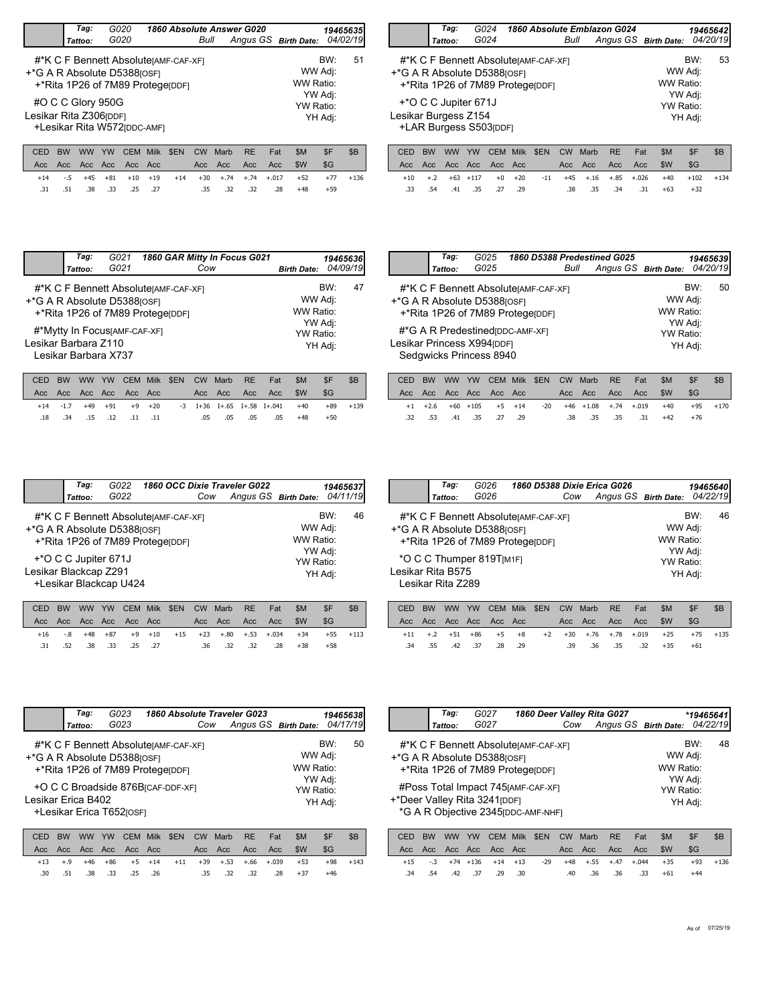|                             |                   | Taq:              |           | G020                        |                      |                                                                           |                   |             | 1860 Absolute Answer G020 |            |                      |                                 | 19465635 |
|-----------------------------|-------------------|-------------------|-----------|-----------------------------|----------------------|---------------------------------------------------------------------------|-------------------|-------------|---------------------------|------------|----------------------|---------------------------------|----------|
|                             |                   | Tattoo:           |           | G020                        |                      |                                                                           | Bull              |             |                           |            | Angus GS Birth Date: |                                 | 04/02/19 |
| +*G A R Absolute D5388[OSF] |                   |                   |           |                             |                      | #*K C F Bennett Absolute [AMF-CAF-XF]<br>+*Rita 1P26 of 7M89 ProtegerDDF1 |                   |             |                           |            |                      | BW:<br>WW Adj:<br>WW Ratio:     | 51       |
| Lesikar Rita Z306 [DDF]     |                   | #O C C Glory 950G |           | +Lesikar Rita W572[DDC-AMF] |                      |                                                                           |                   |             |                           |            |                      | YW Adj:<br>YW Ratio:<br>YH Adj: |          |
| CED<br>Acc                  | <b>BW</b><br>Acc. | <b>WW</b><br>Acc. | YW<br>Acc | <b>CEM</b><br>Acc.          | <b>Milk</b><br>- Acc | \$EN                                                                      | <b>CW</b><br>Acc. | Marb<br>Acc | <b>RE</b><br>Acc.         | Fat<br>Acc | \$M<br>\$W           | \$F<br>\$G                      | \$B      |

|     |  |                     |  | CED BW WW YW CEM Milk \$EN CW Marb RE Fat |                                                                         | -SM   | <b>SF</b>    | S <sub>B</sub> |
|-----|--|---------------------|--|-------------------------------------------|-------------------------------------------------------------------------|-------|--------------|----------------|
|     |  |                     |  |                                           |                                                                         |       | -SG          |                |
|     |  |                     |  |                                           | $+14$ $-5$ $+45$ $+81$ $+10$ $+19$ $+14$ $+30$ $+74$ $+74$ $+017$ $+52$ |       | $+77$ $+136$ |                |
| .31 |  | .51 .38 .33 .25 .27 |  |                                           | .35 .32 .32 .28                                                         | $+48$ | $+59$        |                |

|                                                                                                                                                                                  | Tag:    | G024 | 1860 Absolute Emblazon G024 |      |                      |  | 19465642 |  |  |  |  |  |  |  |
|----------------------------------------------------------------------------------------------------------------------------------------------------------------------------------|---------|------|-----------------------------|------|----------------------|--|----------|--|--|--|--|--|--|--|
|                                                                                                                                                                                  | Tattoo: | G024 |                             | Bull | Angus GS Birth Date: |  | 04/20/19 |  |  |  |  |  |  |  |
| BW:<br>53<br>#*K C F Bennett Absolute [AMF-CAF-XF]<br>WW Adj:<br><sup>+</sup> *G A R Absolute D5388 <sub>[OSF]</sub><br>WW Ratio:<br>+*Rita 1P26 of 7M89 ProtegerDDF1<br>YW Adj: |         |      |                             |      |                      |  |          |  |  |  |  |  |  |  |
| +*O C C Jupiter 671J<br>YW Ratio:<br>Lesikar Burgess Z154<br>YH Adj:<br>+LAR Burgess S503[DDF]                                                                                   |         |      |                             |      |                      |  |          |  |  |  |  |  |  |  |

|  |  |                         |  |  | CED BW WW YW CEM Milk \$EN CW Marb RE Fat \$M \$F       |       |                                                                                         | - SB |
|--|--|-------------------------|--|--|---------------------------------------------------------|-------|-----------------------------------------------------------------------------------------|------|
|  |  |                         |  |  | Acc Acc Acc Acc Acc Acc - Acc Acc Acc - Acc - \$W - \$G |       |                                                                                         |      |
|  |  |                         |  |  |                                                         |       | $+10$ $+2$ $+63$ $+117$ $+0$ $+20$ $-11$ $+45$ $+16$ $+35$ $+0.026$ $+40$ $+102$ $+134$ |      |
|  |  | .33 .54 .41 .35 .27 .29 |  |  | .38 .35 .34 .31                                         | $+63$ | $+32$                                                                                   |      |

|                             | Tag:<br>Tattoo:                 | G021<br>G021                                                              |             |             | Cow     |      | 1860 GAR Mitty In Focus G021 |             | <b>Birth Date:</b>   | 19465636           | 04/09/19 |
|-----------------------------|---------------------------------|---------------------------------------------------------------------------|-------------|-------------|---------|------|------------------------------|-------------|----------------------|--------------------|----------|
| +*G A R Absolute D5388[OSF] |                                 | #*K C F Bennett Absolute [AMF-CAF-XF]<br>+*Rita 1P26 of 7M89 ProtegerDDF1 |             |             |         |      |                              |             | WW Adj:<br>WW Ratio: | BW:                | 47       |
| Lesikar Barbara Z110        |                                 | #*Mytty In FocusJAMF-CAF-XF]<br>Lesikar Barbara X737                      |             |             |         |      |                              |             | YW Ratio:            | YW Adj:<br>YH Adj: |          |
| CED.                        | <i><b>MAAL</b></i><br><b>RW</b> | <b>CEM</b><br>$V_M$                                                       | <b>Mill</b> | <b>CENI</b> | $C_{1}$ | Marh | DE                           | $F \circ f$ | <b>CAA</b>           | ¢Ε                 | ¢R       |

|  |  |                                     |  |             | CED BW WW YW CEM Milk \$EN CW Marb RE Fat | SM <sub>3</sub> | \$F   | -SB    |
|--|--|-------------------------------------|--|-------------|-------------------------------------------|-----------------|-------|--------|
|  |  | Acc Acc Acc Acc Acc Acc             |  |             | <b>Example 20 Acc Acc Acc SW</b>          |                 | - SG  |        |
|  |  | $+14$ $-1.7$ $+49$ $+91$ $+9$ $+20$ |  |             | -3 I+36 I+.65 I+.58 I+.041 +40            |                 | $+89$ | $+139$ |
|  |  | .11. 11. 12. 15. 18. 18.            |  | .05 .05 .05 | .05                                       | $+48$           | $+50$ |        |

|                             | Tag:    | G025                    | 1860 D5388 Predestined G025                                               |      |                      |                                 |         | 194656391 |
|-----------------------------|---------|-------------------------|---------------------------------------------------------------------------|------|----------------------|---------------------------------|---------|-----------|
|                             | Tattoo: | G025                    |                                                                           | Bull | Angus GS Birth Date: |                                 |         | 04/20/19  |
| +*G A R Absolute D5388[OSF] |         |                         | #*K C F Bennett Absolute [AMF-CAF-XF]<br>+*Rita 1P26 of 7M89 Protege[DDF] |      |                      | WW Adj:<br>WW Ratio:<br>YW Adj: | BW:     | 50        |
| Lesikar Princess X994[DDF]  |         | Sedgwicks Princess 8940 | #*G A R Predestined (DDC-AMF-XF)                                          |      |                      | YW Ratio:                       | YH Adj: |           |

|  |  |                         |  |  | CED BW WW YW CEM Milk \$EN CW Marb RE Fat \$M | -SF                                                                                       | -SB |
|--|--|-------------------------|--|--|-----------------------------------------------|-------------------------------------------------------------------------------------------|-----|
|  |  |                         |  |  |                                               |                                                                                           |     |
|  |  |                         |  |  |                                               | $+1$ $+2.6$ $+60$ $+105$ $+5$ $+14$ $-20$ $+46$ $+1.08$ $+.74$ $+.019$ $+40$ $+95$ $+170$ |     |
|  |  | .32 .53 .41 .35 .27 .29 |  |  | .38 .35 .35 .31 +42                           | $+76$                                                                                     |     |
|  |  |                         |  |  |                                               |                                                                                           |     |

|                             | Tag:                                           | G022 | 1860 OCC Dixie Traveler G022                                              |     |                      |                      |                | 19465637 |
|-----------------------------|------------------------------------------------|------|---------------------------------------------------------------------------|-----|----------------------|----------------------|----------------|----------|
|                             | Tattoo:                                        | G022 |                                                                           | Cow | Angus GS Birth Date: |                      |                | 04/11/19 |
| +*G A R Absolute D5388[OSF] |                                                |      | #*K C F Bennett Absolute [AMF-CAF-XF]<br>+*Rita 1P26 of 7M89 ProtegerDDF1 |     |                      | WW Adj:<br>WW Ratio: | BW:<br>YW Adj: | 46       |
| Lesikar Blackcap Z291       | +*O C C Jupiter 671J<br>+Lesikar Blackcap U424 |      |                                                                           |     |                      | YW Ratio:            | YH Adj:        |          |

|  |  |  |                         | CED BW WW YW CEM Milk \$EN CW Marb RE Fat |  | - SM                                               |       | - SB       |
|--|--|--|-------------------------|-------------------------------------------|--|----------------------------------------------------|-------|------------|
|  |  |  |                         |                                           |  |                                                    |       |            |
|  |  |  |                         |                                           |  | +16 -.8 +48 +87 +9 +10 +15 +23 +.80 +.53 +.034 +34 |       | $+55 +113$ |
|  |  |  | .31 .52 .38 .33 .25 .27 | .36 .32 .32 .28 +38                       |  |                                                    | $+58$ |            |

|                                                               | Tag:<br>Tattoo:                               | G026<br>G026 | 1860 D5388 Dixie Erica G026                                               | Cow | Angus GS Birth Date: |                                   | 19465640<br>04/22/19      |    |
|---------------------------------------------------------------|-----------------------------------------------|--------------|---------------------------------------------------------------------------|-----|----------------------|-----------------------------------|---------------------------|----|
| <sup>+</sup> *G A R Absolute D5388 [OSF]<br>Lesikar Rita B575 | *O C C Thumper 819T[M1F]<br>Lesikar Rita Z289 |              | #*K C F Bennett Absolute [AMF-CAF-XF]<br>+*Rita 1P26 of 7M89 ProtegerDDF1 |     |                      | WW Adj:<br>WW Ratio:<br>YW Ratio: | BW:<br>YW Adj:<br>YH Adj: | 46 |
|                                                               |                                               |              |                                                                           |     |                      |                                   |                           |    |

|  |         |  |                 |  | CED BW WW YW CEM Milk \$EN CW Marb RE Fat |                     | SM | SF.                                                                               | - SB |
|--|---------|--|-----------------|--|-------------------------------------------|---------------------|----|-----------------------------------------------------------------------------------|------|
|  |         |  |                 |  |                                           |                     |    |                                                                                   |      |
|  |         |  |                 |  |                                           |                     |    | $+11$ $+2$ $+51$ $+86$ $+5$ $+8$ $+2$ $+30$ $+76$ $+78$ $+019$ $+25$ $+75$ $+135$ |      |
|  | .34 .55 |  | .42 .37 .28 .29 |  |                                           | .39 .36 .35 .32 +35 |    | $+61$                                                                             |      |

|                                                     | Tag:                                                                                                                                            |      | G023                                   |      | 1860 Absolute Traveler G023 |     |      |  |           |                      |     | 19465638 |  |  |
|-----------------------------------------------------|-------------------------------------------------------------------------------------------------------------------------------------------------|------|----------------------------------------|------|-----------------------------|-----|------|--|-----------|----------------------|-----|----------|--|--|
|                                                     | Tattoo:                                                                                                                                         | G023 |                                        |      |                             | Cow |      |  |           | Angus GS Birth Date: |     | 04/17/19 |  |  |
| <sup>+</sup> *G A R Absolute D5388 <sub>[OSF]</sub> | #*K C F Bennett Absolute [AMF-CAF-XF]                                                                                                           |      | BW:<br>WW Adj:<br>WW Ratio:<br>YW Adj: | 50   |                             |     |      |  |           |                      |     |          |  |  |
|                                                     | +*Rita 1P26 of 7M89 ProtegerDDF1<br>+O C C Broadside 876BICAF-DDF-XFI<br>YW Ratio:<br>Lesikar Erica B402<br>YH Adj:<br>+Lesikar Erica T652rosF1 |      |                                        |      |                             |     |      |  |           |                      |     |          |  |  |
| вw<br>CED                                           |                                                                                                                                                 | YW   | CEM                                    | Milk | <b>SEN</b>                  | CW  | Marb |  | <b>RE</b> | \$M<br>Fat           | \$F | \$B      |  |  |

|  |  |  |  |  |                                                    | ULU DVV VVVV TVV ULIVI IVIIIK DLINI UVV IVIGIDI KEL FOLI DIVII DIF DIDI I |            |
|--|--|--|--|--|----------------------------------------------------|---------------------------------------------------------------------------|------------|
|  |  |  |  |  |                                                    |                                                                           |            |
|  |  |  |  |  | +13 +.9 +46 +86 +5 +14 +11 +39 +.53 +.66 +.039 +53 |                                                                           | $+98 +143$ |
|  |  |  |  |  | .30 .51 .38 .33 .25 .26 .35 .32 .32 .28 +37        | $+46$                                                                     |            |
|  |  |  |  |  |                                                    |                                                                           |            |

|                                                              |           | Tag:<br>Tattoo:                                                                                                                                        |        | G027<br>G027                             |                           |       | Cow       |        | 1860 Deer Valley Rita G027 |         | Angus GS Birth Date: |       | *19465641<br>04/22/19 |
|--------------------------------------------------------------|-----------|--------------------------------------------------------------------------------------------------------------------------------------------------------|--------|------------------------------------------|---------------------------|-------|-----------|--------|----------------------------|---------|----------------------|-------|-----------------------|
| +*G A R Absolute D5388[OSF]<br>+*Deer Valley Rita 3241 [DDF] |           | #*K C F Bennett AbsoluterAMF-CAF-XF1<br>+*Rita 1P26 of 7M89 ProtegerDDF1<br>#Poss Total Impact 745 [AMF-CAF-XF]<br>*G A R Objective 2345 [DDC-AMF-NHF] |        | WW Adj:<br>WW Ratio:<br><b>YW Ratio:</b> | BW:<br>YW Adj:<br>YH Adj: | 48    |           |        |                            |         |                      |       |                       |
| CED                                                          | <b>BW</b> | <b>WW</b>                                                                                                                                              | YW     | <b>CEM</b>                               | <b>Milk</b>               | \$EN  | <b>CW</b> | Marb   | <b>RE</b>                  | Fat     | \$M                  | \$F   | \$B                   |
| Acc                                                          | Acc.      | Acc.                                                                                                                                                   | Acc    | Acc.                                     | Acc                       |       | Acc       | Acc    | Acc                        | Acc     | \$W                  | \$G   |                       |
| $+15$                                                        | $-.3$     | $+74$                                                                                                                                                  | $+136$ | $+14$                                    | $+13$                     | $-29$ | $+48$     | $+.55$ | $+.47$                     | $+.044$ | $+35$                | $+93$ | $+136$                |

.34 .54 .42 .37 .30 .40 .36 .36 .33 .29

 $.33 +61 +44$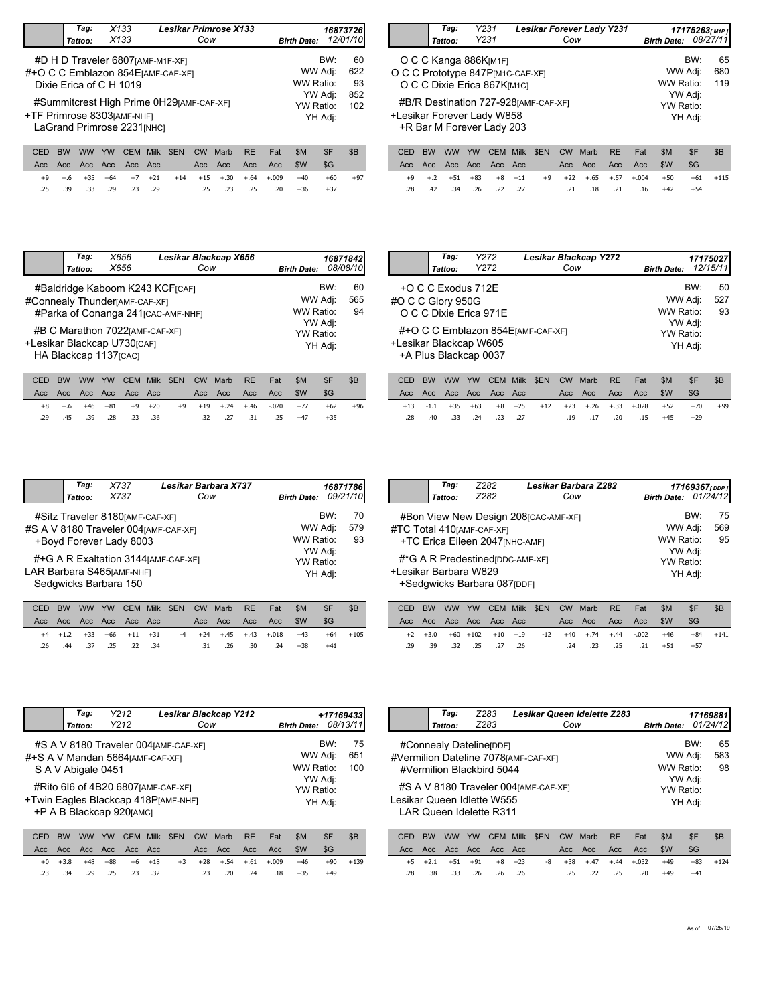| Tag:<br>Tattoo: | X133<br>X133                                                                                         |      |            | Cow                | <b>Lesikar Primrose X133</b> |           |     | <b>Birth Date:</b>   |     | 16873726<br>12/01/10 |
|-----------------|------------------------------------------------------------------------------------------------------|------|------------|--------------------|------------------------------|-----------|-----|----------------------|-----|----------------------|
|                 | #D H D Traveler 6807 [AMF-M1F-XF]<br>#+O C C Emblazon 854 EJAMF-CAF-XFI<br>Dixie Erica of C H 1019   |      |            |                    |                              |           |     | WW Adj:<br>WW Ratio: | BW: | 60<br>622<br>93      |
|                 | #Summitcrest High Prime 0H29[AMF-CAF-XF]<br>+TF Primrose 8303[AMF-NHF]<br>LaGrand Primrose 2231[NHC] |      | YW Ratio:  | YW Adj:<br>YH Adj: | 852<br>102                   |           |     |                      |     |                      |
|                 | YW<br>CEM.                                                                                           | Milk | <b>SEN</b> | CW                 | Marb                         | <b>RE</b> | Fat | \$M                  | \$F | \$B                  |

|               | Tag:<br>Tattoo: | Y231<br>Y231                                                                             | <b>Lesikar Forever Lady Y231</b><br>Cow      | <b>Birth Date:</b>              |            | 17175263[M1P]<br>08/27/11 |
|---------------|-----------------|------------------------------------------------------------------------------------------|----------------------------------------------|---------------------------------|------------|---------------------------|
|               |                 | O C C Kanga 886K[M1F]<br>O C C Prototype 847P[M1C-CAF-XF]<br>O C C Dixie Erica 867K[M1C] |                                              | WW Adj:<br>WW Ratio:            | BW:        | 65<br>680<br>119          |
|               |                 | +Lesikar Forever Lady W858<br>+R Bar M Forever Lady 203                                  | #B/R Destination 727-928 [AMF-CAF-XF]        | YW Adj:<br>YW Ratio:<br>YH Adj: |            |                           |
| $\sim$ $\sim$ |                 |                                                                                          | $\bigcap_{i=1}^{n}$<br>ATI<br>--<br>.<br>- - | A B                             | $\sim$ $-$ | $\sim$                    |

|  |  |  |  |  | CED BW WW YW CEM Milk \$EN CW Marb RE Fat \$M |                                                         | $\overline{\phantom{a}}$ SF $\overline{\phantom{a}}$ | - SB  |
|--|--|--|--|--|-----------------------------------------------|---------------------------------------------------------|------------------------------------------------------|-------|
|  |  |  |  |  |                                               |                                                         |                                                      |       |
|  |  |  |  |  |                                               | +9 +.6 +35 +64 +7 +21 +14 +15 +.30 +.64 +.009 +40       | +60                                                  | $+97$ |
|  |  |  |  |  |                                               | 134 146 25. 25. 25. 25. 29. 29. 23. 29. 33. 39. 25. 25. |                                                      |       |
|  |  |  |  |  |                                               |                                                         |                                                      |       |

|     |  |  |  |  | CED BW WW YW CEM Milk \$EN CW Marb RE Fat \$M \$F |       | SB         |
|-----|--|--|--|--|---------------------------------------------------|-------|------------|
|     |  |  |  |  |                                                   |       |            |
|     |  |  |  |  | +9 +.2 +51 +83 +8 +11 +9 +22 +.65 +.57 +.004 +50  |       | $+61 +115$ |
| .28 |  |  |  |  | .42 .34 .21 .18 .21 .18 .21 .18 .42 .42 .34 .42   | $+54$ |            |
|     |  |  |  |  |                                                   |       |            |

|           | Tag:<br>Tattoo: | X656<br>X656                                                                                            |             |            | Cow | Lesikar Blackcap X656 |           |     | <b>Birth Date:</b>   |                    | 16871842<br>08/08/10 |
|-----------|-----------------|---------------------------------------------------------------------------------------------------------|-------------|------------|-----|-----------------------|-----------|-----|----------------------|--------------------|----------------------|
|           |                 | #Baldridge Kaboom K243 KCF[CAF]<br>#Connealy Thunder[AMF-CAF-XF]<br>#Parka of Conanga 241 [CAC-AMF-NHF] |             |            |     |                       |           |     | WW Adj:<br>WW Ratio: | BW:                | 60<br>565<br>94      |
|           |                 | #B C Marathon 7022 [AMF-CAF-XF]<br>+Lesikar Blackcap U730rCAF1<br>HA Blackcap 1137[CAC]                 |             |            |     |                       |           |     | YW Ratio:            | YW Adj:<br>YH Adj: |                      |
| CED<br>BW | ww              | <b>CEM</b><br>YW                                                                                        | <b>Milk</b> | <b>SEN</b> | CW  | Marb                  | <b>RE</b> | Fat | \$M                  | \$F                | \$B                  |

|  |  |                         |  |  |  |                                                  | CED BW WW YW CEM Milk \$EN CW Marb RE Fat \$M \$F \$B |       |
|--|--|-------------------------|--|--|--|--------------------------------------------------|-------------------------------------------------------|-------|
|  |  |                         |  |  |  |                                                  |                                                       |       |
|  |  |                         |  |  |  | +8 +.6 +46 +81 +9 +20 +9 +19 +.24 +.46 -.020 +77 | $+62$                                                 | $+96$ |
|  |  | .29 .45 .39 .28 .23 .36 |  |  |  | .32 .27 .31 .25 +47                              | $+35$                                                 |       |

|                        | Tag:               | Y272                   | Lesikar Blackcap Y272              |                    |         | 17175027 |
|------------------------|--------------------|------------------------|------------------------------------|--------------------|---------|----------|
|                        | Tattoo:            | Y272                   | Cow                                | <b>Birth Date:</b> |         | 12/15/11 |
|                        | +O C C Exodus 712E |                        |                                    |                    | BW:     | 50       |
| #O C C Glory 950G      |                    |                        |                                    | WW Adj:            |         | 527      |
|                        |                    | O C C Dixie Erica 971E |                                    | WW Ratio:          |         | 93       |
|                        |                    |                        |                                    | YW Adj:            |         |          |
|                        |                    |                        | #+O C C Emblazon 854 EJAMF-CAF-XF1 | YW Ratio:          |         |          |
| +Lesikar Blackcap W605 |                    | +A Plus Blackcap 0037  |                                    |                    | YH Adj: |          |
|                        |                    |                        |                                    |                    |         |          |

|  |  |  |  |  | CED BW WW YW CEM Milk \$EN CW Marb RE Fat                                        | - SM | -SF   | -SB |
|--|--|--|--|--|----------------------------------------------------------------------------------|------|-------|-----|
|  |  |  |  |  |                                                                                  |      | - SG  |     |
|  |  |  |  |  | $+13$ $-1.1$ $+35$ $+63$ $+8$ $+25$ $+12$ $+23$ $+26$ $+33$ $+0.028$ $+52$ $+70$ |      |       | +99 |
|  |  |  |  |  | 15 +45. 20. 17. 19. 19. 17. 20. 33. 34. 18.                                      |      | $+29$ |     |
|  |  |  |  |  |                                                                                  |      |       |     |

|                                                                                              | Tag:<br>Tattoo: | X737<br>X737                                                | Lesikar Barbara X737<br>Cow          | <b>Birth Date:</b>                                  |                | 16871786<br>09/21/10 |
|----------------------------------------------------------------------------------------------|-----------------|-------------------------------------------------------------|--------------------------------------|-----------------------------------------------------|----------------|----------------------|
| #S A V 8180 Traveler 004 [AMF-CAF-XF]<br>LAR Barbara S465 [AMF-NHF]<br>Sedgwicks Barbara 150 |                 | #Sitz Traveler 8180 [AMF-CAF-XF]<br>+Boyd Forever Lady 8003 | #+G A R Exaltation 3144 [AMF-CAF-XF] | WW Adj:<br>WW Ratio:<br>YW Adj:<br><b>YW Ratio:</b> | BW:<br>YH Adj: | 70<br>579<br>93      |

|  |  |                         |  | CED BW WW YW CEM Milk \$EN CW Marb RE Fat |                     | -SM                                                | SF.   |             |
|--|--|-------------------------|--|-------------------------------------------|---------------------|----------------------------------------------------|-------|-------------|
|  |  |                         |  |                                           |                     |                                                    | - SG  |             |
|  |  |                         |  |                                           |                     | +4 +1.2 +33 +66 +11 +31 -4 +24 +.45 +.43 +.018 +43 |       | $+64 + 105$ |
|  |  | .26 .44 .37 .25 .22 .34 |  |                                           | .31 .26 .30 .24 +38 |                                                    | $+41$ |             |

|                       | Tag:    | Z282                                                            | Lesikar Barbara Z282                  |                                 |     | 17169367 <sub>[DDP]</sub> |
|-----------------------|---------|-----------------------------------------------------------------|---------------------------------------|---------------------------------|-----|---------------------------|
|                       | Tattoo: | Z282                                                            | Cow                                   | Birth Date: 01/24/12            |     |                           |
|                       |         | #TC Total 410 [AMF-CAF-XF]<br>+TC Erica Eileen 2047 [NHC-AMF]   | #Bon View New Design 208 [CAC-AMF-XF] | WW Adj:<br>WW Ratio:            | BW: | 75<br>569<br>95           |
| +Lesikar Barbara W829 |         | #*G A R Predestined (DDC-AMF-XF)<br>+Sedgwicks Barbara 087[DDF] |                                       | YW Adj:<br>YW Ratio:<br>YH Adj: |     |                           |

|        |  |                    |  | CED BW WW YW CEM Milk \$EN CW Marb RE Fat            |  | -SM | -\$F  | - SB         |
|--------|--|--------------------|--|------------------------------------------------------|--|-----|-------|--------------|
|        |  |                    |  |                                                      |  |     |       |              |
|        |  |                    |  | +2 +3.0 +60 +102 +10 +19 -12 +40 +.74 +.44 -.002 +46 |  |     |       | $+84$ $+141$ |
| .29.39 |  | .32. .25. .27. .32 |  | .24 .23 .25 .21 +51                                  |  |     | $+57$ |              |

| Tag:<br>Tattoo:    | Y212<br>Y212                                                  | Lesikar Blackcap Y212<br>Cow                                                                                        | <b>Birth Date:</b>                                             | +17169433<br>08/13/11 |
|--------------------|---------------------------------------------------------------|---------------------------------------------------------------------------------------------------------------------|----------------------------------------------------------------|-----------------------|
| S A V Abigale 0451 | #+S A V Mandan 5664 [AMF-CAF-XF]<br>+P A B Blackcap 920 [AMC] | #S A V 8180 Traveler 004 [AMF-CAF-XF]<br>#Rito 616 of 4B20 6807 [AMF-CAF-XF]<br>+Twin Eagles Blackcap 418P[AMF-NHF] | BW:<br>WW Adj:<br>WW Ratio:<br>YW Adj:<br>YW Ratio:<br>YH Adj: | 75<br>651<br>100      |

|  |  |                         |  | CED BW WW YW CEM Milk \$EN CW Marb RE Fat |                                                   | <b>SM</b> | - SF  | -SB    |
|--|--|-------------------------|--|-------------------------------------------|---------------------------------------------------|-----------|-------|--------|
|  |  |                         |  |                                           |                                                   |           | SG-   |        |
|  |  |                         |  |                                           | +0 +3.8 +48 +88 +6 +18 +3 +28 +.54 +.61 +.009 +46 |           | $+90$ | $+139$ |
|  |  | .23 .34 .29 .25 .23 .32 |  |                                           | .23 .20 .24 .18 +35                               |           | $+49$ |        |

|                                       | Tag:                                  |      | Z283 |             |      |           | <b>Lesikar Queen Idelette Z283</b> |           |     |                    |         | 17169881 |
|---------------------------------------|---------------------------------------|------|------|-------------|------|-----------|------------------------------------|-----------|-----|--------------------|---------|----------|
|                                       | Tattoo:                               | Z283 |      |             |      | Cow       |                                    |           |     | <b>Birth Date:</b> |         | 01/24/12 |
|                                       | #Connealy Dateline                    |      |      |             |      |           |                                    |           |     |                    | BW:     | 65       |
| #Vermilion Dateline 7078 [AMF-CAF-XF] |                                       |      |      |             |      |           |                                    |           |     |                    | WW Adj: | 583      |
|                                       | #Vermilion Blackbird 5044             |      |      |             |      |           |                                    |           |     | WW Ratio:          |         | 98       |
|                                       |                                       |      |      |             |      |           |                                    |           |     |                    | YW Adj: |          |
|                                       | #S A V 8180 Traveler 004 [AMF-CAF-XF] |      |      |             |      |           |                                    |           |     | YW Ratio:          |         |          |
| Lesikar Queen Idlette W555            |                                       |      |      |             |      |           |                                    |           |     |                    | YH Adi: |          |
|                                       | LAR Queen Idelette R311               |      |      |             |      |           |                                    |           |     |                    |         |          |
|                                       |                                       |      |      |             |      |           |                                    |           |     |                    |         |          |
| CED                                   | <b>BW</b><br><b>WW</b>                | YW   | CEM  | <b>Milk</b> | \$EN | <b>CW</b> | Marb                               | <b>RE</b> | Fat | \$M                | \$F     | \$B      |
| Acc                                   | Acc.<br>Acc.                          | Acc. | Acc. | - Acc       |      | Acc.      | Acc.                               | Acc       | Acc | \$W                | \$G     |          |

+23 +38 +.47 +.44 +.032

+2.1 +51 +91

+5 +2.1 +51 +91 +8 +23 -8

.28 .38 .33 .26 .26 .25 .22 .25 .20 .26

+83 +124

+49 +41

+49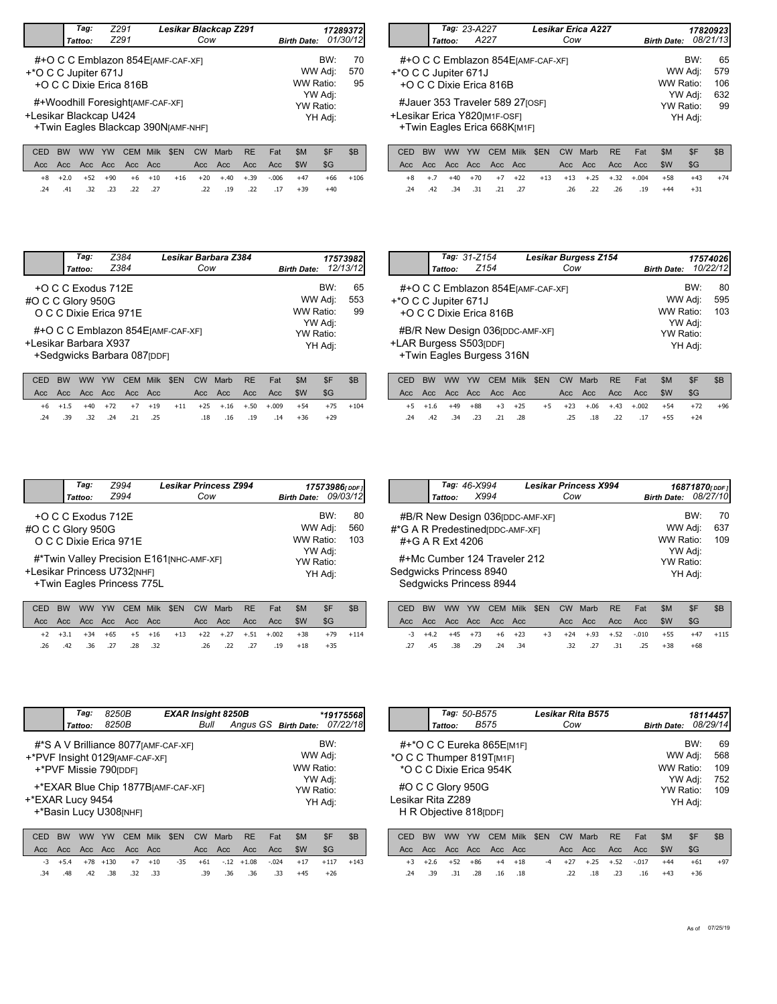|                        | Tag:<br>Tattoo:            | 7291<br>Z291                                                                               |      | Lesikar Blackcap Z291<br>Cow   |                      | <b>Birth Date:</b>   |                      | 172893721<br>01/30/12 |
|------------------------|----------------------------|--------------------------------------------------------------------------------------------|------|--------------------------------|----------------------|----------------------|----------------------|-----------------------|
| +*O C C Jupiter 671J   |                            | #+O C C Emblazon 854 EJAMF-CAF-XFI<br>+O C C Dixie Erica 816B                              |      |                                |                      | WW Adj:<br>WW Ratio: | BW:                  | 70<br>570<br>95       |
| +Lesikar Blackcap U424 |                            | #+Woodhill Foresight[AMF-CAF-XF]<br>+Twin Eagles Blackcap 390N[AMF-NHF]                    |      |                                |                      | YW Adj:<br>YW Ratio: | YH Adj:              |                       |
| $\cap$                 | <b><i>MARI</i></b><br>DIAI | $\bigcap_{n=1}^{\infty}$ $\bigcap_{n=1}^{\infty}$ $\bigcap_{n=1}^{\infty}$<br>$\sqrt{111}$ | ATN1 | $\bigcap_{\alpha}$<br>$A = -1$ | <u>nr</u><br>$F - 1$ | C <sub>B</sub>       | $\triangle$ $\Gamma$ | $\triangle$ n         |

|  |  |  |  |  |                                                |                                                    | CED BW WW YW CEM Milk \$EN CW Marb RE Fat \$M \$F \$B |             |
|--|--|--|--|--|------------------------------------------------|----------------------------------------------------|-------------------------------------------------------|-------------|
|  |  |  |  |  |                                                |                                                    |                                                       |             |
|  |  |  |  |  |                                                | +8 +2.0 +52 +90 +6 +10 +16 +20 +.40 +.39 -.006 +47 |                                                       | $+66 + 106$ |
|  |  |  |  |  | 17 +39 .22 .21 .22 .22 .27 .22 .32 .41 .32 .33 |                                                    | $+40$                                                 |             |
|  |  |  |  |  |                                                |                                                    |                                                       |             |

|                      | Tattoo: | Tag: 23-A227<br>A227                                                                                                        | <b>Lesikar Erica A227</b><br>Cow   | <b>Birth Date:</b>                                      |     | 17820923<br>08/21/13          |
|----------------------|---------|-----------------------------------------------------------------------------------------------------------------------------|------------------------------------|---------------------------------------------------------|-----|-------------------------------|
| +*O C C Jupiter 671J |         | +O C C Dixie Erica 816B<br>#Jauer 353 Traveler 589 27 [OSF]<br>+Lesikar Erica Y820[M1F-OSF]<br>+Twin Eagles Erica 668K[M1F] | #+O C C Emblazon 854 EJAMF-CAF-XFI | WW Adj:<br>WW Ratio:<br>YW Adj:<br>YW Ratio:<br>YH Adj: | BW: | 65<br>579<br>106<br>632<br>99 |

|  |  |                          |  | CED BW WW YW CEM Milk \$EN CW Marb RE Fat |                                                   | SM SF |       | - SB  |
|--|--|--------------------------|--|-------------------------------------------|---------------------------------------------------|-------|-------|-------|
|  |  |                          |  |                                           |                                                   |       | -SG   |       |
|  |  |                          |  |                                           | +8 +.7 +40 +70 +7 +22 +13 +13 +.25 +.32 +.004 +58 |       | +43   | $+74$ |
|  |  | .21. 21. 34. 34. 24. 24. |  | 19. 26. 22. 26.                           |                                                   | $+44$ | $+31$ |       |

| BW:<br>+O C C Exodus 712E<br>WW Adj:<br>#O C C Glory 950G<br>WW Ratio:<br>O C C Dixie Erica 971E<br>YW Adj:<br>#+O C C Emblazon 854 EJAMF-CAF-XF1<br>YW Ratio:<br>+Lesikar Barbara X937<br>YH Adj: | Tag:<br>Tattoo: | Z384<br>Z384 | Lesikar Barbara Z384<br>Cow | <b>Birth Date:</b> | 17573982<br>12/13/12 |
|----------------------------------------------------------------------------------------------------------------------------------------------------------------------------------------------------|-----------------|--------------|-----------------------------|--------------------|----------------------|
|                                                                                                                                                                                                    |                 |              |                             |                    | 65<br>553<br>99      |
| +Sedgwicks Barbara 087[DDF]                                                                                                                                                                        |                 |              |                             |                    |                      |

|  |  |                         |  | CED BW WW YW CEM Milk \$EN CW Marb RE Fat |                     | -SM | -\$F                                                   |        |
|--|--|-------------------------|--|-------------------------------------------|---------------------|-----|--------------------------------------------------------|--------|
|  |  |                         |  |                                           |                     |     | - SG                                                   |        |
|  |  |                         |  |                                           |                     |     | +6 +1.5 +40 +72 +7 +19 +11 +25 +.16 +.50 +.009 +54 +75 | $+104$ |
|  |  | .24 .39 .32 .24 .21 .25 |  |                                           | .18 .16 .19 .14 +36 |     | $+29$                                                  |        |

|                      | Tattoo: | Tag: 31-Z154<br>Z <sub>154</sub>                                                        | <b>Lesikar Burgess Z154</b><br>Cow | <b>Birth Date:</b>              |     | 17574026<br>10/22/12 |
|----------------------|---------|-----------------------------------------------------------------------------------------|------------------------------------|---------------------------------|-----|----------------------|
| +*O C C Jupiter 671J |         | #+O C C Emblazon 854 EJAMF-CAF-XFI<br>+O C C Dixie Erica 816B                           |                                    | WW Adj:<br>WW Ratio:            | BW: | 80<br>595<br>103     |
|                      |         | #B/R New Design 036 [DDC-AMF-XF]<br>+LAR Burgess S503[DDF]<br>+Twin Eagles Burgess 316N |                                    | YW Adj:<br>YW Ratio:<br>YH Adj: |     |                      |

|  |  |  |                         |  |  | - SM                                      | -SF                 | -SB                                                          |
|--|--|--|-------------------------|--|--|-------------------------------------------|---------------------|--------------------------------------------------------------|
|  |  |  |                         |  |  |                                           |                     |                                                              |
|  |  |  |                         |  |  |                                           |                     | $+96$                                                        |
|  |  |  |                         |  |  |                                           | $+24$               |                                                              |
|  |  |  | .24 .42 .34 .23 .21 .28 |  |  | CED BW WW YW CEM Milk \$EN CW Marb RE Fat | .25 .18 .22 .17 +55 | SG-<br>+5 +1.6 +49 +88 +3 +25 +5 +23 +.06 +.43 +.002 +54 +72 |

|                   | Tag:<br>Tattoo:    | Z994<br>Z994                                              | <b>Lesikar Princess Z994</b><br>Cow       | Birth Date: 09/03/12 |            | 17573986[DDF] |
|-------------------|--------------------|-----------------------------------------------------------|-------------------------------------------|----------------------|------------|---------------|
| #O C C Glory 950G | +O C C Exodus 712E |                                                           |                                           | WW Adj:              | <b>BW·</b> | 80<br>560     |
|                   |                    | O C C Dixie Erica 971E                                    |                                           | WW Ratio:            |            | 103           |
|                   |                    | +Lesikar Princess U732[NHF]<br>+Twin Eagles Princess 775L | #*Twin Valley Precision E161 [NHC-AMF-XF] | YW Adj:<br>YW Ratio: | YH Adj:    |               |

|  |  |  |  | CED BW WW YW CEM Milk \$EN CW Marb RE Fat |  | - SM                                              | SF                                                          | -SB |
|--|--|--|--|-------------------------------------------|--|---------------------------------------------------|-------------------------------------------------------------|-----|
|  |  |  |  |                                           |  |                                                   | - SG                                                        |     |
|  |  |  |  |                                           |  |                                                   | +2 +3.1 +34 +65 +5 +16 +13 +22 +.27 +.51 +.002 +38 +79 +114 |     |
|  |  |  |  |                                           |  | 18 18 19. 27. 22. 26. 26. 32. 28. 28. 32. 32. 26. | $+35$                                                       |     |

|                  | Tattoo: | Tag: 46-X994<br>X994                                                 | <b>Lesikar Princess X994</b><br>Cow | Birth Date: 08/27/10              | 16871870[DDF]    |
|------------------|---------|----------------------------------------------------------------------|-------------------------------------|-----------------------------------|------------------|
|                  |         | #B/R New Design 036 [DDC-AMF-XF]<br>#*G A R Predestined (DDC-AMF-XF) |                                     | WW Adj:                           | BW:<br>70<br>637 |
| #+G A R Ext 4206 |         | #+Mc Cumber 124 Traveler 212                                         |                                     | WW Ratio:<br>YW Adj:<br>YW Ratio: | 109              |
|                  |         | Sedgwicks Princess 8940<br>Sedgwicks Princess 8944                   |                                     | YH Adj:                           |                  |

|  |  |                         |  | CED BW WW YW CEM Milk \$EN CW Marb RE Fat           |  | SM | SF.   | - SB         |
|--|--|-------------------------|--|-----------------------------------------------------|--|----|-------|--------------|
|  |  |                         |  |                                                     |  |    |       |              |
|  |  |                         |  | $-3$ +4.2 +45 +73 +6 +23 +3 +24 +.93 +.52 -.010 +55 |  |    |       | $+47$ $+115$ |
|  |  | .27 .45 .38 .29 .24 .34 |  | .32 .27 .31 .25 +38                                 |  |    | $+68$ |              |

|                  | Tag:    | 8250B                                                                                           |             | <b>EXAR Insight 8250B</b> |                    |      |           |                      | *19175568l |          |
|------------------|---------|-------------------------------------------------------------------------------------------------|-------------|---------------------------|--------------------|------|-----------|----------------------|------------|----------|
|                  | Tattoo: | 8250B                                                                                           |             |                           | Bull               |      |           | Angus GS Birth Date: |            | 07/22/18 |
|                  |         | #*S A V Brilliance 8077 [AMF-CAF-XF]<br>+*PVF Insight 0129[AMF-CAF-XF]<br>+*PVF Missie 790[DDF] |             |                           |                    |      |           | WW Adj:<br>WW Ratio: | BW:        |          |
| +*EXAR Lucy 9454 |         | +*EXAR Blue Chip 1877B[AMF-CAF-XF]<br>+*Basin Lucy U308[NHF]                                    |             | YW Ratio:                 | YW Adj:<br>YH Adj: |      |           |                      |            |          |
| BW<br>CED        | ww      | YW<br><b>CEM</b>                                                                                | <b>Milk</b> | \$EN                      | <b>CW</b>          | Marb | <b>RE</b> | \$M<br>Fat           | \$F        | \$B      |

|  |  |  |                         |  |  | $+26$ |                                                                                                                   |
|--|--|--|-------------------------|--|--|-------|-------------------------------------------------------------------------------------------------------------------|
|  |  |  | .34 .48 .42 .38 .32 .33 |  |  |       | $-3$ $+5.4$ $+78$ $+130$ $+7$ $+10$ $-35$ $+61$ $-12$ $+1.08$ $-0.024$ $+17$ $+117$ $+143$<br>.39 .36 .36 .33 +45 |

|                                               |                   | Tag: 50-B575<br>Tattoo:                      |           | <b>B575</b>                                          |             |      | Cow       | Lesikar Rita B575 |           |         | <b>Birth Date:</b>     |                                      | 18114457<br>08/29/14           |
|-----------------------------------------------|-------------------|----------------------------------------------|-----------|------------------------------------------------------|-------------|------|-----------|-------------------|-----------|---------|------------------------|--------------------------------------|--------------------------------|
| *O C C Thumper 819T[M1F]<br>Lesikar Rita Z289 |                   | #O C C Glory 950G<br>H R Objective 818 [DDF] |           | #+*O C C Eureka 865E[M1F]<br>*O C C Dixie Frica 954K |             |      |           |                   |           |         | WW Ratio:<br>YW Ratio: | BW:<br>WW Adj:<br>YW Adj:<br>YH Adj: | 69<br>568<br>109<br>752<br>109 |
| CED                                           | <b>BW</b><br>Acc. | <b>WW</b><br>Acc                             | <b>YW</b> | <b>CEM</b>                                           | <b>Milk</b> | \$EN | <b>CW</b> | Marb              | <b>RE</b> | Fat     | \$M                    | \$F                                  | \$B                            |
| Acc.                                          | Acc               | Acc.                                         | Acc       |                                                      | Acc.        | Acc. | Acc       | Acc               | \$W       | \$G     |                        |                                      |                                |
| $+3$                                          | $+2.6$            | $+52$                                        | $+86$     | $+4$                                                 | $+18$       | $-4$ | $+27$     | $+.25$            | $+.52$    | $-.017$ | $+44$                  | $+61$                                | $+97$                          |
| .24                                           | .39               | .31                                          | .28       | .16                                                  | .18         |      | .22       | .18               | .23       | .16     | $+43$                  | $+36$                                |                                |